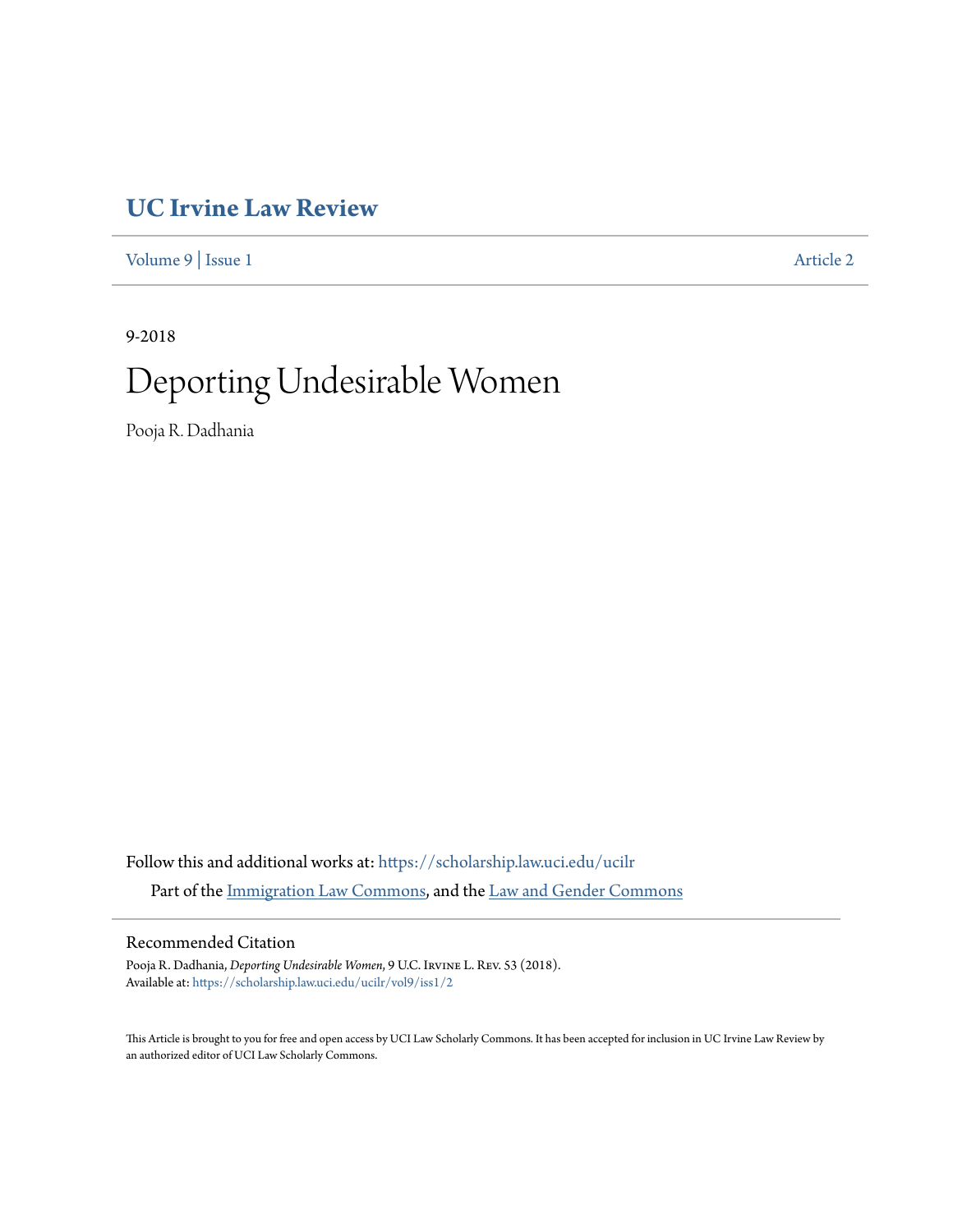# **[UC Irvine Law Review](https://scholarship.law.uci.edu/ucilr?utm_source=scholarship.law.uci.edu%2Fucilr%2Fvol9%2Fiss1%2F2&utm_medium=PDF&utm_campaign=PDFCoverPages)**

[Volume 9](https://scholarship.law.uci.edu/ucilr/vol9?utm_source=scholarship.law.uci.edu%2Fucilr%2Fvol9%2Fiss1%2F2&utm_medium=PDF&utm_campaign=PDFCoverPages) | [Issue 1](https://scholarship.law.uci.edu/ucilr/vol9/iss1?utm_source=scholarship.law.uci.edu%2Fucilr%2Fvol9%2Fiss1%2F2&utm_medium=PDF&utm_campaign=PDFCoverPages) [Article 2](https://scholarship.law.uci.edu/ucilr/vol9/iss1/2?utm_source=scholarship.law.uci.edu%2Fucilr%2Fvol9%2Fiss1%2F2&utm_medium=PDF&utm_campaign=PDFCoverPages)

9-2018

# Deporting Undesirable Women

Pooja R. Dadhania

Follow this and additional works at: [https://scholarship.law.uci.edu/ucilr](https://scholarship.law.uci.edu/ucilr?utm_source=scholarship.law.uci.edu%2Fucilr%2Fvol9%2Fiss1%2F2&utm_medium=PDF&utm_campaign=PDFCoverPages) Part of the [Immigration Law Commons,](http://network.bepress.com/hgg/discipline/604?utm_source=scholarship.law.uci.edu%2Fucilr%2Fvol9%2Fiss1%2F2&utm_medium=PDF&utm_campaign=PDFCoverPages) and the [Law and Gender Commons](http://network.bepress.com/hgg/discipline/1298?utm_source=scholarship.law.uci.edu%2Fucilr%2Fvol9%2Fiss1%2F2&utm_medium=PDF&utm_campaign=PDFCoverPages)

# Recommended Citation

Pooja R. Dadhania, *Deporting Undesirable Women*, 9 U.C. Irvine L. Rev. 53 (2018). Available at: [https://scholarship.law.uci.edu/ucilr/vol9/iss1/2](https://scholarship.law.uci.edu/ucilr/vol9/iss1/2?utm_source=scholarship.law.uci.edu%2Fucilr%2Fvol9%2Fiss1%2F2&utm_medium=PDF&utm_campaign=PDFCoverPages)

This Article is brought to you for free and open access by UCI Law Scholarly Commons. It has been accepted for inclusion in UC Irvine Law Review by an authorized editor of UCI Law Scholarly Commons.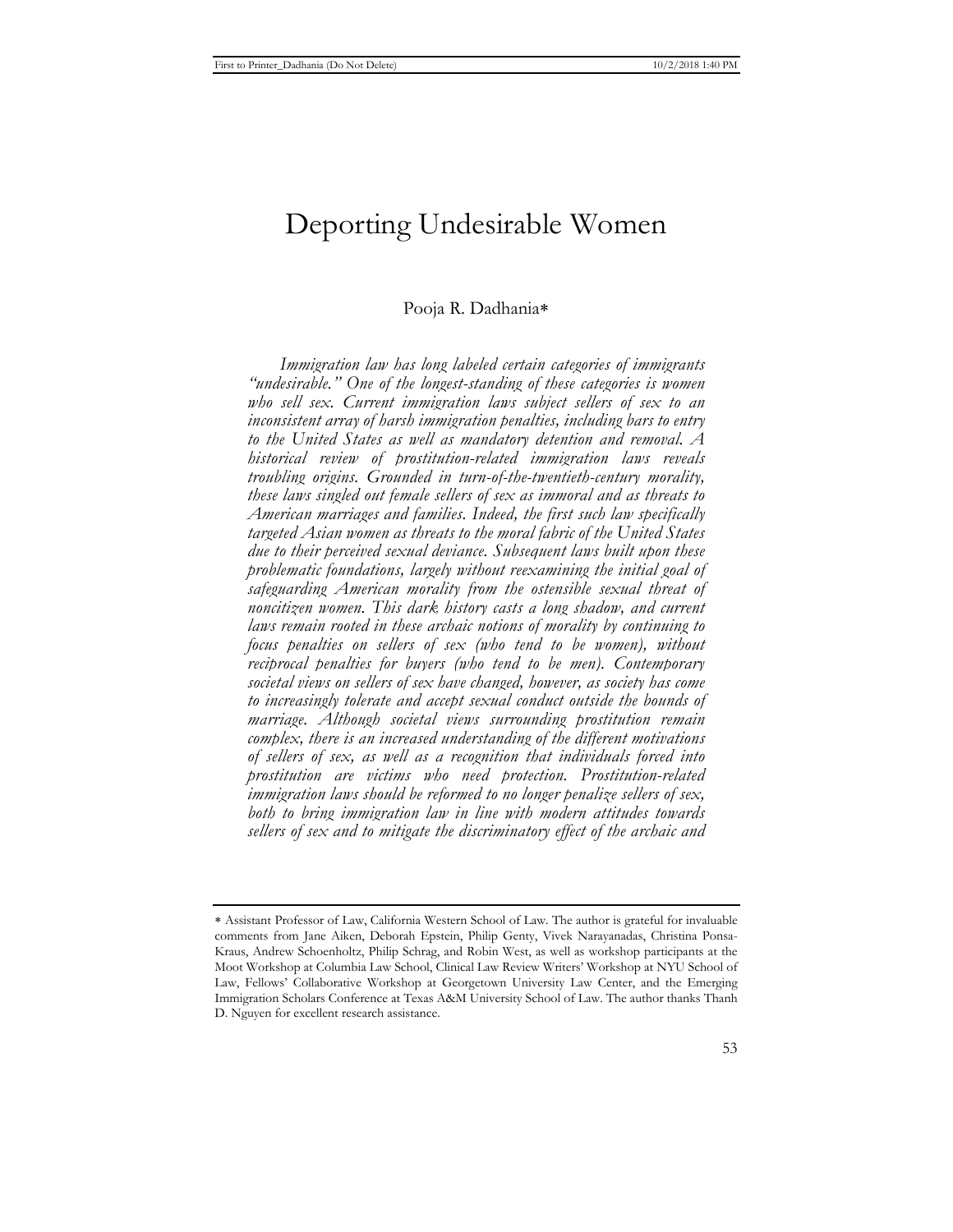# Deporting Undesirable Women

## Pooja R. Dadhania

*Immigration law has long labeled certain categories of immigrants "undesirable." One of the longest-standing of these categories is women who sell sex. Current immigration laws subject sellers of sex to an inconsistent array of harsh immigration penalties, including bars to entry to the United States as well as mandatory detention and removal. A historical review of prostitution-related immigration laws reveals troubling origins. Grounded in turn-of-the-twentieth-century morality, these laws singled out female sellers of sex as immoral and as threats to American marriages and families. Indeed, the first such law specifically targeted Asian women as threats to the moral fabric of the United States due to their perceived sexual deviance. Subsequent laws built upon these problematic foundations, largely without reexamining the initial goal of safeguarding American morality from the ostensible sexual threat of noncitizen women. This dark history casts a long shadow, and current laws remain rooted in these archaic notions of morality by continuing to focus penalties on sellers of sex (who tend to be women), without reciprocal penalties for buyers (who tend to be men). Contemporary societal views on sellers of sex have changed, however, as society has come to increasingly tolerate and accept sexual conduct outside the bounds of marriage. Although societal views surrounding prostitution remain complex, there is an increased understanding of the different motivations of sellers of sex, as well as a recognition that individuals forced into prostitution are victims who need protection. Prostitution-related immigration laws should be reformed to no longer penalize sellers of sex, both to bring immigration law in line with modern attitudes towards sellers of sex and to mitigate the discriminatory effect of the archaic and* 

Assistant Professor of Law, California Western School of Law. The author is grateful for invaluable comments from Jane Aiken, Deborah Epstein, Philip Genty, Vivek Narayanadas, Christina Ponsa-Kraus, Andrew Schoenholtz, Philip Schrag, and Robin West, as well as workshop participants at the Moot Workshop at Columbia Law School, Clinical Law Review Writers' Workshop at NYU School of Law, Fellows' Collaborative Workshop at Georgetown University Law Center, and the Emerging Immigration Scholars Conference at Texas A&M University School of Law. The author thanks Thanh D. Nguyen for excellent research assistance.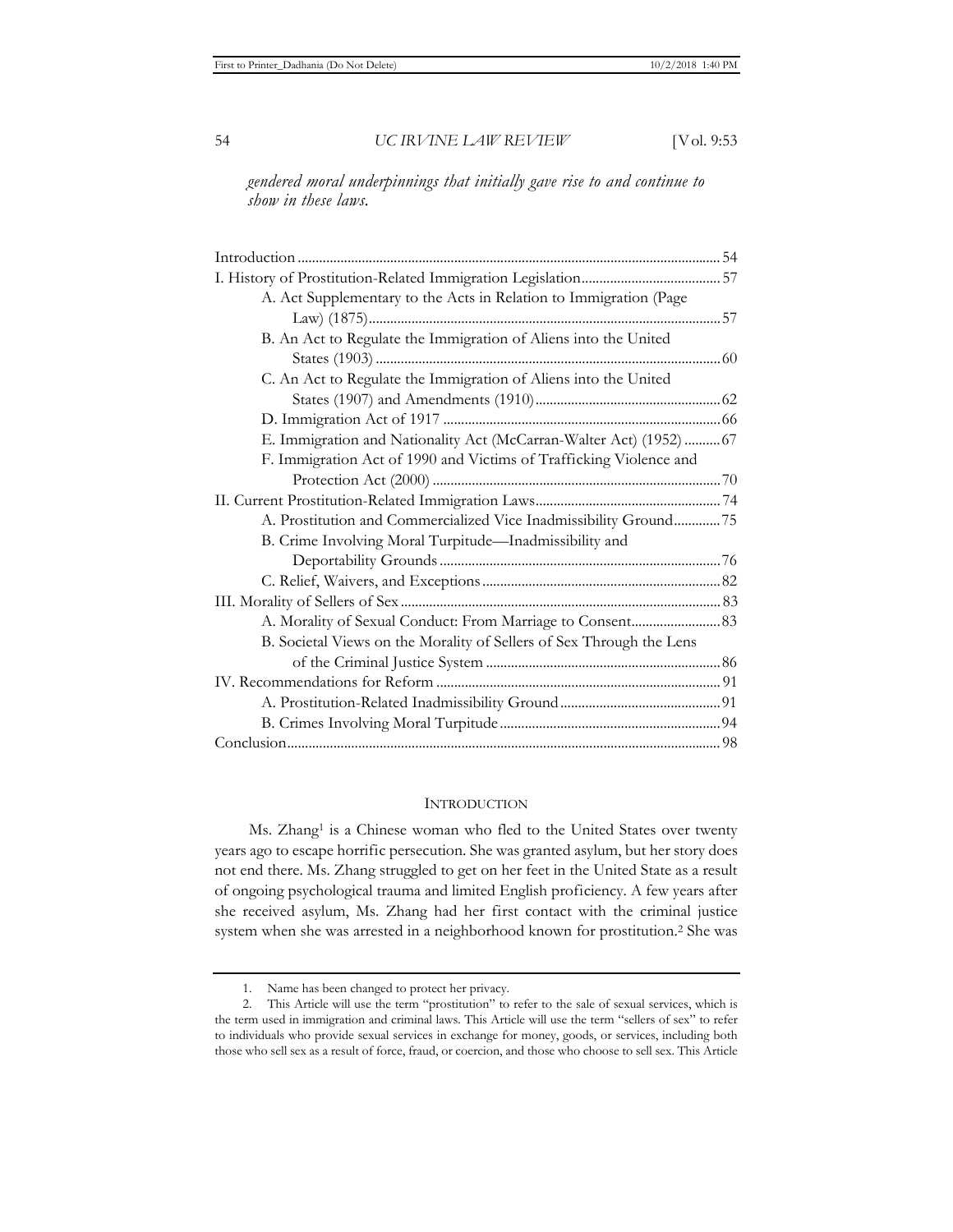*gendered moral underpinnings that initially gave rise to and continue to show in these laws.* 

| A. Act Supplementary to the Acts in Relation to Immigration (Page    |  |
|----------------------------------------------------------------------|--|
|                                                                      |  |
| B. An Act to Regulate the Immigration of Aliens into the United      |  |
|                                                                      |  |
| C. An Act to Regulate the Immigration of Aliens into the United      |  |
|                                                                      |  |
|                                                                      |  |
| E. Immigration and Nationality Act (McCarran-Walter Act) (1952)  67  |  |
| F. Immigration Act of 1990 and Victims of Trafficking Violence and   |  |
|                                                                      |  |
|                                                                      |  |
| A. Prostitution and Commercialized Vice Inadmissibility Ground75     |  |
| B. Crime Involving Moral Turpitude—Inadmissibility and               |  |
|                                                                      |  |
|                                                                      |  |
|                                                                      |  |
|                                                                      |  |
| B. Societal Views on the Morality of Sellers of Sex Through the Lens |  |
|                                                                      |  |
|                                                                      |  |
|                                                                      |  |
|                                                                      |  |
|                                                                      |  |

#### **INTRODUCTION**

Ms. Zhang<sup>1</sup> is a Chinese woman who fled to the United States over twenty years ago to escape horrific persecution. She was granted asylum, but her story does not end there. Ms. Zhang struggled to get on her feet in the United State as a result of ongoing psychological trauma and limited English proficiency. A few years after she received asylum, Ms. Zhang had her first contact with the criminal justice system when she was arrested in a neighborhood known for prostitution.2 She was

<sup>1.</sup> Name has been changed to protect her privacy.

<sup>2.</sup> This Article will use the term "prostitution" to refer to the sale of sexual services, which is the term used in immigration and criminal laws. This Article will use the term "sellers of sex" to refer to individuals who provide sexual services in exchange for money, goods, or services, including both those who sell sex as a result of force, fraud, or coercion, and those who choose to sell sex. This Article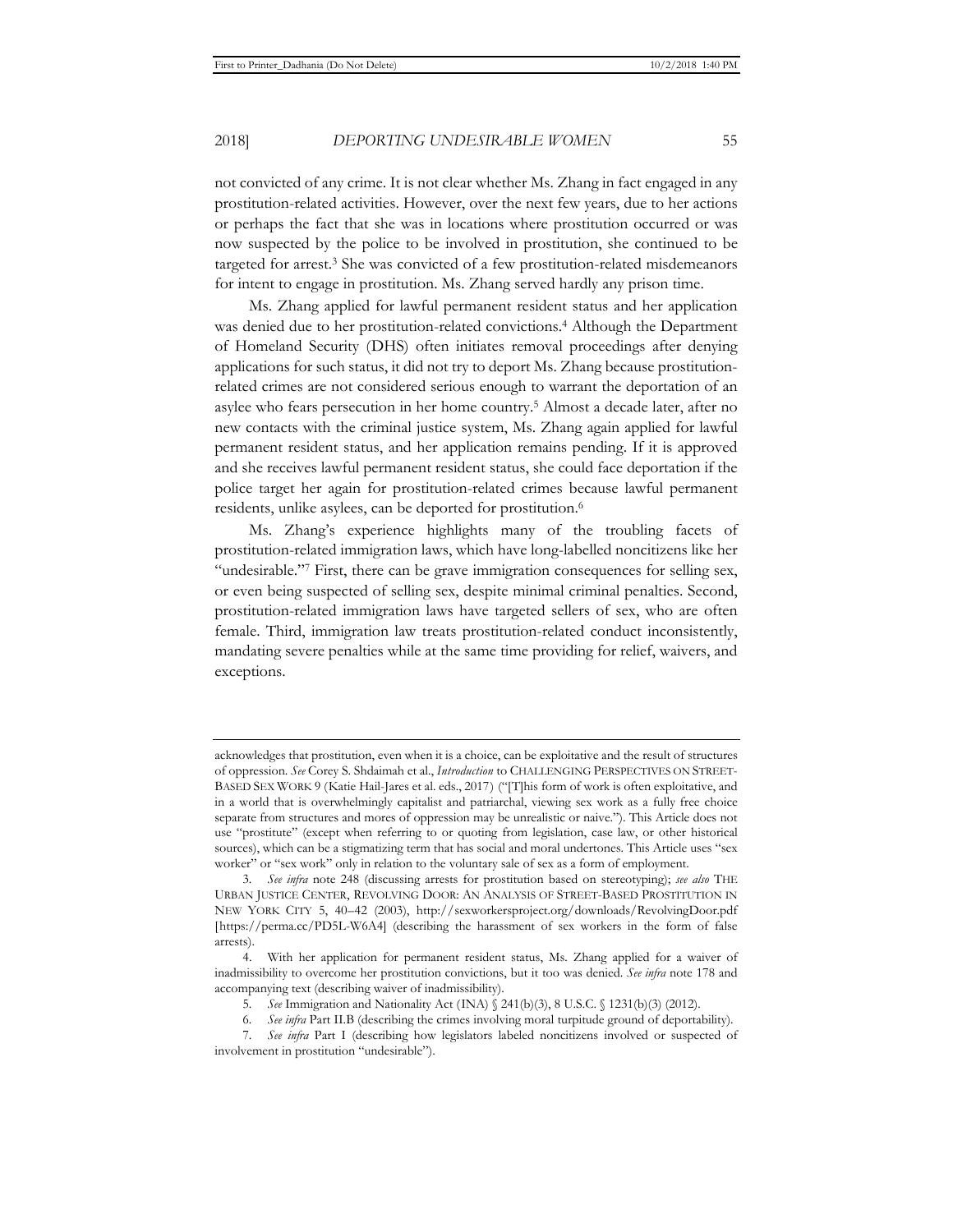not convicted of any crime. It is not clear whether Ms. Zhang in fact engaged in any prostitution-related activities. However, over the next few years, due to her actions or perhaps the fact that she was in locations where prostitution occurred or was now suspected by the police to be involved in prostitution, she continued to be targeted for arrest.<sup>3</sup> She was convicted of a few prostitution-related misdemeanors for intent to engage in prostitution. Ms. Zhang served hardly any prison time.

Ms. Zhang applied for lawful permanent resident status and her application was denied due to her prostitution-related convictions.4 Although the Department of Homeland Security (DHS) often initiates removal proceedings after denying applications for such status, it did not try to deport Ms. Zhang because prostitutionrelated crimes are not considered serious enough to warrant the deportation of an asylee who fears persecution in her home country.5 Almost a decade later, after no new contacts with the criminal justice system, Ms. Zhang again applied for lawful permanent resident status, and her application remains pending. If it is approved and she receives lawful permanent resident status, she could face deportation if the police target her again for prostitution-related crimes because lawful permanent residents, unlike asylees, can be deported for prostitution.6

Ms. Zhang's experience highlights many of the troubling facets of prostitution-related immigration laws, which have long-labelled noncitizens like her "undesirable."7 First, there can be grave immigration consequences for selling sex, or even being suspected of selling sex, despite minimal criminal penalties. Second, prostitution-related immigration laws have targeted sellers of sex, who are often female. Third, immigration law treats prostitution-related conduct inconsistently, mandating severe penalties while at the same time providing for relief, waivers, and exceptions.

acknowledges that prostitution, even when it is a choice, can be exploitative and the result of structures of oppression. *See* Corey S. Shdaimah et al., *Introduction* to CHALLENGING PERSPECTIVES ON STREET-BASED SEX WORK 9 (Katie Hail-Jares et al. eds., 2017) ("[T]his form of work is often exploitative, and in a world that is overwhelmingly capitalist and patriarchal, viewing sex work as a fully free choice separate from structures and mores of oppression may be unrealistic or naive."). This Article does not use "prostitute" (except when referring to or quoting from legislation, case law, or other historical sources), which can be a stigmatizing term that has social and moral undertones. This Article uses "sex worker" or "sex work" only in relation to the voluntary sale of sex as a form of employment.

<sup>3</sup>*. See infra* note 248 (discussing arrests for prostitution based on stereotyping); *see also* THE URBAN JUSTICE CENTER, REVOLVING DOOR: AN ANALYSIS OF STREET-BASED PROSTITUTION IN NEW YORK CITY 5, 40–42 (2003), http://sexworkersproject.org/downloads/RevolvingDoor.pdf [https://perma.cc/PD5L-W6A4] (describing the harassment of sex workers in the form of false arrests).

<sup>4.</sup> With her application for permanent resident status, Ms. Zhang applied for a waiver of inadmissibility to overcome her prostitution convictions, but it too was denied. *See infra* note 178 and accompanying text (describing waiver of inadmissibility).

<sup>5</sup>*. See* Immigration and Nationality Act (INA) § 241(b)(3), 8 U.S.C. § 1231(b)(3) (2012).

<sup>6</sup>*. See infra* Part II.B (describing the crimes involving moral turpitude ground of deportability).

<sup>7</sup>*. See infra* Part I (describing how legislators labeled noncitizens involved or suspected of involvement in prostitution "undesirable").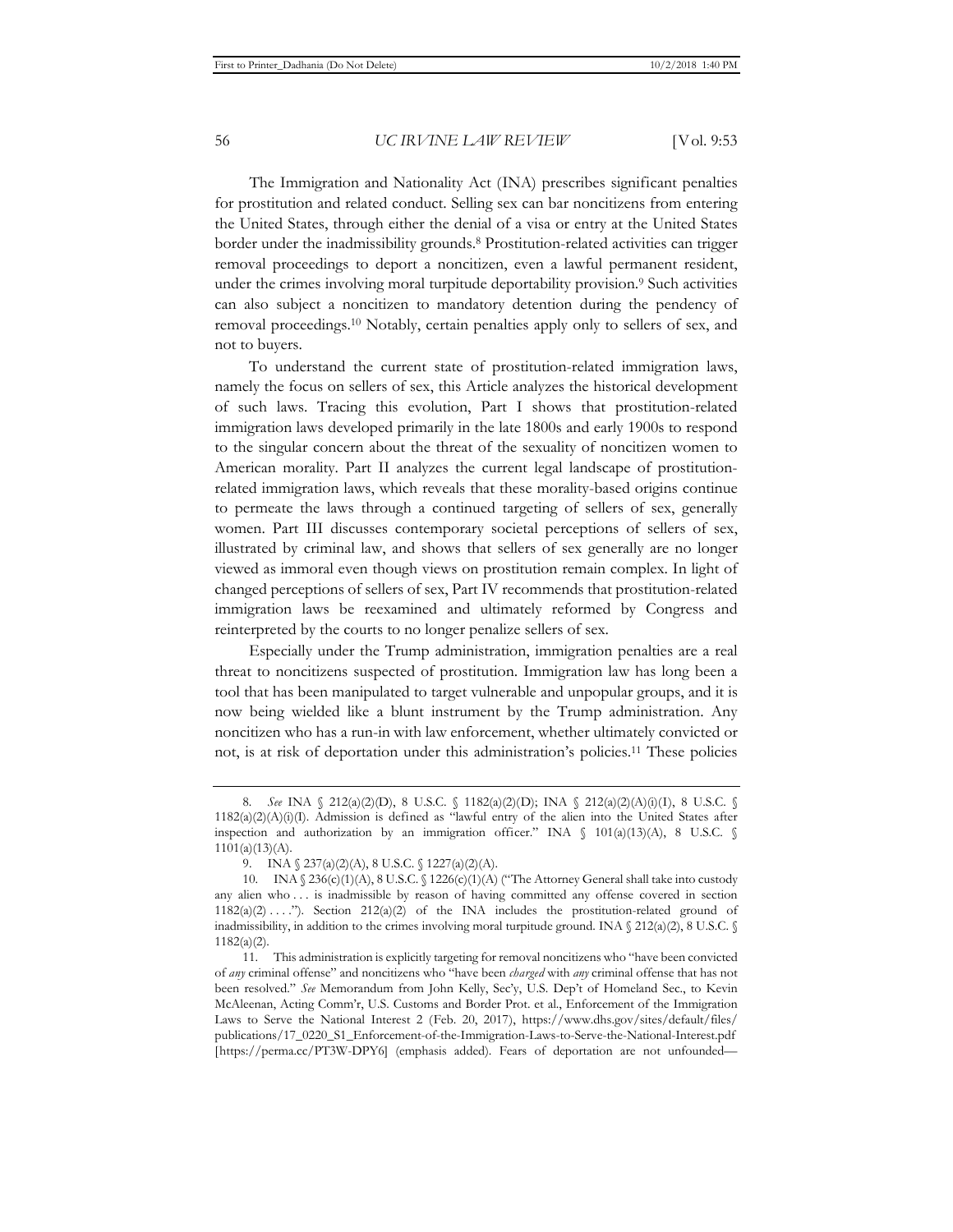The Immigration and Nationality Act (INA) prescribes significant penalties for prostitution and related conduct. Selling sex can bar noncitizens from entering the United States, through either the denial of a visa or entry at the United States border under the inadmissibility grounds.8 Prostitution-related activities can trigger removal proceedings to deport a noncitizen, even a lawful permanent resident, under the crimes involving moral turpitude deportability provision.<sup>9</sup> Such activities can also subject a noncitizen to mandatory detention during the pendency of removal proceedings.10 Notably, certain penalties apply only to sellers of sex, and not to buyers.

To understand the current state of prostitution-related immigration laws, namely the focus on sellers of sex, this Article analyzes the historical development of such laws. Tracing this evolution, Part I shows that prostitution-related immigration laws developed primarily in the late 1800s and early 1900s to respond to the singular concern about the threat of the sexuality of noncitizen women to American morality. Part II analyzes the current legal landscape of prostitutionrelated immigration laws, which reveals that these morality-based origins continue to permeate the laws through a continued targeting of sellers of sex, generally women. Part III discusses contemporary societal perceptions of sellers of sex, illustrated by criminal law, and shows that sellers of sex generally are no longer viewed as immoral even though views on prostitution remain complex. In light of changed perceptions of sellers of sex, Part IV recommends that prostitution-related immigration laws be reexamined and ultimately reformed by Congress and reinterpreted by the courts to no longer penalize sellers of sex.

Especially under the Trump administration, immigration penalties are a real threat to noncitizens suspected of prostitution. Immigration law has long been a tool that has been manipulated to target vulnerable and unpopular groups, and it is now being wielded like a blunt instrument by the Trump administration. Any noncitizen who has a run-in with law enforcement, whether ultimately convicted or not, is at risk of deportation under this administration's policies.11 These policies

<sup>8</sup>*. See* INA § 212(a)(2)(D), 8 U.S.C. § 1182(a)(2)(D); INA § 212(a)(2)(A)(i)(I), 8 U.S.C. § 1182(a)(2)(A)(i)(I). Admission is defined as "lawful entry of the alien into the United States after inspection and authorization by an immigration officer." INA  $\oint$  101(a)(13)(A), 8 U.S.C.  $\oint$  $1101(a)(13)(A)$ .

<sup>9.</sup> INA § 237(a)(2)(A), 8 U.S.C. § 1227(a)(2)(A).

<sup>10.</sup> INA  $\S 236(c)(1)(A), 8 U.S.C. \S 1226(c)(1)(A)$  ("The Attorney General shall take into custody any alien who . . . is inadmissible by reason of having committed any offense covered in section  $1182(a)(2) \ldots$ "). Section  $212(a)(2)$  of the INA includes the prostitution-related ground of inadmissibility, in addition to the crimes involving moral turpitude ground. INA  $\frac{212(a)(2)}{8}$  U.S.C. 1182(a)(2).

<sup>11.</sup> This administration is explicitly targeting for removal noncitizens who "have been convicted of *any* criminal offense" and noncitizens who "have been *charged* with *any* criminal offense that has not been resolved." *See* Memorandum from John Kelly, Sec'y, U.S. Dep't of Homeland Sec., to Kevin McAleenan, Acting Comm'r, U.S. Customs and Border Prot. et al., Enforcement of the Immigration Laws to Serve the National Interest 2 (Feb. 20, 2017), https://www.dhs.gov/sites/default/files/ publications/17\_0220\_S1\_Enforcement-of-the-Immigration-Laws-to-Serve-the-National-Interest.pdf [https://perma.cc/PT3W-DPY6] (emphasis added). Fears of deportation are not unfounded—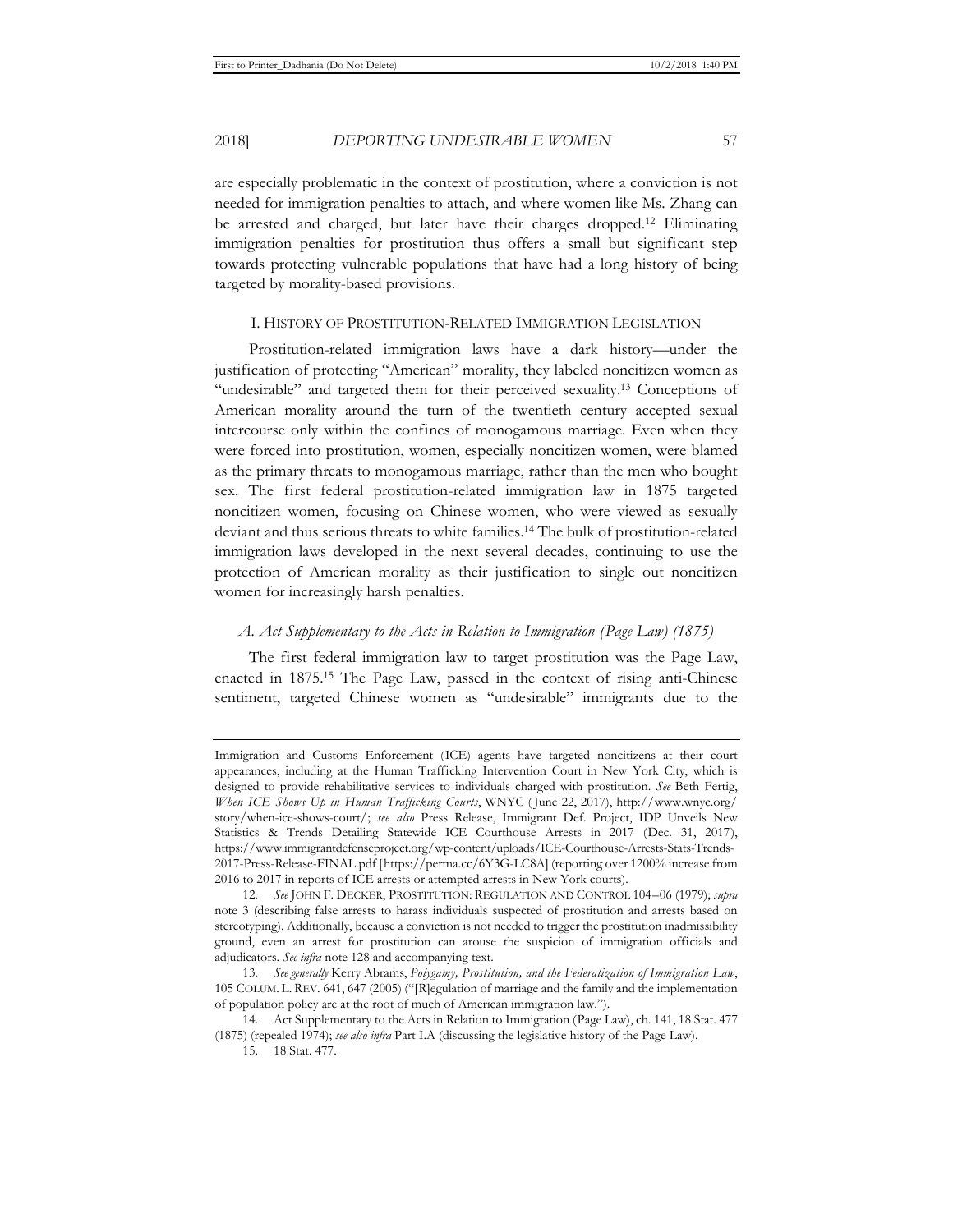are especially problematic in the context of prostitution, where a conviction is not needed for immigration penalties to attach, and where women like Ms. Zhang can be arrested and charged, but later have their charges dropped.12 Eliminating immigration penalties for prostitution thus offers a small but significant step towards protecting vulnerable populations that have had a long history of being targeted by morality-based provisions.

#### I. HISTORY OF PROSTITUTION-RELATED IMMIGRATION LEGISLATION

Prostitution-related immigration laws have a dark history—under the justification of protecting "American" morality, they labeled noncitizen women as "undesirable" and targeted them for their perceived sexuality.13 Conceptions of American morality around the turn of the twentieth century accepted sexual intercourse only within the confines of monogamous marriage. Even when they were forced into prostitution, women, especially noncitizen women, were blamed as the primary threats to monogamous marriage, rather than the men who bought sex. The first federal prostitution-related immigration law in 1875 targeted noncitizen women, focusing on Chinese women, who were viewed as sexually deviant and thus serious threats to white families.14 The bulk of prostitution-related immigration laws developed in the next several decades, continuing to use the protection of American morality as their justification to single out noncitizen women for increasingly harsh penalties.

#### *A. Act Supplementary to the Acts in Relation to Immigration (Page Law) (1875)*

The first federal immigration law to target prostitution was the Page Law, enacted in 1875.15 The Page Law, passed in the context of rising anti-Chinese sentiment, targeted Chinese women as "undesirable" immigrants due to the

Immigration and Customs Enforcement (ICE) agents have targeted noncitizens at their court appearances, including at the Human Trafficking Intervention Court in New York City, which is designed to provide rehabilitative services to individuals charged with prostitution. *See* Beth Fertig, *When ICE Shows Up in Human Trafficking Courts*, WNYC ( June 22, 2017), http://www.wnyc.org/ story/when-ice-shows-court/; *see also* Press Release, Immigrant Def. Project, IDP Unveils New Statistics & Trends Detailing Statewide ICE Courthouse Arrests in 2017 (Dec. 31, 2017), https://www.immigrantdefenseproject.org/wp-content/uploads/ICE-Courthouse-Arrests-Stats-Trends-2017-Press-Release-FINAL.pdf [https://perma.cc/6Y3G-LC8A] (reporting over 1200% increase from 2016 to 2017 in reports of ICE arrests or attempted arrests in New York courts).

<sup>12</sup>*. See* JOHN F. DECKER, PROSTITUTION: REGULATION AND CONTROL 104–06 (1979); *supra* note 3 (describing false arrests to harass individuals suspected of prostitution and arrests based on stereotyping). Additionally, because a conviction is not needed to trigger the prostitution inadmissibility ground, even an arrest for prostitution can arouse the suspicion of immigration officials and adjudicators. *See infra* note 128 and accompanying text.

<sup>13</sup>*. See generally* Kerry Abrams, *Polygamy, Prostitution, and the Federalization of Immigration Law*, 105 COLUM. L. REV. 641, 647 (2005) ("[R]egulation of marriage and the family and the implementation of population policy are at the root of much of American immigration law.").

<sup>14.</sup> Act Supplementary to the Acts in Relation to Immigration (Page Law), ch. 141, 18 Stat. 477 (1875) (repealed 1974); *see also infra* Part I.A (discussing the legislative history of the Page Law).

<sup>15. 18</sup> Stat. 477.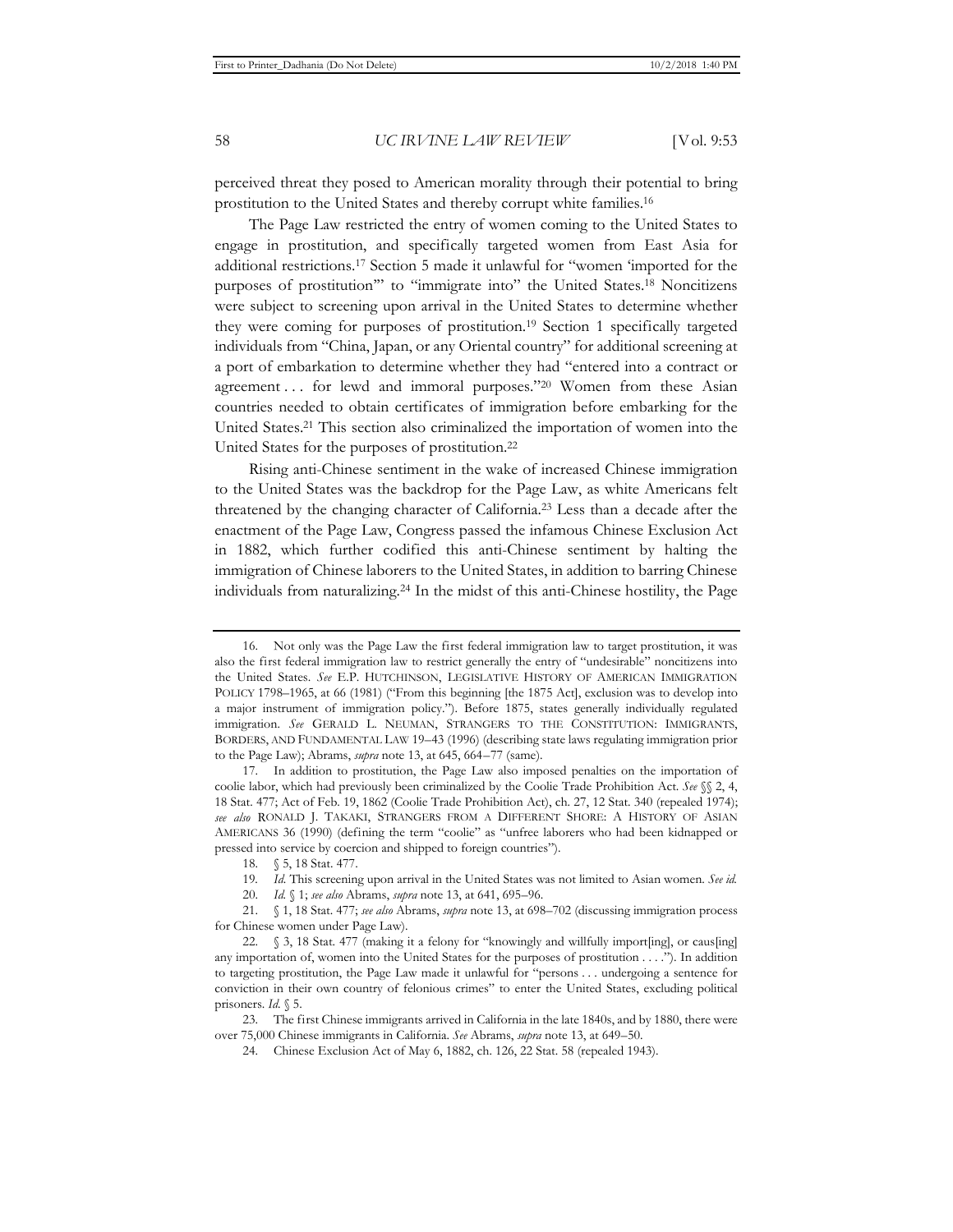perceived threat they posed to American morality through their potential to bring prostitution to the United States and thereby corrupt white families.16

The Page Law restricted the entry of women coming to the United States to engage in prostitution, and specifically targeted women from East Asia for additional restrictions.17 Section 5 made it unlawful for "women 'imported for the purposes of prostitution'" to "immigrate into" the United States.18 Noncitizens were subject to screening upon arrival in the United States to determine whether they were coming for purposes of prostitution.19 Section 1 specifically targeted individuals from "China, Japan, or any Oriental country" for additional screening at a port of embarkation to determine whether they had "entered into a contract or agreement . . . for lewd and immoral purposes."<sup>20</sup> Women from these Asian countries needed to obtain certificates of immigration before embarking for the United States.21 This section also criminalized the importation of women into the United States for the purposes of prostitution.22

Rising anti-Chinese sentiment in the wake of increased Chinese immigration to the United States was the backdrop for the Page Law, as white Americans felt threatened by the changing character of California.23 Less than a decade after the enactment of the Page Law, Congress passed the infamous Chinese Exclusion Act in 1882, which further codified this anti-Chinese sentiment by halting the immigration of Chinese laborers to the United States, in addition to barring Chinese individuals from naturalizing.24 In the midst of this anti-Chinese hostility, the Page

<sup>16.</sup> Not only was the Page Law the first federal immigration law to target prostitution, it was also the first federal immigration law to restrict generally the entry of "undesirable" noncitizens into the United States. *See* E.P. HUTCHINSON, LEGISLATIVE HISTORY OF AMERICAN IMMIGRATION POLICY 1798–1965, at 66 (1981) ("From this beginning [the 1875 Act], exclusion was to develop into a major instrument of immigration policy."). Before 1875, states generally individually regulated immigration. *See* GERALD L. NEUMAN, STRANGERS TO THE CONSTITUTION: IMMIGRANTS, BORDERS, AND FUNDAMENTAL LAW 19–43 (1996) (describing state laws regulating immigration prior to the Page Law); Abrams, *supra* note 13, at 645, 664–77 (same).

<sup>17.</sup> In addition to prostitution, the Page Law also imposed penalties on the importation of coolie labor, which had previously been criminalized by the Coolie Trade Prohibition Act. *See* §§ 2, 4, 18 Stat. 477; Act of Feb. 19, 1862 (Coolie Trade Prohibition Act), ch. 27, 12 Stat. 340 (repealed 1974); *see also* RONALD J. TAKAKI, STRANGERS FROM A DIFFERENT SHORE: A HISTORY OF ASIAN AMERICANS 36 (1990) (defining the term "coolie" as "unfree laborers who had been kidnapped or pressed into service by coercion and shipped to foreign countries").

<sup>18. § 5, 18</sup> Stat. 477.

<sup>19</sup>*. Id.* This screening upon arrival in the United States was not limited to Asian women. *See id.* 

<sup>20.</sup> *Id.* § 1; *see also* Abrams, *supra* note 13, at 641, 695–96.

<sup>21. § 1, 18</sup> Stat. 477; *see also* Abrams, *supra* note 13, at 698–702 (discussing immigration process for Chinese women under Page Law).

<sup>22. § 3, 18</sup> Stat. 477 (making it a felony for "knowingly and willfully import[ing], or caus[ing] any importation of, women into the United States for the purposes of prostitution . . . ."). In addition to targeting prostitution, the Page Law made it unlawful for "persons . . . undergoing a sentence for conviction in their own country of felonious crimes" to enter the United States, excluding political prisoners. *Id.* § 5.

<sup>23.</sup> The first Chinese immigrants arrived in California in the late 1840s, and by 1880, there were over 75,000 Chinese immigrants in California. *See* Abrams, *supra* note 13, at 649–50.

<sup>24.</sup> Chinese Exclusion Act of May 6, 1882, ch. 126, 22 Stat. 58 (repealed 1943).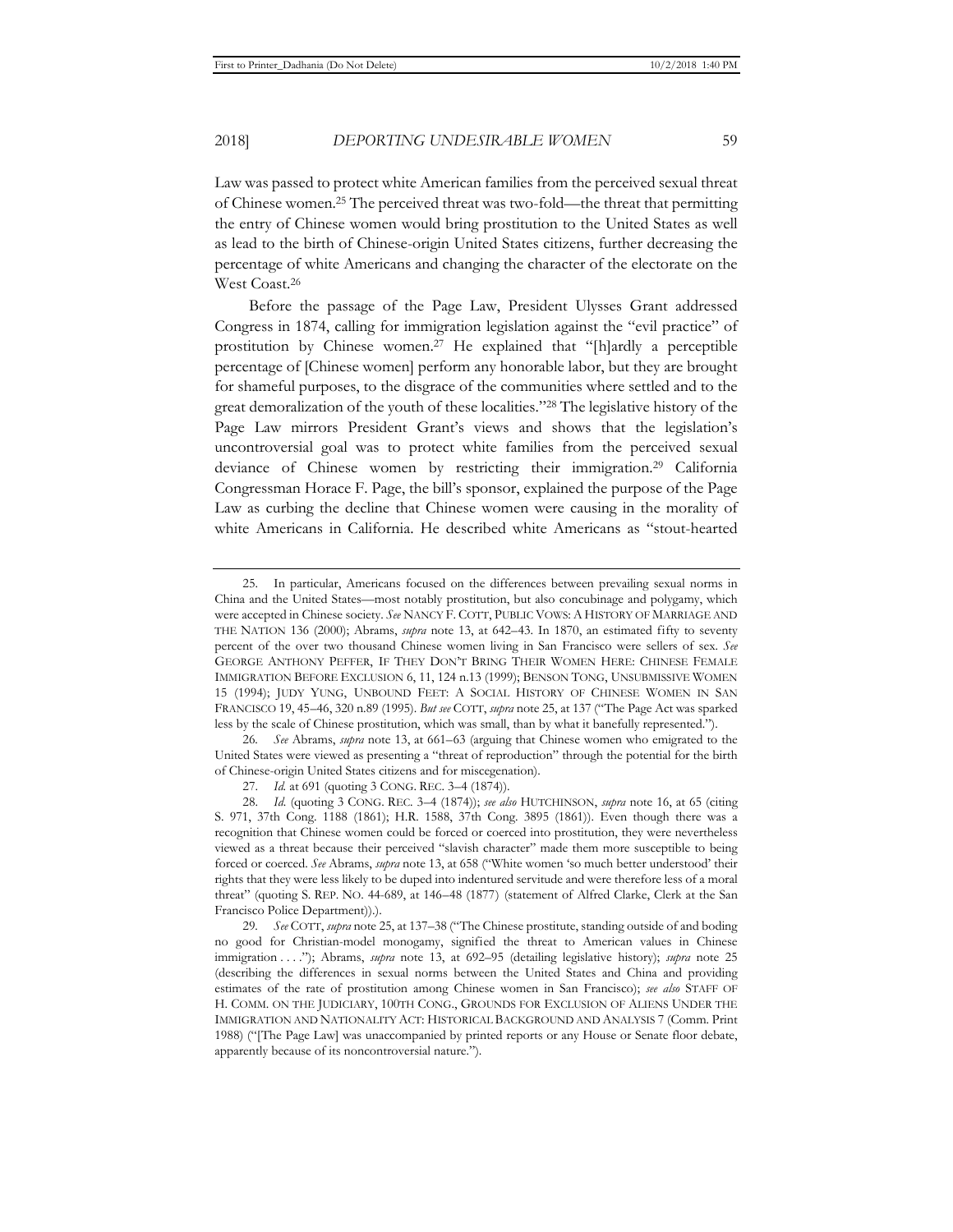Law was passed to protect white American families from the perceived sexual threat of Chinese women.25 The perceived threat was two-fold—the threat that permitting the entry of Chinese women would bring prostitution to the United States as well as lead to the birth of Chinese-origin United States citizens, further decreasing the percentage of white Americans and changing the character of the electorate on the West Coast.26

Before the passage of the Page Law, President Ulysses Grant addressed Congress in 1874, calling for immigration legislation against the "evil practice" of prostitution by Chinese women.27 He explained that "[h]ardly a perceptible percentage of [Chinese women] perform any honorable labor, but they are brought for shameful purposes, to the disgrace of the communities where settled and to the great demoralization of the youth of these localities."28 The legislative history of the Page Law mirrors President Grant's views and shows that the legislation's uncontroversial goal was to protect white families from the perceived sexual deviance of Chinese women by restricting their immigration.29 California Congressman Horace F. Page, the bill's sponsor, explained the purpose of the Page Law as curbing the decline that Chinese women were causing in the morality of white Americans in California. He described white Americans as "stout-hearted

26*. See* Abrams, *supra* note 13, at 661–63 (arguing that Chinese women who emigrated to the United States were viewed as presenting a "threat of reproduction" through the potential for the birth of Chinese-origin United States citizens and for miscegenation).

<sup>25.</sup> In particular, Americans focused on the differences between prevailing sexual norms in China and the United States—most notably prostitution, but also concubinage and polygamy, which were accepted in Chinese society. *See* NANCY F. COTT, PUBLIC VOWS: A HISTORY OF MARRIAGE AND THE NATION 136 (2000); Abrams, *supra* note 13, at 642–43. In 1870, an estimated fifty to seventy percent of the over two thousand Chinese women living in San Francisco were sellers of sex. *See* GEORGE ANTHONY PEFFER, IF THEY DON'T BRING THEIR WOMEN HERE: CHINESE FEMALE IMMIGRATION BEFORE EXCLUSION 6, 11, 124 n.13 (1999); BENSON TONG, UNSUBMISSIVE WOMEN 15 (1994); JUDY YUNG, UNBOUND FEET: A SOCIAL HISTORY OF CHINESE WOMEN IN SAN FRANCISCO 19, 45–46, 320 n.89 (1995). *But see* COTT, *supra* note 25, at 137 ("The Page Act was sparked less by the scale of Chinese prostitution, which was small, than by what it banefully represented.").

<sup>27.</sup> *Id.* at 691 (quoting 3 CONG. REC. 3–4 (1874)).

<sup>28.</sup> *Id.* (quoting 3 CONG. REC. 3–4 (1874)); *see also* HUTCHINSON, *supra* note 16, at 65 (citing S. 971, 37th Cong. 1188 (1861); H.R. 1588, 37th Cong. 3895 (1861)). Even though there was a recognition that Chinese women could be forced or coerced into prostitution, they were nevertheless viewed as a threat because their perceived "slavish character" made them more susceptible to being forced or coerced. *See* Abrams, *supra* note 13, at 658 ("White women 'so much better understood' their rights that they were less likely to be duped into indentured servitude and were therefore less of a moral threat" (quoting S. REP. NO. 44-689, at 146–48 (1877) (statement of Alfred Clarke, Clerk at the San Francisco Police Department)).).

<sup>29</sup>*. See* COTT, *supra* note 25, at 137–38 ("The Chinese prostitute, standing outside of and boding no good for Christian-model monogamy, signified the threat to American values in Chinese immigration . . . ."); Abrams, *supra* note 13, at 692–95 (detailing legislative history); *supra* note 25 (describing the differences in sexual norms between the United States and China and providing estimates of the rate of prostitution among Chinese women in San Francisco); *see also* STAFF OF H. COMM. ON THE JUDICIARY, 100TH CONG., GROUNDS FOR EXCLUSION OF ALIENS UNDER THE IMMIGRATION AND NATIONALITY ACT: HISTORICAL BACKGROUND AND ANALYSIS 7 (Comm. Print 1988) ("[The Page Law] was unaccompanied by printed reports or any House or Senate floor debate, apparently because of its noncontroversial nature.").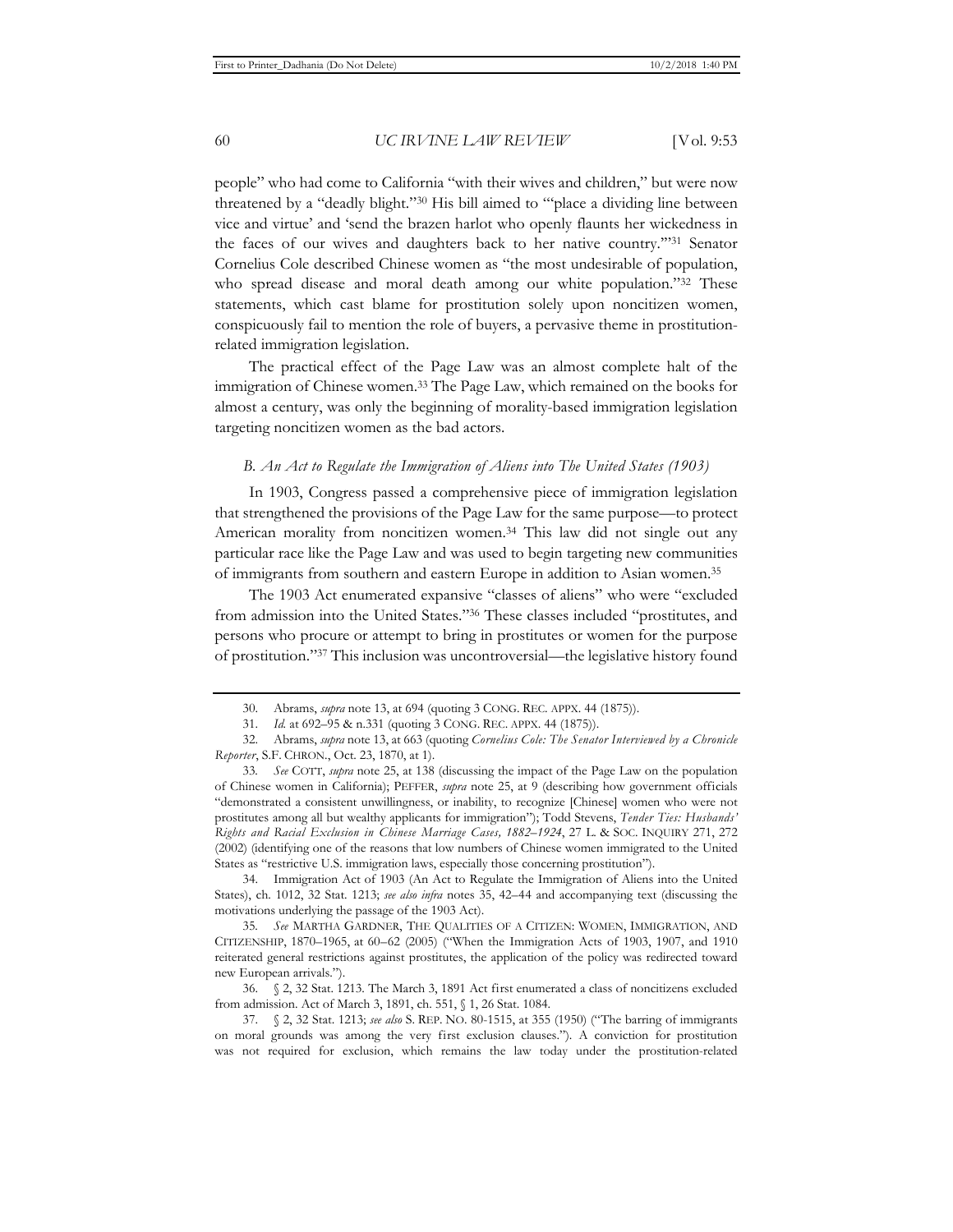people" who had come to California "with their wives and children," but were now threatened by a "deadly blight."30 His bill aimed to "'place a dividing line between vice and virtue' and 'send the brazen harlot who openly flaunts her wickedness in the faces of our wives and daughters back to her native country.'"31 Senator Cornelius Cole described Chinese women as "the most undesirable of population, who spread disease and moral death among our white population."<sup>32</sup> These statements, which cast blame for prostitution solely upon noncitizen women, conspicuously fail to mention the role of buyers, a pervasive theme in prostitutionrelated immigration legislation.

The practical effect of the Page Law was an almost complete halt of the immigration of Chinese women.33 The Page Law, which remained on the books for almost a century, was only the beginning of morality-based immigration legislation targeting noncitizen women as the bad actors.

#### *B. An Act to Regulate the Immigration of Aliens into The United States (1903)*

In 1903, Congress passed a comprehensive piece of immigration legislation that strengthened the provisions of the Page Law for the same purpose—to protect American morality from noncitizen women.34 This law did not single out any particular race like the Page Law and was used to begin targeting new communities of immigrants from southern and eastern Europe in addition to Asian women.35

The 1903 Act enumerated expansive "classes of aliens" who were "excluded from admission into the United States."36 These classes included "prostitutes, and persons who procure or attempt to bring in prostitutes or women for the purpose of prostitution."37 This inclusion was uncontroversial—the legislative history found

34. Immigration Act of 1903 (An Act to Regulate the Immigration of Aliens into the United States), ch. 1012, 32 Stat. 1213; *see also infra* notes 35, 42–44 and accompanying text (discussing the motivations underlying the passage of the 1903 Act).

35*. See* MARTHA GARDNER, THE QUALITIES OF A CITIZEN: WOMEN, IMMIGRATION, AND CITIZENSHIP, 1870–1965, at 60–62 (2005) ("When the Immigration Acts of 1903, 1907, and 1910 reiterated general restrictions against prostitutes, the application of the policy was redirected toward new European arrivals.").

36. § 2, 32 Stat. 1213. The March 3, 1891 Act first enumerated a class of noncitizens excluded from admission. Act of March 3, 1891, ch. 551, § 1, 26 Stat. 1084.

37. § 2, 32 Stat. 1213; *see also* S. REP. NO. 80-1515, at 355 (1950) ("The barring of immigrants on moral grounds was among the very first exclusion clauses."). A conviction for prostitution was not required for exclusion, which remains the law today under the prostitution-related

<sup>30.</sup> Abrams, *supra* note 13, at 694 (quoting 3 CONG. REC. APPX. 44 (1875)).

<sup>31.</sup> *Id.* at 692–95 & n.331 (quoting 3 CONG. REC. APPX. 44 (1875)).

<sup>32.</sup> Abrams, *supra* note 13, at 663 (quoting *Cornelius Cole: The Senator Interviewed by a Chronicle Reporter*, S.F. CHRON., Oct. 23, 1870, at 1).

<sup>33</sup>*. See* COTT, *supra* note 25, at 138 (discussing the impact of the Page Law on the population of Chinese women in California); PEFFER, *supra* note 25, at 9 (describing how government officials "demonstrated a consistent unwillingness, or inability, to recognize [Chinese] women who were not prostitutes among all but wealthy applicants for immigration"); Todd Stevens, *Tender Ties: Husbands' Rights and Racial Exclusion in Chinese Marriage Cases, 1882–1924*, 27 L. & SOC. INQUIRY 271, 272 (2002) (identifying one of the reasons that low numbers of Chinese women immigrated to the United States as "restrictive U.S. immigration laws, especially those concerning prostitution").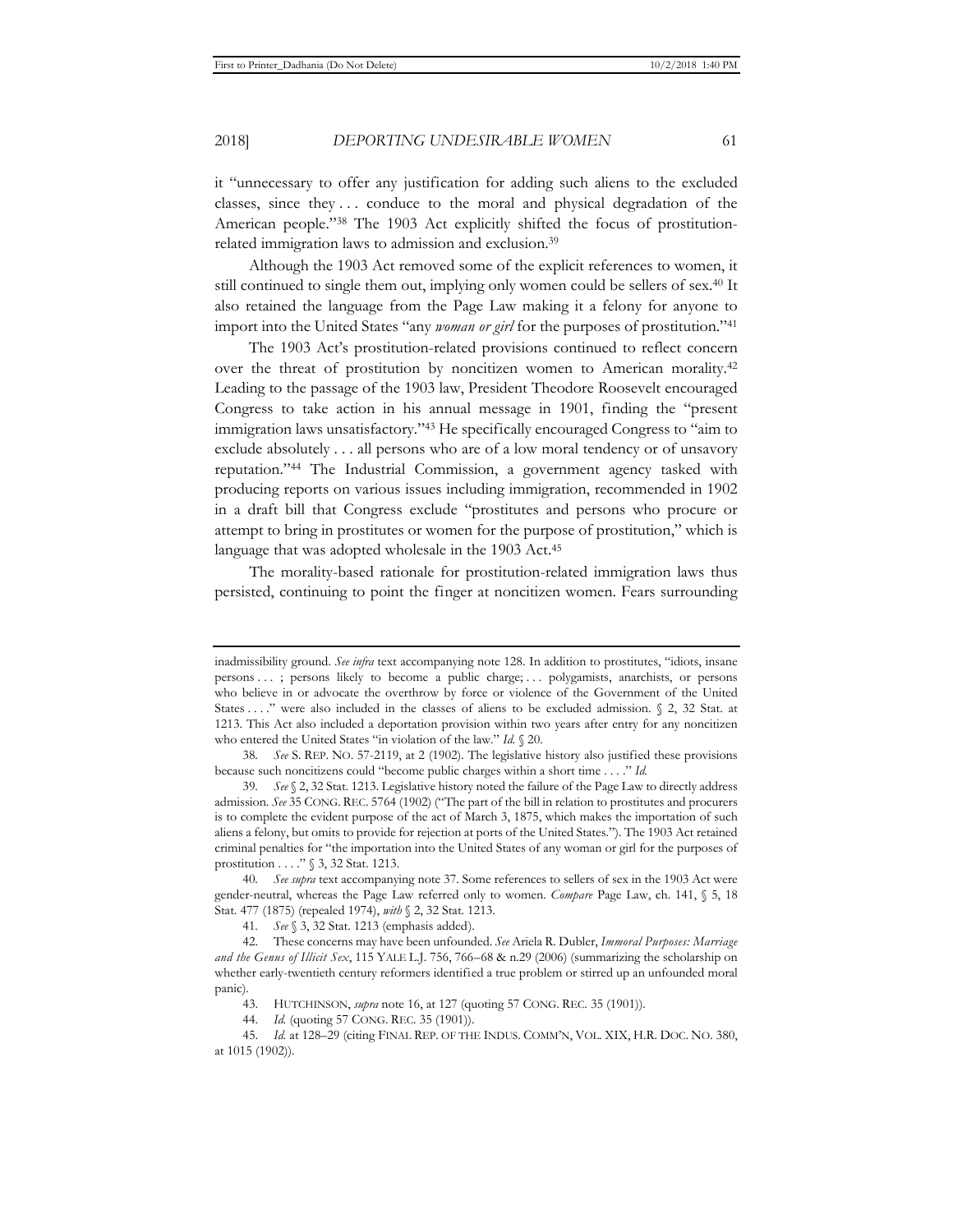it "unnecessary to offer any justification for adding such aliens to the excluded classes, since they . . . conduce to the moral and physical degradation of the American people."38 The 1903 Act explicitly shifted the focus of prostitution-

Although the 1903 Act removed some of the explicit references to women, it still continued to single them out, implying only women could be sellers of sex.40 It also retained the language from the Page Law making it a felony for anyone to import into the United States "any *woman or girl* for the purposes of prostitution."41

related immigration laws to admission and exclusion.39

The 1903 Act's prostitution-related provisions continued to reflect concern over the threat of prostitution by noncitizen women to American morality.42 Leading to the passage of the 1903 law, President Theodore Roosevelt encouraged Congress to take action in his annual message in 1901, finding the "present immigration laws unsatisfactory."43 He specifically encouraged Congress to "aim to exclude absolutely . . . all persons who are of a low moral tendency or of unsavory reputation."44 The Industrial Commission, a government agency tasked with producing reports on various issues including immigration, recommended in 1902 in a draft bill that Congress exclude "prostitutes and persons who procure or attempt to bring in prostitutes or women for the purpose of prostitution," which is language that was adopted wholesale in the 1903 Act.<sup>45</sup>

The morality-based rationale for prostitution-related immigration laws thus persisted, continuing to point the finger at noncitizen women. Fears surrounding

inadmissibility ground. *See infra* text accompanying note 128. In addition to prostitutes, "idiots, insane persons . . . ; persons likely to become a public charge; . . . polygamists, anarchists, or persons who believe in or advocate the overthrow by force or violence of the Government of the United States . . . ." were also included in the classes of aliens to be excluded admission.  $\&$  2, 32 Stat. at 1213. This Act also included a deportation provision within two years after entry for any noncitizen who entered the United States "in violation of the law." *Id.* § 20.

<sup>38</sup>*. See* S. REP. NO. 57-2119, at 2 (1902). The legislative history also justified these provisions because such noncitizens could "become public charges within a short time . . . ." *Id.*

<sup>39</sup>*. See* § 2, 32 Stat. 1213. Legislative history noted the failure of the Page Law to directly address admission. *See* 35 CONG. REC. 5764 (1902) ("The part of the bill in relation to prostitutes and procurers is to complete the evident purpose of the act of March 3, 1875, which makes the importation of such aliens a felony, but omits to provide for rejection at ports of the United States."). The 1903 Act retained criminal penalties for "the importation into the United States of any woman or girl for the purposes of prostitution . . . ." § 3, 32 Stat. 1213.

<sup>40</sup>*. See supra* text accompanying note 37. Some references to sellers of sex in the 1903 Act were gender-neutral, whereas the Page Law referred only to women. *Compare* Page Law, ch. 141, § 5, 18 Stat. 477 (1875) (repealed 1974), *with* § 2, 32 Stat. 1213.

<sup>41</sup>*. See* § 3, 32 Stat. 1213 (emphasis added).

<sup>42.</sup> These concerns may have been unfounded. *See* Ariela R. Dubler, *Immoral Purposes: Marriage and the Genus of Illicit Sex*, 115 YALE L.J. 756, 766–68 & n.29 (2006) (summarizing the scholarship on whether early-twentieth century reformers identified a true problem or stirred up an unfounded moral panic).

<sup>43.</sup> HUTCHINSON, *supra* note 16, at 127 (quoting 57 CONG. REC. 35 (1901)).

<sup>44.</sup> *Id.* (quoting 57 CONG. REC. 35 (1901)).

<sup>45.</sup> *Id.* at 128–29 (citing FINAL REP. OF THE INDUS. COMM'N, VOL. XIX, H.R. DOC. NO. 380, at 1015 (1902)).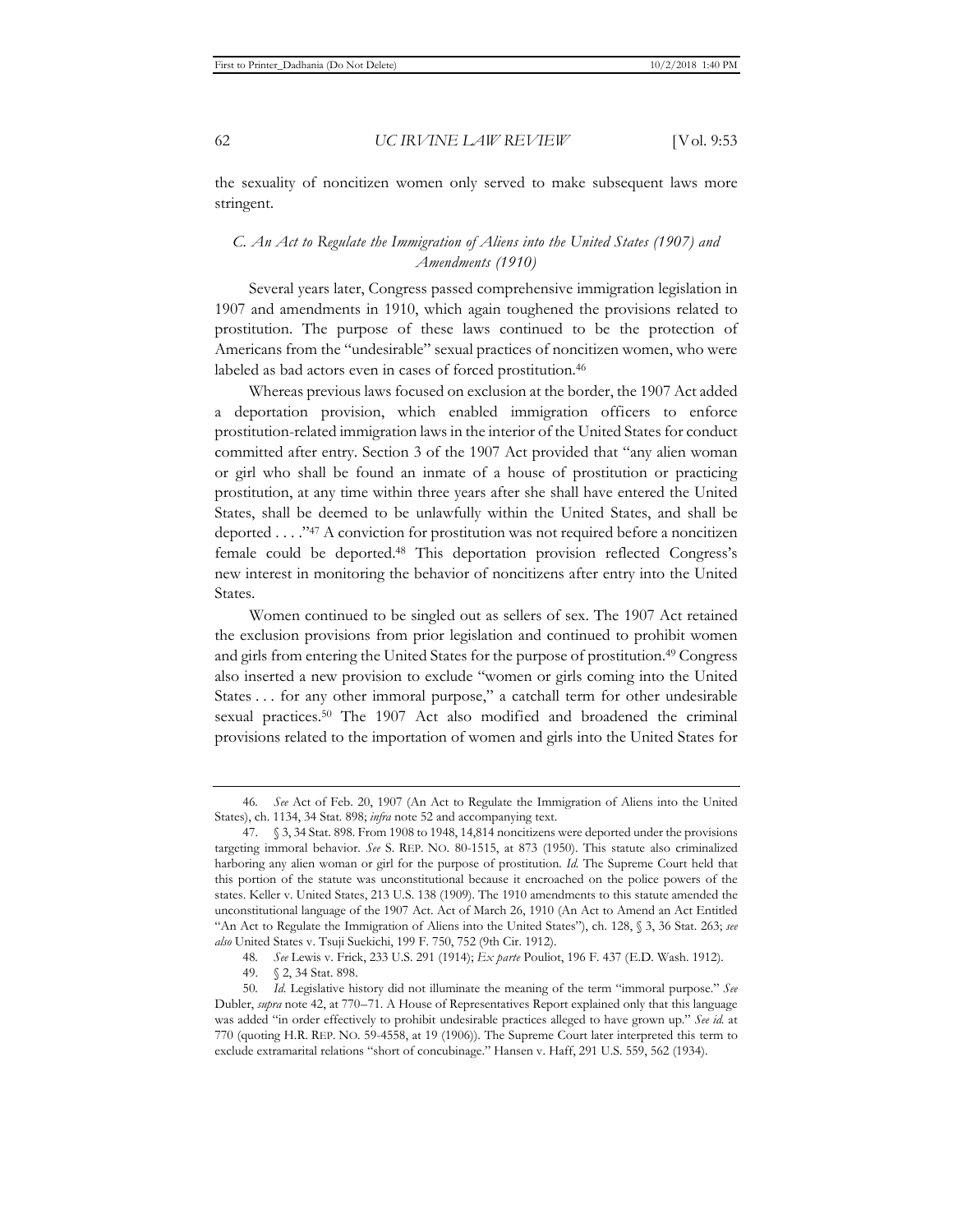the sexuality of noncitizen women only served to make subsequent laws more stringent.

## *C. An Act to Regulate the Immigration of Aliens into the United States (1907) and Amendments (1910)*

Several years later, Congress passed comprehensive immigration legislation in 1907 and amendments in 1910, which again toughened the provisions related to prostitution. The purpose of these laws continued to be the protection of Americans from the "undesirable" sexual practices of noncitizen women, who were labeled as bad actors even in cases of forced prostitution.46

Whereas previous laws focused on exclusion at the border, the 1907 Act added a deportation provision, which enabled immigration officers to enforce prostitution-related immigration laws in the interior of the United States for conduct committed after entry. Section 3 of the 1907 Act provided that "any alien woman or girl who shall be found an inmate of a house of prostitution or practicing prostitution, at any time within three years after she shall have entered the United States, shall be deemed to be unlawfully within the United States, and shall be deported . . . ."47 A conviction for prostitution was not required before a noncitizen female could be deported.48 This deportation provision reflected Congress's new interest in monitoring the behavior of noncitizens after entry into the United States.

Women continued to be singled out as sellers of sex. The 1907 Act retained the exclusion provisions from prior legislation and continued to prohibit women and girls from entering the United States for the purpose of prostitution.49 Congress also inserted a new provision to exclude "women or girls coming into the United States . . . for any other immoral purpose," a catchall term for other undesirable sexual practices.50 The 1907 Act also modified and broadened the criminal provisions related to the importation of women and girls into the United States for

<sup>46</sup>*. See* Act of Feb. 20, 1907 (An Act to Regulate the Immigration of Aliens into the United States), ch. 1134, 34 Stat. 898; *infra* note 52 and accompanying text.

<sup>47. § 3, 34</sup> Stat. 898. From 1908 to 1948, 14,814 noncitizens were deported under the provisions targeting immoral behavior. *See* S. REP. NO. 80-1515, at 873 (1950). This statute also criminalized harboring any alien woman or girl for the purpose of prostitution. *Id.* The Supreme Court held that this portion of the statute was unconstitutional because it encroached on the police powers of the states. Keller v. United States, 213 U.S. 138 (1909). The 1910 amendments to this statute amended the unconstitutional language of the 1907 Act. Act of March 26, 1910 (An Act to Amend an Act Entitled "An Act to Regulate the Immigration of Aliens into the United States"), ch. 128, § 3, 36 Stat. 263; *see also* United States v. Tsuji Suekichi, 199 F. 750, 752 (9th Cir. 1912).

<sup>48</sup>*. See* Lewis v. Frick, 233 U.S. 291 (1914); *Ex parte* Pouliot, 196 F. 437 (E.D. Wash. 1912).

<sup>49. § 2, 34</sup> Stat. 898.

<sup>50</sup>*. Id.* Legislative history did not illuminate the meaning of the term "immoral purpose." *See* Dubler, *supra* note 42, at 770–71. A House of Representatives Report explained only that this language was added "in order effectively to prohibit undesirable practices alleged to have grown up." *See id.* at 770 (quoting H.R. REP. NO. 59-4558, at 19 (1906)). The Supreme Court later interpreted this term to exclude extramarital relations "short of concubinage." Hansen v. Haff, 291 U.S. 559, 562 (1934).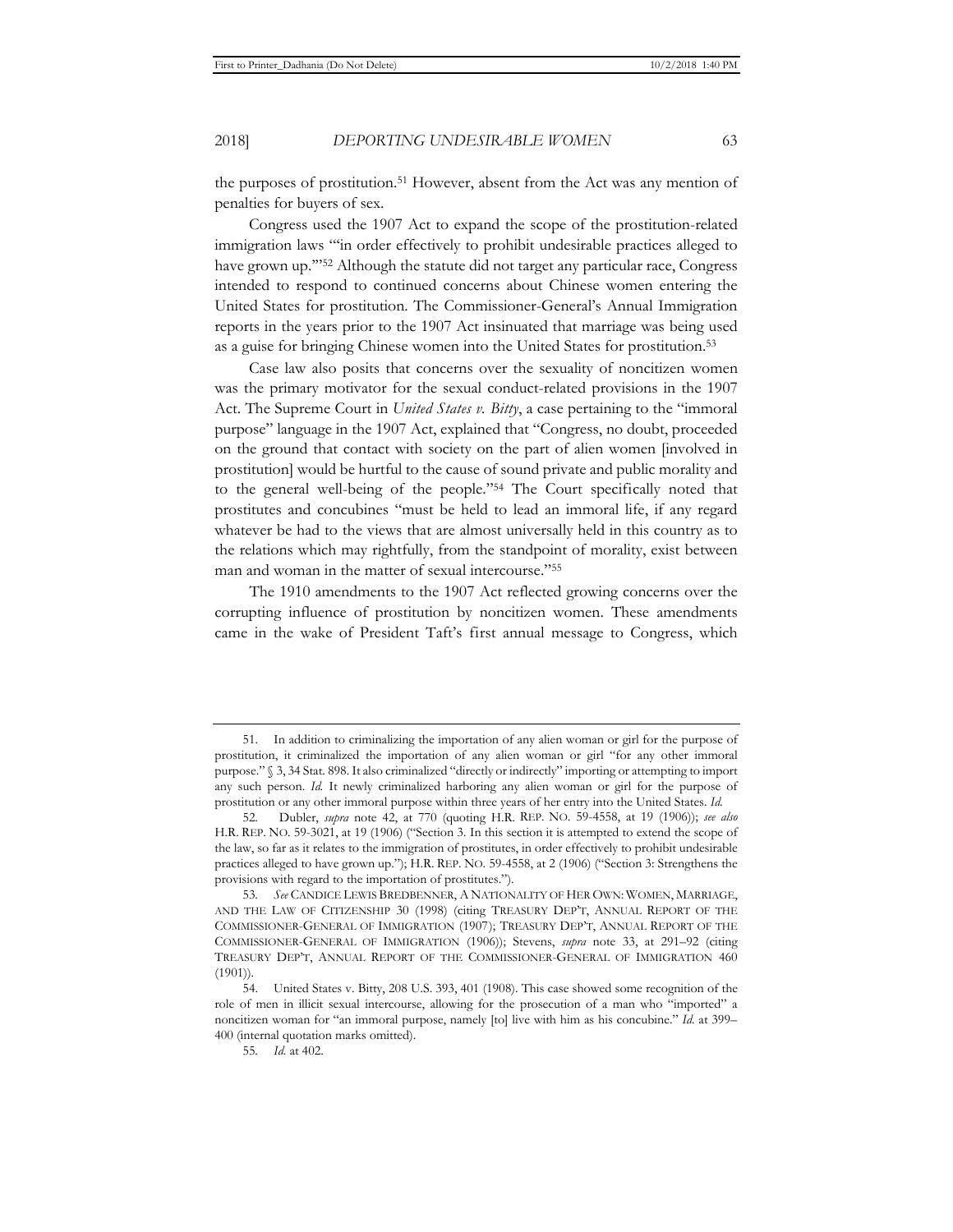the purposes of prostitution.51 However, absent from the Act was any mention of penalties for buyers of sex.

Congress used the 1907 Act to expand the scope of the prostitution-related immigration laws "'in order effectively to prohibit undesirable practices alleged to have grown up.'"52 Although the statute did not target any particular race, Congress intended to respond to continued concerns about Chinese women entering the United States for prostitution. The Commissioner-General's Annual Immigration reports in the years prior to the 1907 Act insinuated that marriage was being used as a guise for bringing Chinese women into the United States for prostitution.53

Case law also posits that concerns over the sexuality of noncitizen women was the primary motivator for the sexual conduct-related provisions in the 1907 Act. The Supreme Court in *United States v. Bitty*, a case pertaining to the "immoral purpose" language in the 1907 Act, explained that "Congress, no doubt, proceeded on the ground that contact with society on the part of alien women [involved in prostitution] would be hurtful to the cause of sound private and public morality and to the general well-being of the people."54 The Court specifically noted that prostitutes and concubines "must be held to lead an immoral life, if any regard whatever be had to the views that are almost universally held in this country as to the relations which may rightfully, from the standpoint of morality, exist between man and woman in the matter of sexual intercourse."55

The 1910 amendments to the 1907 Act reflected growing concerns over the corrupting influence of prostitution by noncitizen women. These amendments came in the wake of President Taft's first annual message to Congress, which

<sup>51.</sup> In addition to criminalizing the importation of any alien woman or girl for the purpose of prostitution, it criminalized the importation of any alien woman or girl "for any other immoral purpose." § 3, 34 Stat. 898. It also criminalized "directly or indirectly" importing or attempting to import any such person. *Id.* It newly criminalized harboring any alien woman or girl for the purpose of prostitution or any other immoral purpose within three years of her entry into the United States. *Id.*

<sup>52</sup>*.* Dubler, *supra* note 42, at 770 (quoting H.R. REP. NO. 59-4558, at 19 (1906)); *see also* H.R. REP. NO. 59-3021, at 19 (1906) ("Section 3. In this section it is attempted to extend the scope of the law, so far as it relates to the immigration of prostitutes, in order effectively to prohibit undesirable practices alleged to have grown up."); H.R. REP. NO. 59-4558, at 2 (1906) ("Section 3: Strengthens the provisions with regard to the importation of prostitutes.").

<sup>53</sup>*. See* CANDICE LEWIS BREDBENNER, A NATIONALITY OF HER OWN: WOMEN, MARRIAGE, AND THE LAW OF CITIZENSHIP 30 (1998) (citing TREASURY DEP'T, ANNUAL REPORT OF THE COMMISSIONER-GENERAL OF IMMIGRATION (1907); TREASURY DEP'T, ANNUAL REPORT OF THE COMMISSIONER-GENERAL OF IMMIGRATION (1906)); Stevens, *supra* note 33, at 291–92 (citing TREASURY DEP'T, ANNUAL REPORT OF THE COMMISSIONER-GENERAL OF IMMIGRATION 460 (1901)).

<sup>54.</sup> United States v. Bitty, 208 U.S. 393, 401 (1908). This case showed some recognition of the role of men in illicit sexual intercourse, allowing for the prosecution of a man who "imported" a noncitizen woman for "an immoral purpose, namely [to] live with him as his concubine." *Id.* at 399– 400 (internal quotation marks omitted).

<sup>55</sup>*. Id.* at 402.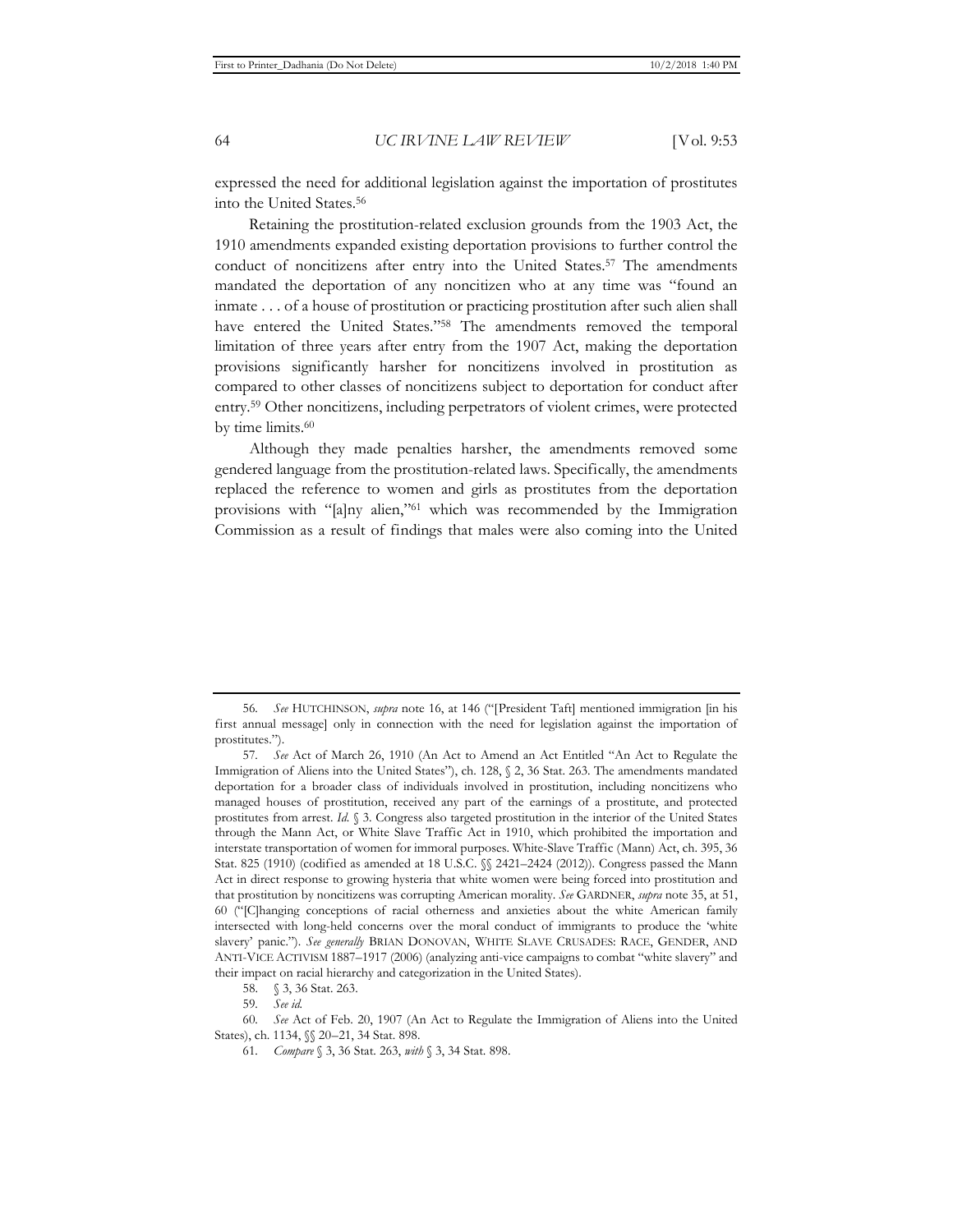expressed the need for additional legislation against the importation of prostitutes into the United States.56

Retaining the prostitution-related exclusion grounds from the 1903 Act, the 1910 amendments expanded existing deportation provisions to further control the conduct of noncitizens after entry into the United States.<sup>57</sup> The amendments mandated the deportation of any noncitizen who at any time was "found an inmate . . . of a house of prostitution or practicing prostitution after such alien shall have entered the United States."58 The amendments removed the temporal limitation of three years after entry from the 1907 Act, making the deportation provisions significantly harsher for noncitizens involved in prostitution as compared to other classes of noncitizens subject to deportation for conduct after entry.59 Other noncitizens, including perpetrators of violent crimes, were protected by time limits.<sup>60</sup>

Although they made penalties harsher, the amendments removed some gendered language from the prostitution-related laws. Specifically, the amendments replaced the reference to women and girls as prostitutes from the deportation provisions with "[a]ny alien,"61 which was recommended by the Immigration Commission as a result of findings that males were also coming into the United

<sup>56</sup>*. See* HUTCHINSON, *supra* note 16, at 146 ("[President Taft] mentioned immigration [in his first annual message] only in connection with the need for legislation against the importation of prostitutes.").

<sup>57</sup>*. See* Act of March 26, 1910 (An Act to Amend an Act Entitled "An Act to Regulate the Immigration of Aliens into the United States"), ch. 128, § 2, 36 Stat. 263. The amendments mandated deportation for a broader class of individuals involved in prostitution, including noncitizens who managed houses of prostitution, received any part of the earnings of a prostitute, and protected prostitutes from arrest. *Id.* § 3. Congress also targeted prostitution in the interior of the United States through the Mann Act, or White Slave Traffic Act in 1910, which prohibited the importation and interstate transportation of women for immoral purposes. White-Slave Traffic (Mann) Act, ch. 395, 36 Stat. 825 (1910) (codified as amended at 18 U.S.C.  $\frac{6}{3}$  2421–2424 (2012)). Congress passed the Mann Act in direct response to growing hysteria that white women were being forced into prostitution and that prostitution by noncitizens was corrupting American morality. *See* GARDNER, *supra* note 35, at 51, 60 ("[C]hanging conceptions of racial otherness and anxieties about the white American family intersected with long-held concerns over the moral conduct of immigrants to produce the 'white slavery' panic."). *See generally* BRIAN DONOVAN, WHITE SLAVE CRUSADES: RACE, GENDER, AND ANTI-VICE ACTIVISM 1887–1917 (2006) (analyzing anti-vice campaigns to combat "white slavery" and their impact on racial hierarchy and categorization in the United States).

<sup>58. § 3, 36</sup> Stat. 263.

<sup>59</sup>*. See id.*

<sup>60</sup>*. See* Act of Feb. 20, 1907 (An Act to Regulate the Immigration of Aliens into the United States), ch. 1134, §§ 20–21, 34 Stat. 898.

<sup>61</sup>*. Compare* § 3, 36 Stat. 263, *with* § 3, 34 Stat. 898.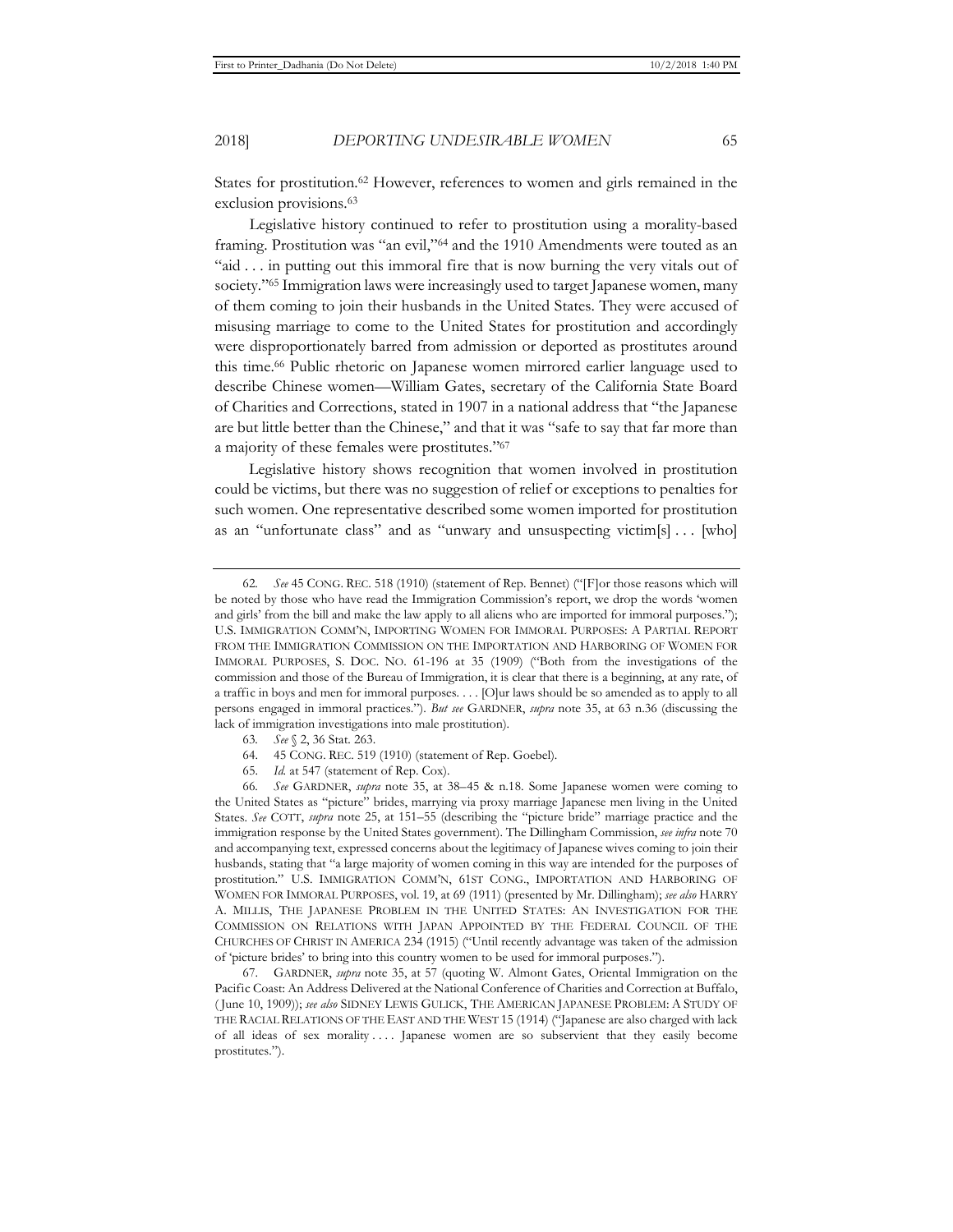States for prostitution.<sup>62</sup> However, references to women and girls remained in the exclusion provisions.<sup>63</sup>

Legislative history continued to refer to prostitution using a morality-based framing. Prostitution was "an evil,"64 and the 1910 Amendments were touted as an "aid . . . in putting out this immoral fire that is now burning the very vitals out of society."<sup>65</sup> Immigration laws were increasingly used to target Japanese women, many of them coming to join their husbands in the United States. They were accused of misusing marriage to come to the United States for prostitution and accordingly were disproportionately barred from admission or deported as prostitutes around this time.66 Public rhetoric on Japanese women mirrored earlier language used to describe Chinese women—William Gates, secretary of the California State Board of Charities and Corrections, stated in 1907 in a national address that "the Japanese are but little better than the Chinese," and that it was "safe to say that far more than a majority of these females were prostitutes."67

Legislative history shows recognition that women involved in prostitution could be victims, but there was no suggestion of relief or exceptions to penalties for such women. One representative described some women imported for prostitution as an "unfortunate class" and as "unwary and unsuspecting victim[s] . . . [who]

- 63*. See* § 2, 36 Stat. 263.
- 64. 45 CONG. REC. 519 (1910) (statement of Rep. Goebel).
- 65. *Id.* at 547 (statement of Rep. Cox).

66*. See* GARDNER, *supra* note 35, at 38–45 & n.18. Some Japanese women were coming to the United States as "picture" brides, marrying via proxy marriage Japanese men living in the United States. *See* COTT, *supra* note 25, at 151–55 (describing the "picture bride" marriage practice and the immigration response by the United States government). The Dillingham Commission, *see infra* note 70 and accompanying text, expressed concerns about the legitimacy of Japanese wives coming to join their husbands, stating that "a large majority of women coming in this way are intended for the purposes of prostitution." U.S. IMMIGRATION COMM'N, 61ST CONG., IMPORTATION AND HARBORING OF WOMEN FOR IMMORAL PURPOSES, vol. 19, at 69 (1911) (presented by Mr. Dillingham); *see also* HARRY A. MILLIS, THE JAPANESE PROBLEM IN THE UNITED STATES: AN INVESTIGATION FOR THE COMMISSION ON RELATIONS WITH JAPAN APPOINTED BY THE FEDERAL COUNCIL OF THE CHURCHES OF CHRIST IN AMERICA 234 (1915) ("Until recently advantage was taken of the admission of 'picture brides' to bring into this country women to be used for immoral purposes.").

67. GARDNER, *supra* note 35, at 57 (quoting W. Almont Gates, Oriental Immigration on the Pacific Coast: An Address Delivered at the National Conference of Charities and Correction at Buffalo, ( June 10, 1909)); *see also* SIDNEY LEWIS GULICK, THE AMERICAN JAPANESE PROBLEM: A STUDY OF THE RACIAL RELATIONS OF THE EAST AND THE WEST 15 (1914) ("Japanese are also charged with lack of all ideas of sex morality . . . . Japanese women are so subservient that they easily become prostitutes.").

<sup>62</sup>*. See* 45 CONG. REC. 518 (1910) (statement of Rep. Bennet) ("[F]or those reasons which will be noted by those who have read the Immigration Commission's report, we drop the words 'women and girls' from the bill and make the law apply to all aliens who are imported for immoral purposes."); U.S. IMMIGRATION COMM'N, IMPORTING WOMEN FOR IMMORAL PURPOSES: A PARTIAL REPORT FROM THE IMMIGRATION COMMISSION ON THE IMPORTATION AND HARBORING OF WOMEN FOR IMMORAL PURPOSES, S. DOC. NO. 61-196 at 35 (1909) ("Both from the investigations of the commission and those of the Bureau of Immigration, it is clear that there is a beginning, at any rate, of a traffic in boys and men for immoral purposes. . . . [O]ur laws should be so amended as to apply to all persons engaged in immoral practices."). *But see* GARDNER, *supra* note 35, at 63 n.36 (discussing the lack of immigration investigations into male prostitution).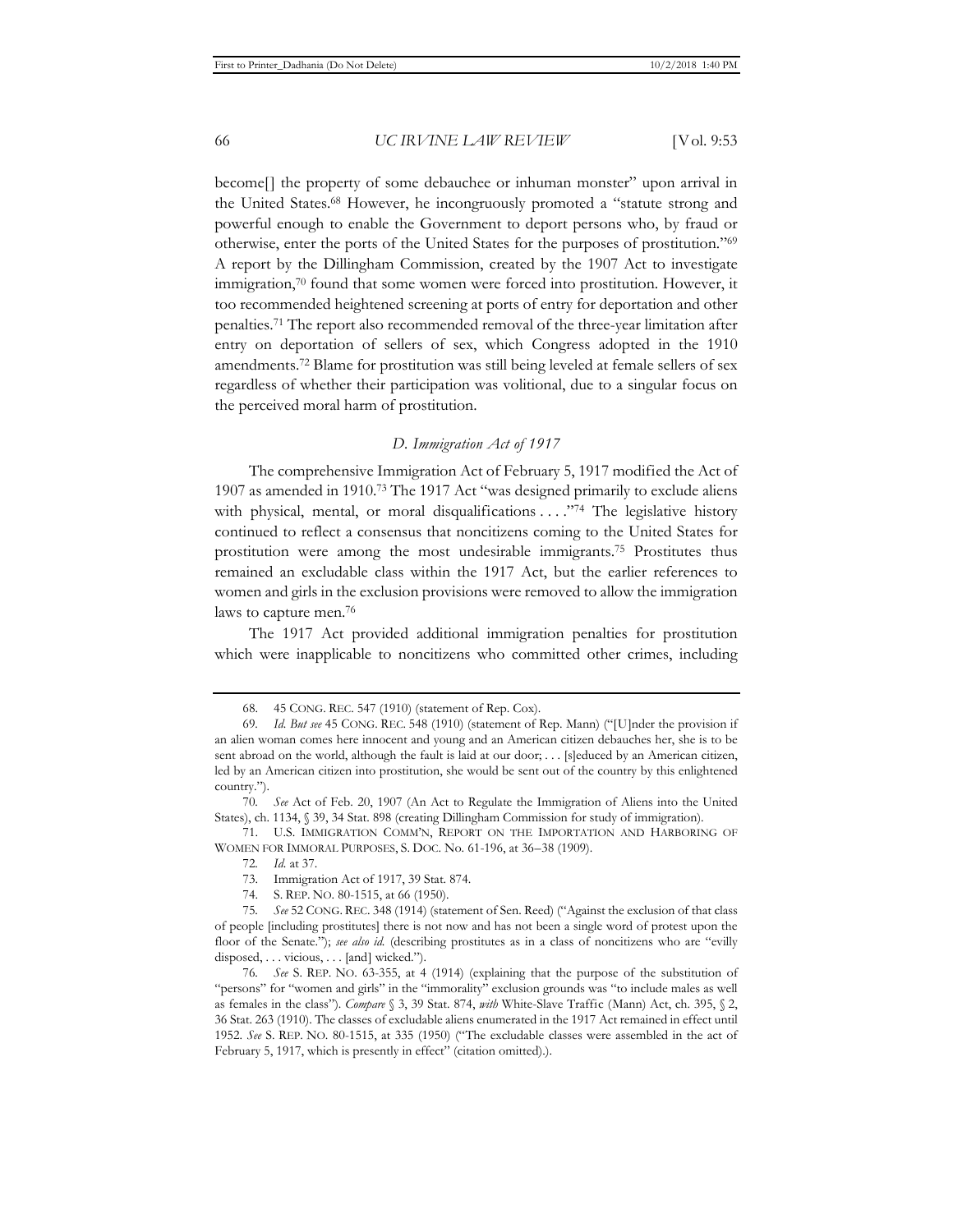become[] the property of some debauchee or inhuman monster" upon arrival in the United States.68 However, he incongruously promoted a "statute strong and powerful enough to enable the Government to deport persons who, by fraud or otherwise, enter the ports of the United States for the purposes of prostitution."69 A report by the Dillingham Commission, created by the 1907 Act to investigate immigration, $70$  found that some women were forced into prostitution. However, it too recommended heightened screening at ports of entry for deportation and other penalties.71 The report also recommended removal of the three-year limitation after entry on deportation of sellers of sex, which Congress adopted in the 1910 amendments.72 Blame for prostitution was still being leveled at female sellers of sex regardless of whether their participation was volitional, due to a singular focus on the perceived moral harm of prostitution.

#### *D. Immigration Act of 1917*

The comprehensive Immigration Act of February 5, 1917 modified the Act of 1907 as amended in 1910.73 The 1917 Act "was designed primarily to exclude aliens with physical, mental, or moral disqualifications . . . . "74 The legislative history continued to reflect a consensus that noncitizens coming to the United States for prostitution were among the most undesirable immigrants.75 Prostitutes thus remained an excludable class within the 1917 Act, but the earlier references to women and girls in the exclusion provisions were removed to allow the immigration laws to capture men.76

The 1917 Act provided additional immigration penalties for prostitution which were inapplicable to noncitizens who committed other crimes, including

71. U.S. IMMIGRATION COMM'N, REPORT ON THE IMPORTATION AND HARBORING OF WOMEN FOR IMMORAL PURPOSES, S. DOC. No. 61-196, at 36–38 (1909).

<sup>68. 45</sup> CONG. REC. 547 (1910) (statement of Rep. Cox).

<sup>69</sup>*. Id. But see* 45 CONG. REC. 548 (1910) (statement of Rep. Mann) ("[U]nder the provision if an alien woman comes here innocent and young and an American citizen debauches her, she is to be sent abroad on the world, although the fault is laid at our door; . . . [s]educed by an American citizen, led by an American citizen into prostitution, she would be sent out of the country by this enlightened country.").

<sup>70</sup>*. See* Act of Feb. 20, 1907 (An Act to Regulate the Immigration of Aliens into the United States), ch. 1134, § 39, 34 Stat. 898 (creating Dillingham Commission for study of immigration).

<sup>72</sup>*. Id.* at 37.

<sup>73.</sup> Immigration Act of 1917, 39 Stat. 874.

<sup>74.</sup> S. REP. NO. 80-1515, at 66 (1950).

<sup>75</sup>*. See* 52 CONG. REC. 348 (1914) (statement of Sen. Reed) ("Against the exclusion of that class of people [including prostitutes] there is not now and has not been a single word of protest upon the floor of the Senate."); *see also id.* (describing prostitutes as in a class of noncitizens who are "evilly disposed, . . . vicious, . . . [and] wicked.").

<sup>76</sup>*. See* S. REP. NO. 63-355, at 4 (1914) (explaining that the purpose of the substitution of "persons" for "women and girls" in the "immorality" exclusion grounds was "to include males as well as females in the class"). *Compare* § 3, 39 Stat. 874, *with* White-Slave Traffic (Mann) Act, ch. 395, § 2, 36 Stat. 263 (1910). The classes of excludable aliens enumerated in the 1917 Act remained in effect until 1952. *See* S. REP. NO. 80-1515, at 335 (1950) ("The excludable classes were assembled in the act of February 5, 1917, which is presently in effect" (citation omitted).).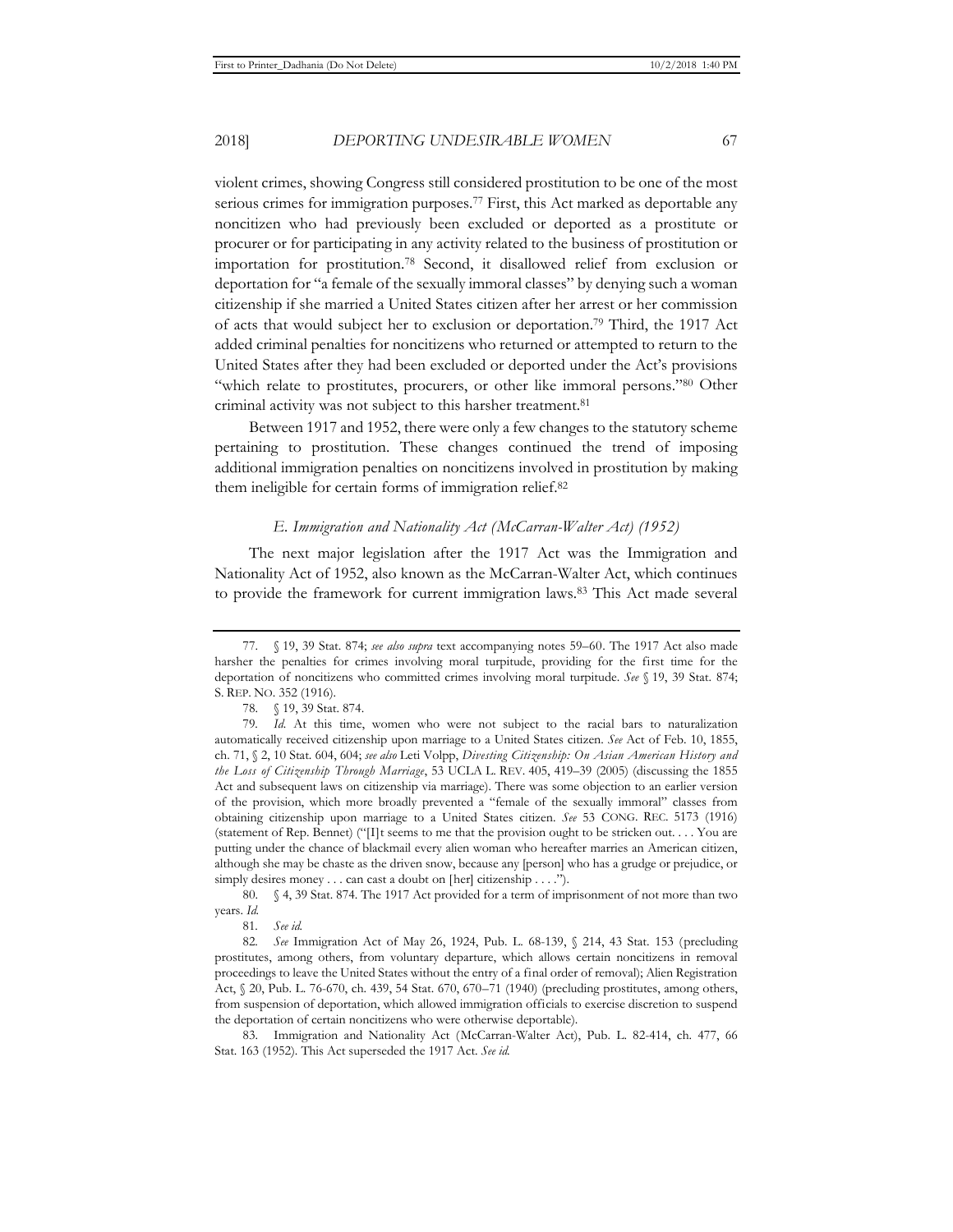2018] *DEPORTING UNDESIRABLE WOMEN* 67

violent crimes, showing Congress still considered prostitution to be one of the most serious crimes for immigration purposes.77 First, this Act marked as deportable any noncitizen who had previously been excluded or deported as a prostitute or procurer or for participating in any activity related to the business of prostitution or importation for prostitution.78 Second, it disallowed relief from exclusion or deportation for "a female of the sexually immoral classes" by denying such a woman citizenship if she married a United States citizen after her arrest or her commission of acts that would subject her to exclusion or deportation.79 Third, the 1917 Act added criminal penalties for noncitizens who returned or attempted to return to the United States after they had been excluded or deported under the Act's provisions "which relate to prostitutes, procurers, or other like immoral persons."80 Other criminal activity was not subject to this harsher treatment.<sup>81</sup>

Between 1917 and 1952, there were only a few changes to the statutory scheme pertaining to prostitution. These changes continued the trend of imposing additional immigration penalties on noncitizens involved in prostitution by making them ineligible for certain forms of immigration relief.82

#### *E. Immigration and Nationality Act (McCarran-Walter Act) (1952)*

The next major legislation after the 1917 Act was the Immigration and Nationality Act of 1952, also known as the McCarran-Walter Act, which continues to provide the framework for current immigration laws.83 This Act made several

<sup>77. § 19, 39</sup> Stat. 874; *see also supra* text accompanying notes 59–60. The 1917 Act also made harsher the penalties for crimes involving moral turpitude, providing for the first time for the deportation of noncitizens who committed crimes involving moral turpitude. *See* § 19, 39 Stat. 874; S. REP. NO. 352 (1916).

<sup>78. § 19, 39</sup> Stat. 874.

<sup>79</sup>*. Id.* At this time, women who were not subject to the racial bars to naturalization automatically received citizenship upon marriage to a United States citizen. *See* Act of Feb. 10, 1855, ch. 71, § 2, 10 Stat. 604, 604; *see also* Leti Volpp, *Divesting Citizenship: On Asian American History and the Loss of Citizenship Through Marriage*, 53 UCLA L. REV. 405, 419–39 (2005) (discussing the 1855 Act and subsequent laws on citizenship via marriage). There was some objection to an earlier version of the provision, which more broadly prevented a "female of the sexually immoral" classes from obtaining citizenship upon marriage to a United States citizen. *See* 53 CONG. REC. 5173 (1916) (statement of Rep. Bennet) ("[I]t seems to me that the provision ought to be stricken out. . . . You are putting under the chance of blackmail every alien woman who hereafter marries an American citizen, although she may be chaste as the driven snow, because any [person] who has a grudge or prejudice, or simply desires money . . . can cast a doubt on [her] citizenship . . . .").

<sup>80. § 4, 39</sup> Stat. 874. The 1917 Act provided for a term of imprisonment of not more than two years. *Id.*

<sup>81</sup>*. See id.*

<sup>82</sup>*. See* Immigration Act of May 26, 1924, Pub. L. 68-139, § 214, 43 Stat. 153 (precluding prostitutes, among others, from voluntary departure, which allows certain noncitizens in removal proceedings to leave the United States without the entry of a final order of removal); Alien Registration Act, § 20, Pub. L. 76-670, ch. 439, 54 Stat. 670, 670–71 (1940) (precluding prostitutes, among others, from suspension of deportation, which allowed immigration officials to exercise discretion to suspend the deportation of certain noncitizens who were otherwise deportable).

<sup>83.</sup> Immigration and Nationality Act (McCarran-Walter Act), Pub. L. 82-414, ch. 477, 66 Stat. 163 (1952). This Act superseded the 1917 Act. *See id.*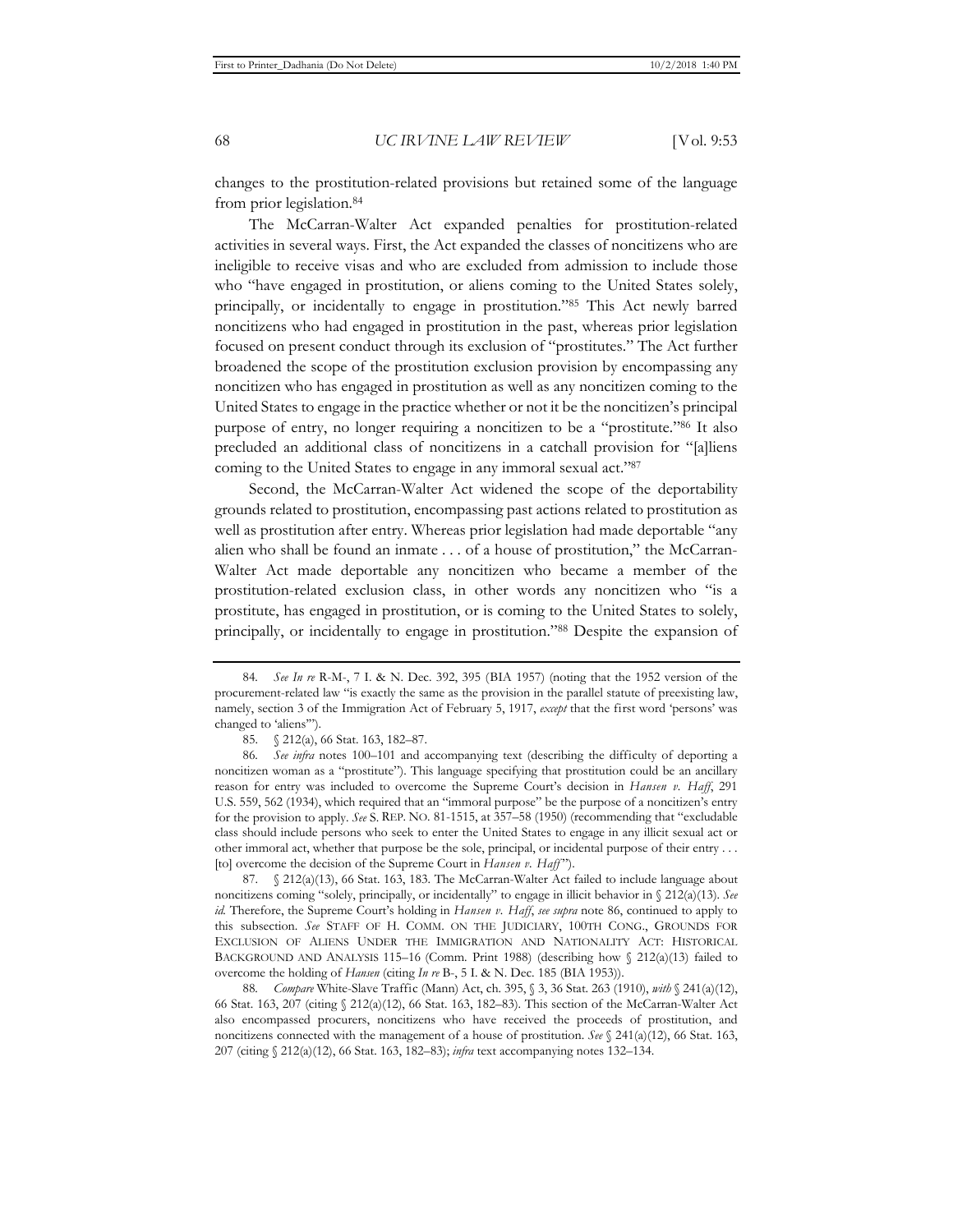changes to the prostitution-related provisions but retained some of the language from prior legislation.84

The McCarran-Walter Act expanded penalties for prostitution-related activities in several ways. First, the Act expanded the classes of noncitizens who are ineligible to receive visas and who are excluded from admission to include those who "have engaged in prostitution, or aliens coming to the United States solely, principally, or incidentally to engage in prostitution."85 This Act newly barred noncitizens who had engaged in prostitution in the past, whereas prior legislation focused on present conduct through its exclusion of "prostitutes." The Act further broadened the scope of the prostitution exclusion provision by encompassing any noncitizen who has engaged in prostitution as well as any noncitizen coming to the United States to engage in the practice whether or not it be the noncitizen's principal purpose of entry, no longer requiring a noncitizen to be a "prostitute."86 It also precluded an additional class of noncitizens in a catchall provision for "[a]liens coming to the United States to engage in any immoral sexual act."87

Second, the McCarran-Walter Act widened the scope of the deportability grounds related to prostitution, encompassing past actions related to prostitution as well as prostitution after entry. Whereas prior legislation had made deportable "any alien who shall be found an inmate . . . of a house of prostitution," the McCarran-Walter Act made deportable any noncitizen who became a member of the prostitution-related exclusion class, in other words any noncitizen who "is a prostitute, has engaged in prostitution, or is coming to the United States to solely, principally, or incidentally to engage in prostitution."88 Despite the expansion of

87. § 212(a)(13), 66 Stat. 163, 183. The McCarran-Walter Act failed to include language about noncitizens coming "solely, principally, or incidentally" to engage in illicit behavior in § 212(a)(13). *See id.* Therefore, the Supreme Court's holding in *Hansen v. Haff*, *see supra* note 86, continued to apply to this subsection. *See* STAFF OF H. COMM. ON THE JUDICIARY, 100TH CONG., GROUNDS FOR EXCLUSION OF ALIENS UNDER THE IMMIGRATION AND NATIONALITY ACT: HISTORICAL BACKGROUND AND ANALYSIS 115–16 (Comm. Print 1988) (describing how  $\frac{6}{3}$  212(a)(13) failed to overcome the holding of *Hansen* (citing *In re* B-, 5 I. & N. Dec. 185 (BIA 1953)).

88*. Compare* White-Slave Traffic (Mann) Act, ch. 395, § 3, 36 Stat. 263 (1910), *with* § 241(a)(12), 66 Stat. 163, 207 (citing § 212(a)(12), 66 Stat. 163, 182–83). This section of the McCarran-Walter Act also encompassed procurers, noncitizens who have received the proceeds of prostitution, and noncitizens connected with the management of a house of prostitution. *See* § 241(a)(12), 66 Stat. 163, 207 (citing § 212(a)(12), 66 Stat. 163, 182–83); *infra* text accompanying notes 132–134.

<sup>84</sup>*. See In re* R-M-, 7 I. & N. Dec. 392, 395 (BIA 1957) (noting that the 1952 version of the procurement-related law "is exactly the same as the provision in the parallel statute of preexisting law, namely, section 3 of the Immigration Act of February 5, 1917, *except* that the first word 'persons' was changed to 'aliens'").

<sup>85. § 212(</sup>a), 66 Stat. 163, 182–87.

<sup>86</sup>*. See infra* notes 100–101 and accompanying text (describing the difficulty of deporting a noncitizen woman as a "prostitute"). This language specifying that prostitution could be an ancillary reason for entry was included to overcome the Supreme Court's decision in *Hansen v. Haff*, 291 U.S. 559, 562 (1934), which required that an "immoral purpose" be the purpose of a noncitizen's entry for the provision to apply. *See* S. REP. NO. 81-1515, at 357–58 (1950) (recommending that "excludable class should include persons who seek to enter the United States to engage in any illicit sexual act or other immoral act, whether that purpose be the sole, principal, or incidental purpose of their entry . . . [to] overcome the decision of the Supreme Court in *Hansen v. Haff* ").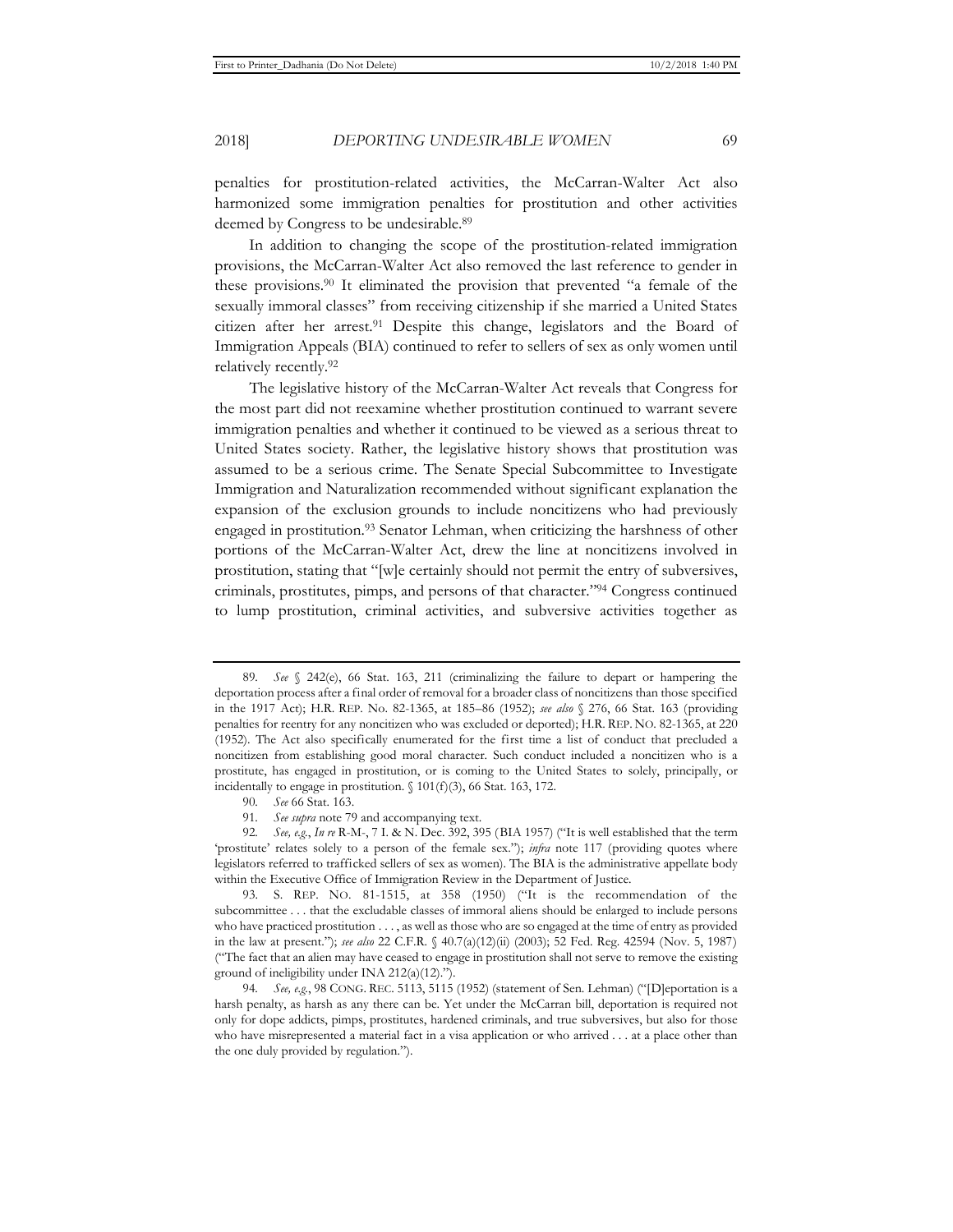penalties for prostitution-related activities, the McCarran-Walter Act also harmonized some immigration penalties for prostitution and other activities deemed by Congress to be undesirable.<sup>89</sup>

In addition to changing the scope of the prostitution-related immigration provisions, the McCarran-Walter Act also removed the last reference to gender in these provisions.90 It eliminated the provision that prevented "a female of the sexually immoral classes" from receiving citizenship if she married a United States citizen after her arrest.91 Despite this change, legislators and the Board of Immigration Appeals (BIA) continued to refer to sellers of sex as only women until relatively recently.92

The legislative history of the McCarran-Walter Act reveals that Congress for the most part did not reexamine whether prostitution continued to warrant severe immigration penalties and whether it continued to be viewed as a serious threat to United States society. Rather, the legislative history shows that prostitution was assumed to be a serious crime. The Senate Special Subcommittee to Investigate Immigration and Naturalization recommended without significant explanation the expansion of the exclusion grounds to include noncitizens who had previously engaged in prostitution.<sup>93</sup> Senator Lehman, when criticizing the harshness of other portions of the McCarran-Walter Act, drew the line at noncitizens involved in prostitution, stating that "[w]e certainly should not permit the entry of subversives, criminals, prostitutes, pimps, and persons of that character."94 Congress continued to lump prostitution, criminal activities, and subversive activities together as

<sup>89</sup>*. See* § 242(e), 66 Stat. 163, 211 (criminalizing the failure to depart or hampering the deportation process after a final order of removal for a broader class of noncitizens than those specified in the 1917 Act); H.R. REP. No. 82-1365, at 185–86 (1952); *see also* § 276, 66 Stat. 163 (providing penalties for reentry for any noncitizen who was excluded or deported); H.R. REP. NO. 82-1365, at 220 (1952). The Act also specifically enumerated for the first time a list of conduct that precluded a noncitizen from establishing good moral character. Such conduct included a noncitizen who is a prostitute, has engaged in prostitution, or is coming to the United States to solely, principally, or incidentally to engage in prostitution. § 101(f)(3), 66 Stat. 163, 172.

<sup>90</sup>*. See* 66 Stat. 163.

<sup>91</sup>*. See supra* note 79 and accompanying text.

<sup>92</sup>*. See, e.g.*, *In re* R-M-, 7 I. & N. Dec. 392, 395 (BIA 1957) ("It is well established that the term 'prostitute' relates solely to a person of the female sex."); *infra* note 117 (providing quotes where legislators referred to trafficked sellers of sex as women). The BIA is the administrative appellate body within the Executive Office of Immigration Review in the Department of Justice.

<sup>93.</sup> S. REP. NO. 81-1515, at 358 (1950) ("It is the recommendation of the subcommittee . . . that the excludable classes of immoral aliens should be enlarged to include persons who have practiced prostitution . . . , as well as those who are so engaged at the time of entry as provided in the law at present."); *see also* 22 C.F.R. § 40.7(a)(12)(ii) (2003); 52 Fed. Reg. 42594 (Nov. 5, 1987) ("The fact that an alien may have ceased to engage in prostitution shall not serve to remove the existing ground of ineligibility under INA 212(a)(12).").

<sup>94</sup>*. See, e.g.*, 98 CONG. REC. 5113, 5115 (1952) (statement of Sen. Lehman) ("[D]eportation is a harsh penalty, as harsh as any there can be. Yet under the McCarran bill, deportation is required not only for dope addicts, pimps, prostitutes, hardened criminals, and true subversives, but also for those who have misrepresented a material fact in a visa application or who arrived . . . at a place other than the one duly provided by regulation.").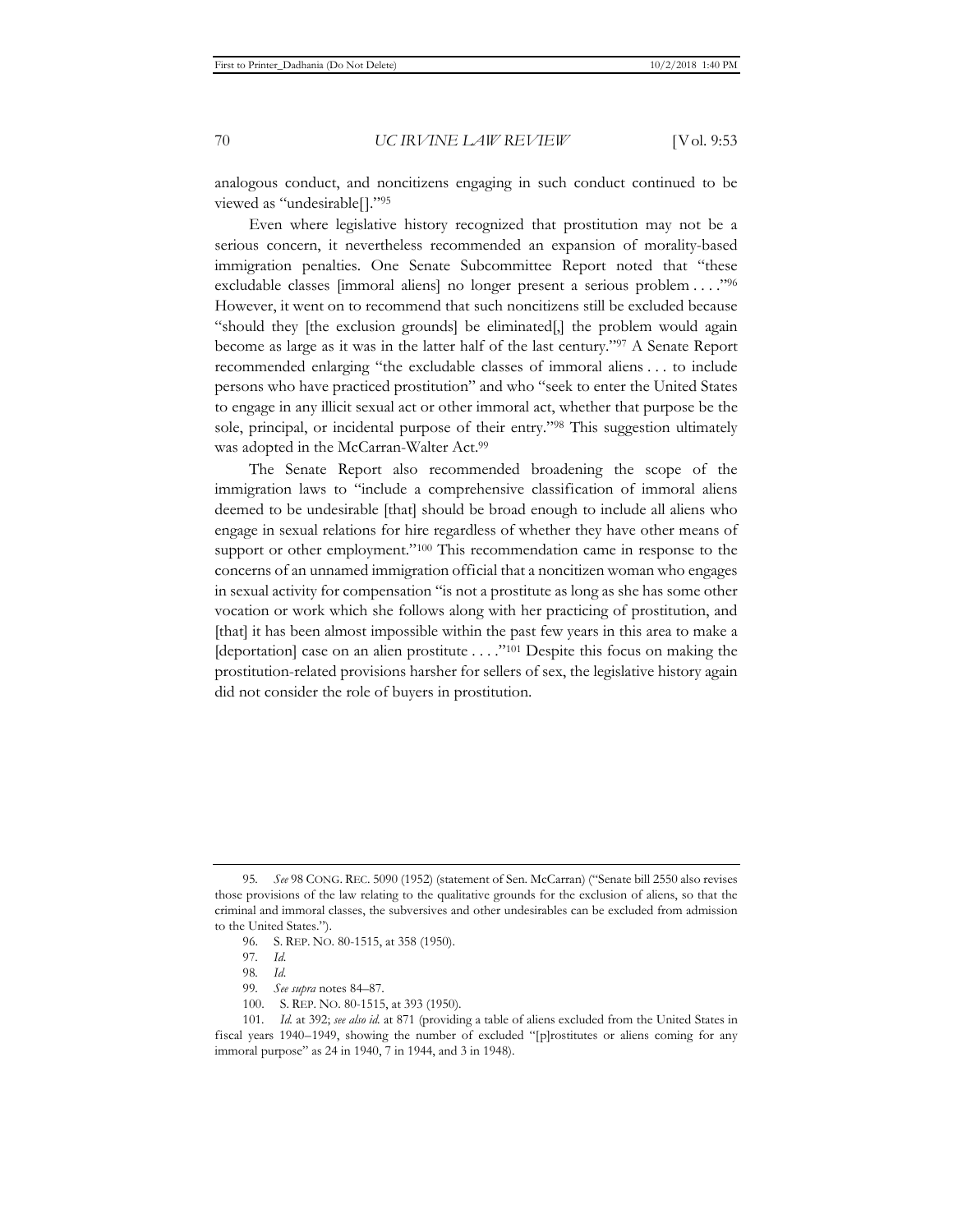analogous conduct, and noncitizens engaging in such conduct continued to be viewed as "undesirable[]."95

Even where legislative history recognized that prostitution may not be a serious concern, it nevertheless recommended an expansion of morality-based immigration penalties. One Senate Subcommittee Report noted that "these excludable classes [immoral aliens] no longer present a serious problem . . . ."96 However, it went on to recommend that such noncitizens still be excluded because "should they [the exclusion grounds] be eliminated[,] the problem would again become as large as it was in the latter half of the last century."97 A Senate Report recommended enlarging "the excludable classes of immoral aliens . . . to include persons who have practiced prostitution" and who "seek to enter the United States to engage in any illicit sexual act or other immoral act, whether that purpose be the sole, principal, or incidental purpose of their entry."98 This suggestion ultimately was adopted in the McCarran-Walter Act.<sup>99</sup>

The Senate Report also recommended broadening the scope of the immigration laws to "include a comprehensive classification of immoral aliens deemed to be undesirable [that] should be broad enough to include all aliens who engage in sexual relations for hire regardless of whether they have other means of support or other employment."<sup>100</sup> This recommendation came in response to the concerns of an unnamed immigration official that a noncitizen woman who engages in sexual activity for compensation "is not a prostitute as long as she has some other vocation or work which she follows along with her practicing of prostitution, and [that] it has been almost impossible within the past few years in this area to make a [deportation] case on an alien prostitute . . . ."101 Despite this focus on making the prostitution-related provisions harsher for sellers of sex, the legislative history again did not consider the role of buyers in prostitution.

<sup>95</sup>*. See* 98 CONG. REC. 5090 (1952) (statement of Sen. McCarran) ("Senate bill 2550 also revises those provisions of the law relating to the qualitative grounds for the exclusion of aliens, so that the criminal and immoral classes, the subversives and other undesirables can be excluded from admission to the United States.").

<sup>96.</sup> S. REP. NO. 80-1515, at 358 (1950).

<sup>97</sup>*. Id.*

<sup>98</sup>*. Id.* 

<sup>99</sup>*. See supra* notes 84–87.

<sup>100.</sup> S. REP. NO. 80-1515, at 393 (1950).

<sup>101</sup>*. Id.* at 392; *see also id.* at 871 (providing a table of aliens excluded from the United States in fiscal years 1940–1949, showing the number of excluded "[p]rostitutes or aliens coming for any immoral purpose" as 24 in 1940, 7 in 1944, and 3 in 1948).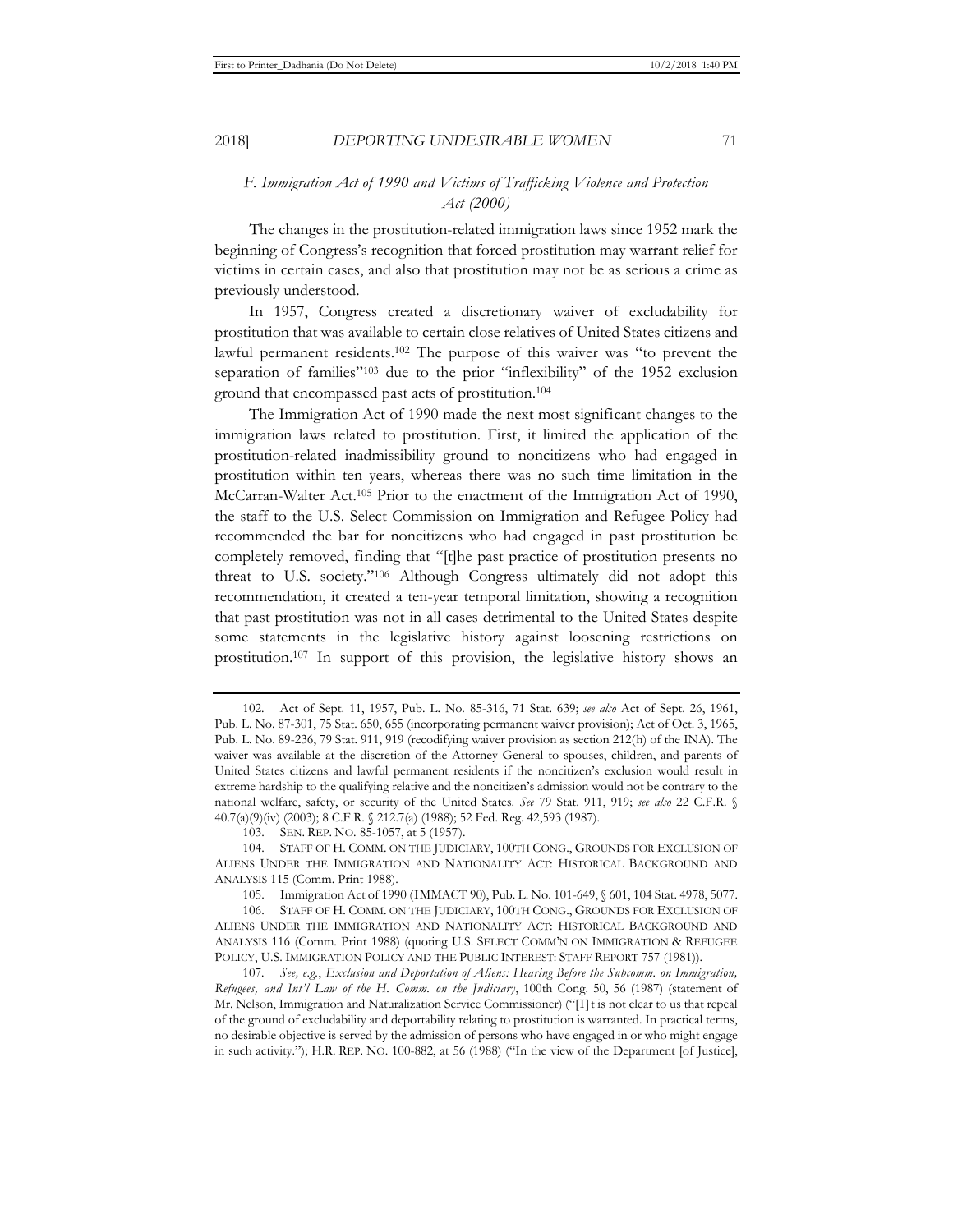# *F. Immigration Act of 1990 and Victims of Trafficking Violence and Protection Act (2000)*

The changes in the prostitution-related immigration laws since 1952 mark the beginning of Congress's recognition that forced prostitution may warrant relief for victims in certain cases, and also that prostitution may not be as serious a crime as previously understood.

In 1957, Congress created a discretionary waiver of excludability for prostitution that was available to certain close relatives of United States citizens and lawful permanent residents.102 The purpose of this waiver was "to prevent the separation of families"<sup>103</sup> due to the prior "inflexibility" of the 1952 exclusion ground that encompassed past acts of prostitution.104

The Immigration Act of 1990 made the next most significant changes to the immigration laws related to prostitution. First, it limited the application of the prostitution-related inadmissibility ground to noncitizens who had engaged in prostitution within ten years, whereas there was no such time limitation in the McCarran-Walter Act.105 Prior to the enactment of the Immigration Act of 1990, the staff to the U.S. Select Commission on Immigration and Refugee Policy had recommended the bar for noncitizens who had engaged in past prostitution be completely removed, finding that "[t]he past practice of prostitution presents no threat to U.S. society."106 Although Congress ultimately did not adopt this recommendation, it created a ten-year temporal limitation, showing a recognition that past prostitution was not in all cases detrimental to the United States despite some statements in the legislative history against loosening restrictions on prostitution.107 In support of this provision, the legislative history shows an

<sup>102.</sup> Act of Sept. 11, 1957, Pub. L. No. 85-316, 71 Stat. 639; *see also* Act of Sept. 26, 1961, Pub. L. No. 87-301, 75 Stat. 650, 655 (incorporating permanent waiver provision); Act of Oct. 3, 1965, Pub. L. No. 89-236, 79 Stat. 911, 919 (recodifying waiver provision as section 212(h) of the INA). The waiver was available at the discretion of the Attorney General to spouses, children, and parents of United States citizens and lawful permanent residents if the noncitizen's exclusion would result in extreme hardship to the qualifying relative and the noncitizen's admission would not be contrary to the national welfare, safety, or security of the United States. *See* 79 Stat. 911, 919; *see also* 22 C.F.R. § 40.7(a)(9)(iv) (2003); 8 C.F.R. § 212.7(a) (1988); 52 Fed. Reg. 42,593 (1987).

<sup>103.</sup> SEN. REP. NO. 85-1057, at 5 (1957).

<sup>104.</sup> STAFF OF H. COMM. ON THE JUDICIARY, 100TH CONG., GROUNDS FOR EXCLUSION OF ALIENS UNDER THE IMMIGRATION AND NATIONALITY ACT: HISTORICAL BACKGROUND AND ANALYSIS 115 (Comm. Print 1988).

<sup>105.</sup> Immigration Act of 1990 (IMMACT 90), Pub. L. No. 101-649, § 601, 104 Stat. 4978, 5077.

<sup>106.</sup> STAFF OF H. COMM. ON THE JUDICIARY, 100TH CONG., GROUNDS FOR EXCLUSION OF ALIENS UNDER THE IMMIGRATION AND NATIONALITY ACT: HISTORICAL BACKGROUND AND ANALYSIS 116 (Comm. Print 1988) (quoting U.S. SELECT COMM'N ON IMMIGRATION & REFUGEE POLICY, U.S. IMMIGRATION POLICY AND THE PUBLIC INTEREST: STAFF REPORT 757 (1981)).

<sup>107</sup>*. See, e.g.*, *Exclusion and Deportation of Aliens: Hearing Before the Subcomm. on Immigration, Refugees, and Int'l Law of the H. Comm. on the Judiciary*, 100th Cong. 50, 56 (1987) (statement of Mr. Nelson, Immigration and Naturalization Service Commissioner) ("[I]t is not clear to us that repeal of the ground of excludability and deportability relating to prostitution is warranted. In practical terms, no desirable objective is served by the admission of persons who have engaged in or who might engage in such activity."); H.R. REP. NO. 100-882, at 56 (1988) ("In the view of the Department [of Justice],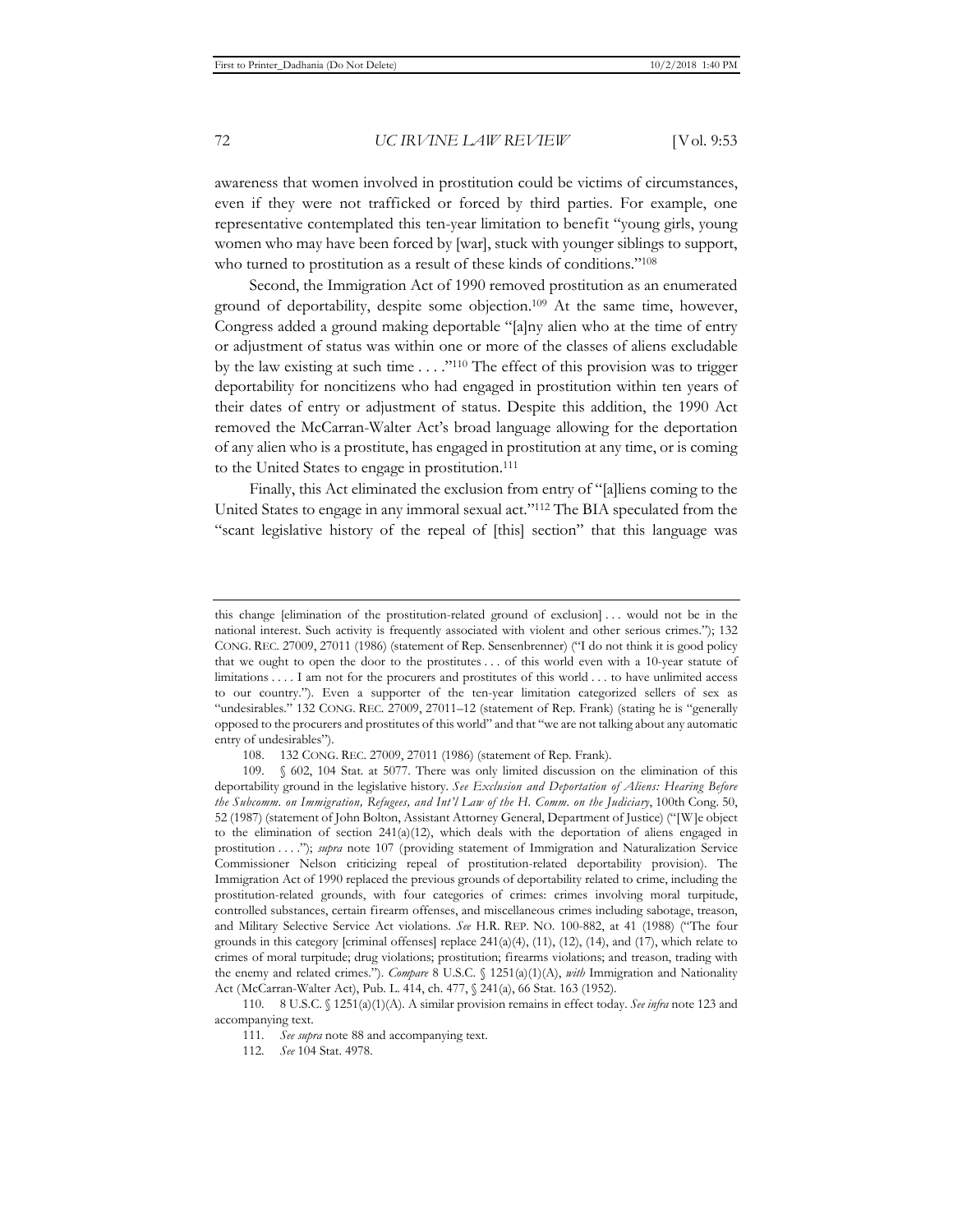awareness that women involved in prostitution could be victims of circumstances, even if they were not trafficked or forced by third parties. For example, one representative contemplated this ten-year limitation to benefit "young girls, young women who may have been forced by [war], stuck with younger siblings to support, who turned to prostitution as a result of these kinds of conditions."<sup>108</sup>

Second, the Immigration Act of 1990 removed prostitution as an enumerated ground of deportability, despite some objection.109 At the same time, however, Congress added a ground making deportable "[a]ny alien who at the time of entry or adjustment of status was within one or more of the classes of aliens excludable by the law existing at such time . . . ."110 The effect of this provision was to trigger deportability for noncitizens who had engaged in prostitution within ten years of their dates of entry or adjustment of status. Despite this addition, the 1990 Act removed the McCarran-Walter Act's broad language allowing for the deportation of any alien who is a prostitute, has engaged in prostitution at any time, or is coming to the United States to engage in prostitution.111

Finally, this Act eliminated the exclusion from entry of "[a]liens coming to the United States to engage in any immoral sexual act."112 The BIA speculated from the "scant legislative history of the repeal of [this] section" that this language was

110. 8 U.S.C. § 1251(a)(1)(A). A similar provision remains in effect today. *See infra* note 123 and accompanying text.

this change [elimination of the prostitution-related ground of exclusion] . . . would not be in the national interest. Such activity is frequently associated with violent and other serious crimes."); 132 CONG. REC. 27009, 27011 (1986) (statement of Rep. Sensenbrenner) ("I do not think it is good policy that we ought to open the door to the prostitutes . . . of this world even with a 10-year statute of limitations . . . . I am not for the procurers and prostitutes of this world . . . to have unlimited access to our country."). Even a supporter of the ten-year limitation categorized sellers of sex as "undesirables." 132 CONG. REC. 27009, 27011–12 (statement of Rep. Frank) (stating he is "generally opposed to the procurers and prostitutes of this world" and that "we are not talking about any automatic entry of undesirables").

<sup>108. 132</sup> CONG. REC. 27009, 27011 (1986) (statement of Rep. Frank).

<sup>109. § 602, 104</sup> Stat. at 5077. There was only limited discussion on the elimination of this deportability ground in the legislative history. *See Exclusion and Deportation of Aliens: Hearing Before the Subcomm. on Immigration, Refugees, and Int'l Law of the H. Comm. on the Judiciary*, 100th Cong. 50, 52 (1987) (statement of John Bolton, Assistant Attorney General, Department of Justice) ("[W]e object to the elimination of section  $241(a)(12)$ , which deals with the deportation of aliens engaged in prostitution . . . ."); *supra* note 107 (providing statement of Immigration and Naturalization Service Commissioner Nelson criticizing repeal of prostitution-related deportability provision). The Immigration Act of 1990 replaced the previous grounds of deportability related to crime, including the prostitution-related grounds, with four categories of crimes: crimes involving moral turpitude, controlled substances, certain firearm offenses, and miscellaneous crimes including sabotage, treason, and Military Selective Service Act violations. *See* H.R. REP. NO. 100-882, at 41 (1988) ("The four grounds in this category [criminal offenses] replace  $241(a)(4)$ ,  $(11)$ ,  $(12)$ ,  $(14)$ , and  $(17)$ , which relate to crimes of moral turpitude; drug violations; prostitution; firearms violations; and treason, trading with the enemy and related crimes."). *Compare* 8 U.S.C. § 1251(a)(1)(A), *with* Immigration and Nationality Act (McCarran-Walter Act), Pub. L. 414, ch. 477, § 241(a), 66 Stat. 163 (1952).

<sup>111</sup>*. See supra* note 88 and accompanying text.

<sup>112</sup>*. See* 104 Stat. 4978.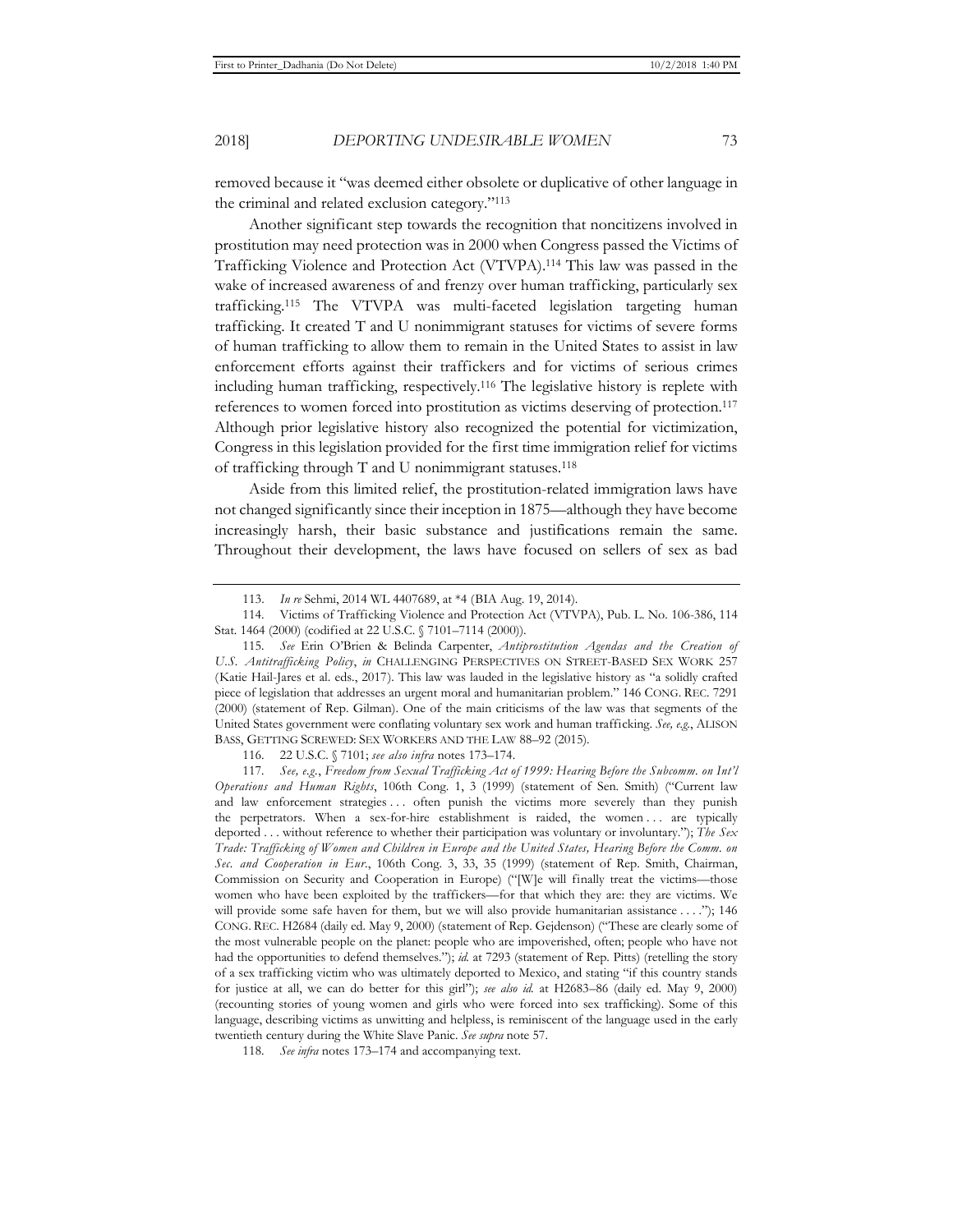removed because it "was deemed either obsolete or duplicative of other language in the criminal and related exclusion category."113

Another significant step towards the recognition that noncitizens involved in prostitution may need protection was in 2000 when Congress passed the Victims of Trafficking Violence and Protection Act (VTVPA).114 This law was passed in the wake of increased awareness of and frenzy over human trafficking, particularly sex trafficking.115 The VTVPA was multi-faceted legislation targeting human trafficking. It created T and U nonimmigrant statuses for victims of severe forms of human trafficking to allow them to remain in the United States to assist in law enforcement efforts against their traffickers and for victims of serious crimes including human trafficking, respectively.116 The legislative history is replete with references to women forced into prostitution as victims deserving of protection.117 Although prior legislative history also recognized the potential for victimization, Congress in this legislation provided for the first time immigration relief for victims of trafficking through T and U nonimmigrant statuses.118

Aside from this limited relief, the prostitution-related immigration laws have not changed significantly since their inception in 1875—although they have become increasingly harsh, their basic substance and justifications remain the same. Throughout their development, the laws have focused on sellers of sex as bad

116. 22 U.S.C. § 7101; *see also infra* notes 173–174.

<sup>113.</sup> *In re* Sehmi, 2014 WL 4407689, at \*4 (BIA Aug. 19, 2014).

<sup>114.</sup> Victims of Trafficking Violence and Protection Act (VTVPA), Pub. L. No. 106-386, 114 Stat. 1464 (2000) (codified at 22 U.S.C. § 7101–7114 (2000)).

<sup>115</sup>*. See* Erin O'Brien & Belinda Carpenter, *Antiprostitution Agendas and the Creation of U.S. Antitrafficking Policy*, *in* CHALLENGING PERSPECTIVES ON STREET-BASED SEX WORK 257 (Katie Hail-Jares et al. eds., 2017). This law was lauded in the legislative history as "a solidly crafted piece of legislation that addresses an urgent moral and humanitarian problem." 146 CONG. REC. 7291 (2000) (statement of Rep. Gilman). One of the main criticisms of the law was that segments of the United States government were conflating voluntary sex work and human trafficking. *See, e.g.*, ALISON BASS, GETTING SCREWED: SEX WORKERS AND THE LAW 88–92 (2015).

<sup>117</sup>*. See, e.g.*, *Freedom from Sexual Trafficking Act of 1999: Hearing Before the Subcomm. on Int'l Operations and Human Rights*, 106th Cong. 1, 3 (1999) (statement of Sen. Smith) ("Current law and law enforcement strategies ... often punish the victims more severely than they punish the perpetrators. When a sex-for-hire establishment is raided, the women . . . are typically deported . . . without reference to whether their participation was voluntary or involuntary."); *The Sex Trade: Trafficking of Women and Children in Europe and the United States, Hearing Before the Comm. on Sec. and Cooperation in Eur.*, 106th Cong. 3, 33, 35 (1999) (statement of Rep. Smith, Chairman, Commission on Security and Cooperation in Europe) ("[W]e will finally treat the victims—those women who have been exploited by the traffickers—for that which they are: they are victims. We will provide some safe haven for them, but we will also provide humanitarian assistance . . . ."); 146 CONG. REC. H2684 (daily ed. May 9, 2000) (statement of Rep. Gejdenson) ("These are clearly some of the most vulnerable people on the planet: people who are impoverished, often; people who have not had the opportunities to defend themselves."); *id.* at 7293 (statement of Rep. Pitts) (retelling the story of a sex trafficking victim who was ultimately deported to Mexico, and stating "if this country stands for justice at all, we can do better for this girl"); *see also id.* at H2683–86 (daily ed. May 9, 2000) (recounting stories of young women and girls who were forced into sex trafficking). Some of this language, describing victims as unwitting and helpless, is reminiscent of the language used in the early twentieth century during the White Slave Panic. *See supra* note 57.

<sup>118</sup>*. See infra* notes 173–174 and accompanying text.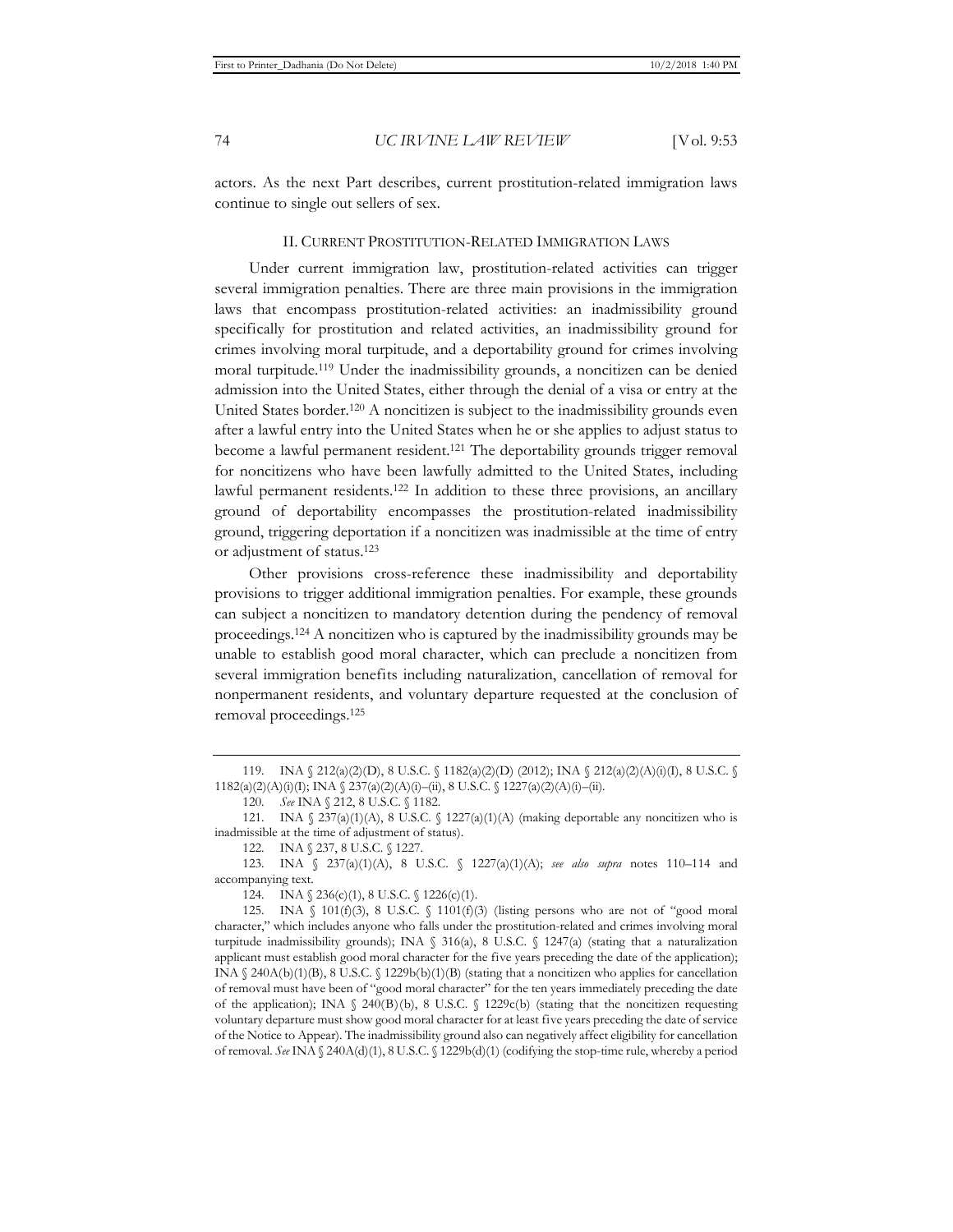actors. As the next Part describes, current prostitution-related immigration laws continue to single out sellers of sex.

#### II. CURRENT PROSTITUTION-RELATED IMMIGRATION LAWS

Under current immigration law, prostitution-related activities can trigger several immigration penalties. There are three main provisions in the immigration laws that encompass prostitution-related activities: an inadmissibility ground specifically for prostitution and related activities, an inadmissibility ground for crimes involving moral turpitude, and a deportability ground for crimes involving moral turpitude.119 Under the inadmissibility grounds, a noncitizen can be denied admission into the United States, either through the denial of a visa or entry at the United States border.120 A noncitizen is subject to the inadmissibility grounds even after a lawful entry into the United States when he or she applies to adjust status to become a lawful permanent resident.121 The deportability grounds trigger removal for noncitizens who have been lawfully admitted to the United States, including lawful permanent residents.122 In addition to these three provisions, an ancillary ground of deportability encompasses the prostitution-related inadmissibility ground, triggering deportation if a noncitizen was inadmissible at the time of entry or adjustment of status.123

Other provisions cross-reference these inadmissibility and deportability provisions to trigger additional immigration penalties. For example, these grounds can subject a noncitizen to mandatory detention during the pendency of removal proceedings.124 A noncitizen who is captured by the inadmissibility grounds may be unable to establish good moral character, which can preclude a noncitizen from several immigration benefits including naturalization, cancellation of removal for nonpermanent residents, and voluntary departure requested at the conclusion of removal proceedings.125

<sup>119.</sup> INA § 212(a)(2)(D), 8 U.S.C. § 1182(a)(2)(D) (2012); INA § 212(a)(2)(A)(i)(I), 8 U.S.C. § 1182(a)(2)(A)(i)(I); INA § 237(a)(2)(A)(i)–(ii), 8 U.S.C. § 1227(a)(2)(A)(i)–(ii).

<sup>120</sup>*. See* INA § 212, 8 U.S.C. § 1182.

<sup>121.</sup> INA §  $237(a)(1)(A)$ , 8 U.S.C. § 1227(a)(1)(A) (making deportable any noncitizen who is inadmissible at the time of adjustment of status).

<sup>122.</sup> INA § 237, 8 U.S.C. § 1227.

<sup>123.</sup> INA § 237(a)(1)(A), 8 U.S.C. § 1227(a)(1)(A); *see also supra* notes 110–114 and accompanying text.

<sup>124.</sup> INA  $\{ 236(c)(1), 8 U.S.C. \{ 1226(c)(1). \}$ 

<sup>125.</sup> INA  $\{101(f)(3), 8 \text{ U.S.C. } \{1101(f)(3), (listing persons who are not of "good moral")\}$ character," which includes anyone who falls under the prostitution-related and crimes involving moral turpitude inadmissibility grounds); INA § 316(a), 8 U.S.C. § 1247(a) (stating that a naturalization applicant must establish good moral character for the five years preceding the date of the application); INA § 240A(b)(1)(B), 8 U.S.C. § 1229b(b)(1)(B) (stating that a noncitizen who applies for cancellation of removal must have been of "good moral character" for the ten years immediately preceding the date of the application); INA  $\S$  240(B)(b), 8 U.S.C.  $\S$  1229c(b) (stating that the noncitizen requesting voluntary departure must show good moral character for at least five years preceding the date of service of the Notice to Appear). The inadmissibility ground also can negatively affect eligibility for cancellation of removal. *See* INA § 240A(d)(1), 8 U.S.C. § 1229b(d)(1) (codifying the stop-time rule, whereby a period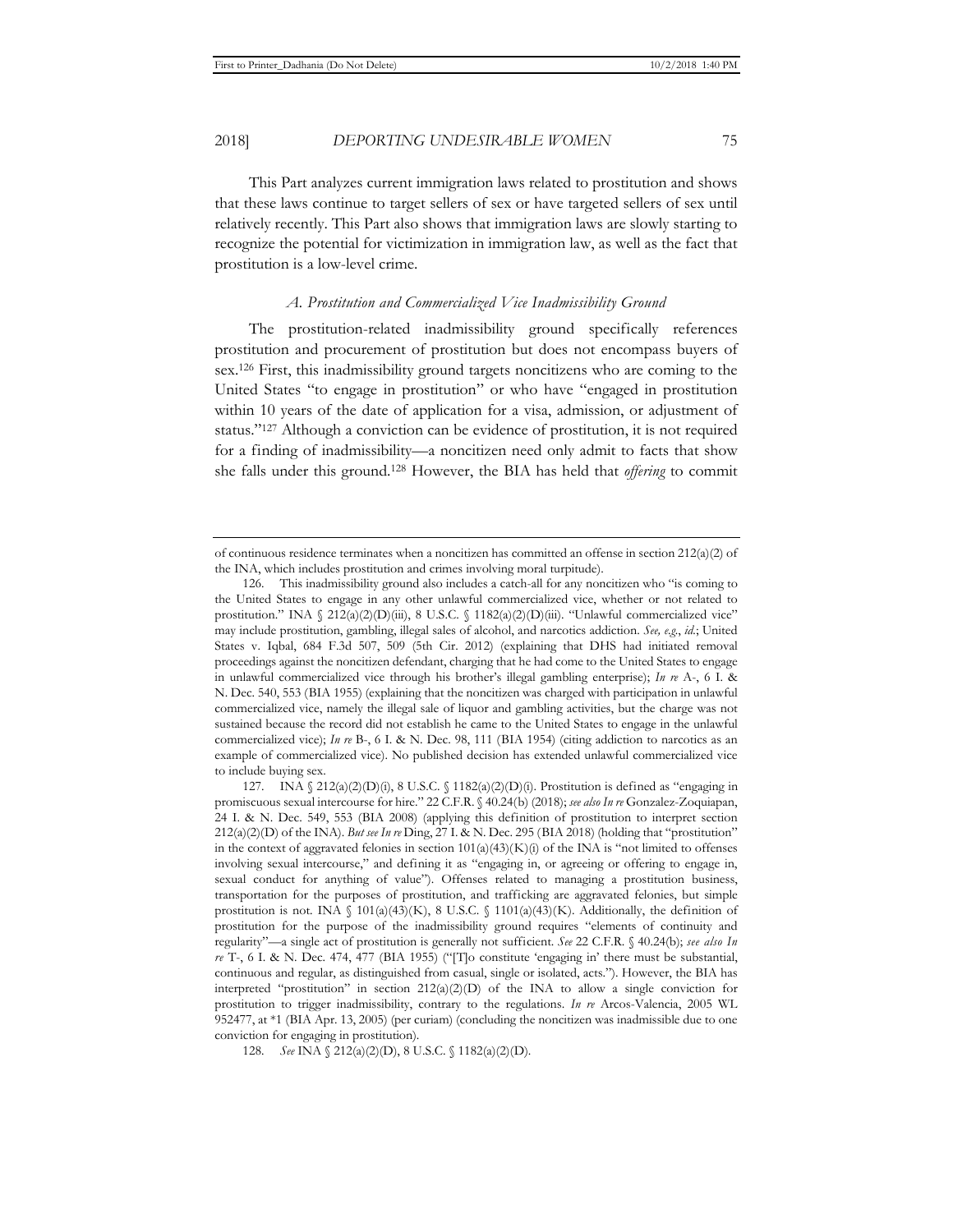This Part analyzes current immigration laws related to prostitution and shows that these laws continue to target sellers of sex or have targeted sellers of sex until relatively recently. This Part also shows that immigration laws are slowly starting to recognize the potential for victimization in immigration law, as well as the fact that prostitution is a low-level crime.

#### *A. Prostitution and Commercialized Vice Inadmissibility Ground*

The prostitution-related inadmissibility ground specifically references prostitution and procurement of prostitution but does not encompass buyers of sex.126 First, this inadmissibility ground targets noncitizens who are coming to the United States "to engage in prostitution" or who have "engaged in prostitution within 10 years of the date of application for a visa, admission, or adjustment of status."127 Although a conviction can be evidence of prostitution, it is not required for a finding of inadmissibility—a noncitizen need only admit to facts that show she falls under this ground.128 However, the BIA has held that *offering* to commit

of continuous residence terminates when a noncitizen has committed an offense in section 212(a)(2) of the INA, which includes prostitution and crimes involving moral turpitude).

<sup>126.</sup> This inadmissibility ground also includes a catch-all for any noncitizen who "is coming to the United States to engage in any other unlawful commercialized vice, whether or not related to prostitution." INA  $\frac{212(a)(2)(D)(iii)}{8}$ , 8 U.S.C.  $\frac{1182(a)(2)(D)(iii)}{2}$ . "Unlawful commercialized vice" may include prostitution, gambling, illegal sales of alcohol, and narcotics addiction. *See, e.g.*, *id.*; United States v. Iqbal, 684 F.3d 507, 509 (5th Cir. 2012) (explaining that DHS had initiated removal proceedings against the noncitizen defendant, charging that he had come to the United States to engage in unlawful commercialized vice through his brother's illegal gambling enterprise); *In re* A-, 6 I. & N. Dec. 540, 553 (BIA 1955) (explaining that the noncitizen was charged with participation in unlawful commercialized vice, namely the illegal sale of liquor and gambling activities, but the charge was not sustained because the record did not establish he came to the United States to engage in the unlawful commercialized vice); *In re* B-, 6 I. & N. Dec. 98, 111 (BIA 1954) (citing addiction to narcotics as an example of commercialized vice). No published decision has extended unlawful commercialized vice to include buying sex.

<sup>127.</sup> INA  $\S$  212(a)(2)(D)(i), 8 U.S.C.  $\S$  1182(a)(2)(D)(i). Prostitution is defined as "engaging in promiscuous sexual intercourse for hire." 22 C.F.R. § 40.24(b) (2018); *see also In re* Gonzalez-Zoquiapan, 24 I. & N. Dec. 549, 553 (BIA 2008) (applying this definition of prostitution to interpret section 212(a)(2)(D) of the INA). *But see In re* Ding, 27 I. & N. Dec. 295 (BIA 2018) (holding that "prostitution" in the context of aggravated felonies in section  $101(a)(43)(K)(i)$  of the INA is "not limited to offenses involving sexual intercourse," and defining it as "engaging in, or agreeing or offering to engage in, sexual conduct for anything of value"). Offenses related to managing a prostitution business, transportation for the purposes of prostitution, and trafficking are aggravated felonies, but simple prostitution is not. INA  $\{101(a)(43)(K), 8 \text{ U.S.C. } \{1101(a)(43)(K)\}\$ . Additionally, the definition of prostitution for the purpose of the inadmissibility ground requires "elements of continuity and regularity"—a single act of prostitution is generally not sufficient. *See* 22 C.F.R. § 40.24(b); *see also In re* T-, 6 I. & N. Dec. 474, 477 (BIA 1955) ("[T]o constitute 'engaging in' there must be substantial, continuous and regular, as distinguished from casual, single or isolated, acts."). However, the BIA has interpreted "prostitution" in section  $212(a)(2)(D)$  of the INA to allow a single conviction for prostitution to trigger inadmissibility, contrary to the regulations. *In re* Arcos-Valencia, 2005 WL 952477, at \*1 (BIA Apr. 13, 2005) (per curiam) (concluding the noncitizen was inadmissible due to one conviction for engaging in prostitution).

<sup>128</sup>*. See* INA § 212(a)(2)(D), 8 U.S.C. § 1182(a)(2)(D).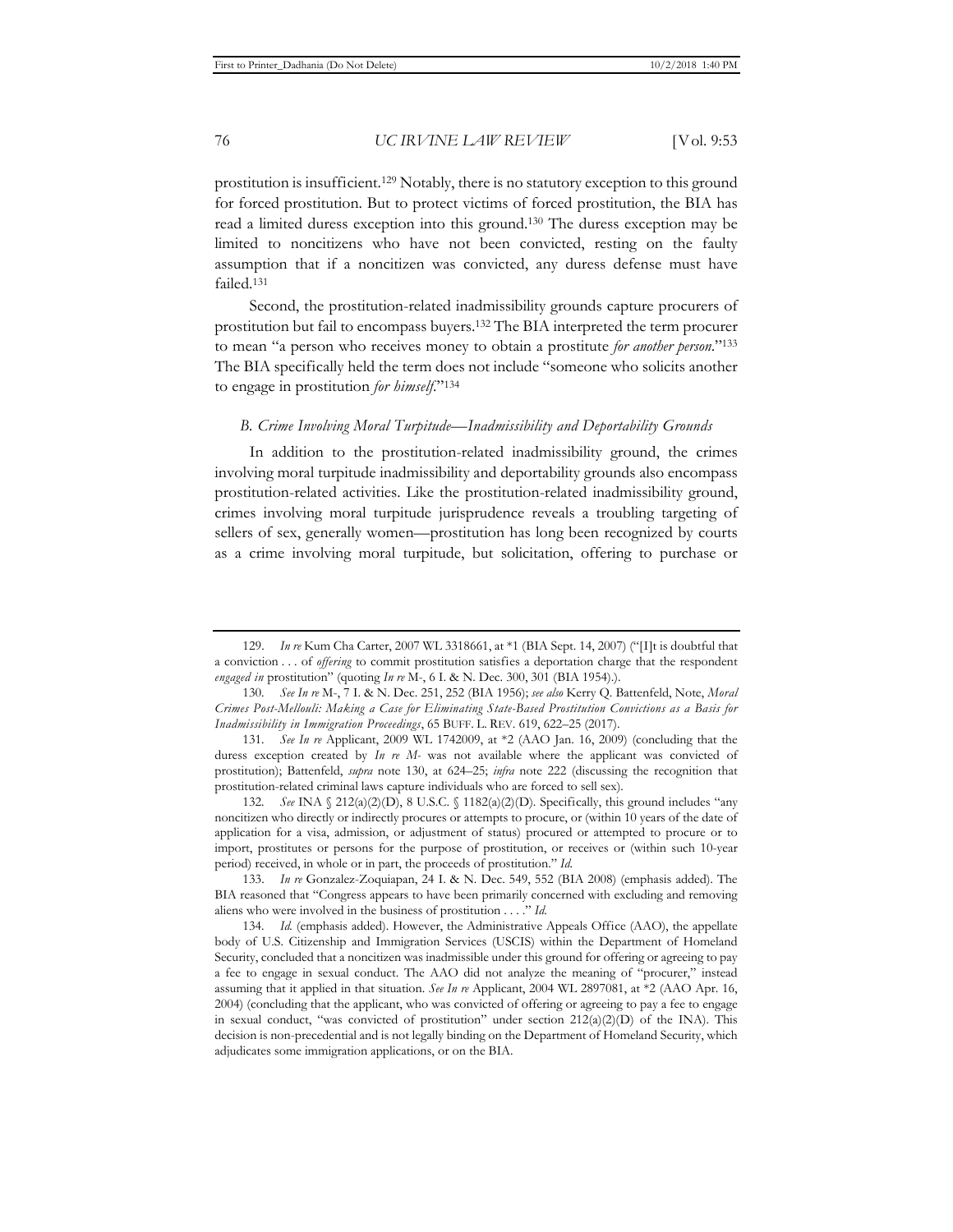prostitution is insufficient.129 Notably, there is no statutory exception to this ground for forced prostitution. But to protect victims of forced prostitution, the BIA has read a limited duress exception into this ground.130 The duress exception may be limited to noncitizens who have not been convicted, resting on the faulty assumption that if a noncitizen was convicted, any duress defense must have failed.131

Second, the prostitution-related inadmissibility grounds capture procurers of prostitution but fail to encompass buyers.132 The BIA interpreted the term procurer to mean "a person who receives money to obtain a prostitute *for another person*."133 The BIA specifically held the term does not include "someone who solicits another to engage in prostitution *for himself*."134

#### *B. Crime Involving Moral Turpitude—Inadmissibility and Deportability Grounds*

In addition to the prostitution-related inadmissibility ground, the crimes involving moral turpitude inadmissibility and deportability grounds also encompass prostitution-related activities. Like the prostitution-related inadmissibility ground, crimes involving moral turpitude jurisprudence reveals a troubling targeting of sellers of sex, generally women—prostitution has long been recognized by courts as a crime involving moral turpitude, but solicitation, offering to purchase or

<sup>129.</sup> *In re* Kum Cha Carter, 2007 WL 3318661, at \*1 (BIA Sept. 14, 2007) ("[I]t is doubtful that a conviction . . . of *offering* to commit prostitution satisfies a deportation charge that the respondent *engaged in* prostitution" (quoting *In re* M-, 6 I. & N. Dec. 300, 301 (BIA 1954).).

<sup>130</sup>*. See In re* M-, 7 I. & N. Dec. 251, 252 (BIA 1956); *see also* Kerry Q. Battenfeld, Note, *Moral Crimes Post-Mellouli: Making a Case for Eliminating State-Based Prostitution Convictions as a Basis for Inadmissibility in Immigration Proceedings*, 65 BUFF. L. REV. 619, 622–25 (2017).

<sup>131</sup>*. See In re* Applicant, 2009 WL 1742009, at \*2 (AAO Jan. 16, 2009) (concluding that the duress exception created by *In re M-* was not available where the applicant was convicted of prostitution); Battenfeld, *supra* note 130, at 624–25; *infra* note 222 (discussing the recognition that prostitution-related criminal laws capture individuals who are forced to sell sex).

<sup>132</sup>*. See* INA § 212(a)(2)(D), 8 U.S.C. § 1182(a)(2)(D). Specifically, this ground includes "any noncitizen who directly or indirectly procures or attempts to procure, or (within 10 years of the date of application for a visa, admission, or adjustment of status) procured or attempted to procure or to import, prostitutes or persons for the purpose of prostitution, or receives or (within such 10-year period) received, in whole or in part, the proceeds of prostitution." *Id.*

<sup>133.</sup> *In re* Gonzalez-Zoquiapan, 24 I. & N. Dec. 549, 552 (BIA 2008) (emphasis added). The BIA reasoned that "Congress appears to have been primarily concerned with excluding and removing aliens who were involved in the business of prostitution . . . ." *Id.* 

<sup>134</sup>*. Id.* (emphasis added). However, the Administrative Appeals Office (AAO), the appellate body of U.S. Citizenship and Immigration Services (USCIS) within the Department of Homeland Security, concluded that a noncitizen was inadmissible under this ground for offering or agreeing to pay a fee to engage in sexual conduct. The AAO did not analyze the meaning of "procurer," instead assuming that it applied in that situation. *See In re* Applicant, 2004 WL 2897081, at \*2 (AAO Apr. 16, 2004) (concluding that the applicant, who was convicted of offering or agreeing to pay a fee to engage in sexual conduct, "was convicted of prostitution" under section  $212(a)(2)(D)$  of the INA). This decision is non-precedential and is not legally binding on the Department of Homeland Security, which adjudicates some immigration applications, or on the BIA.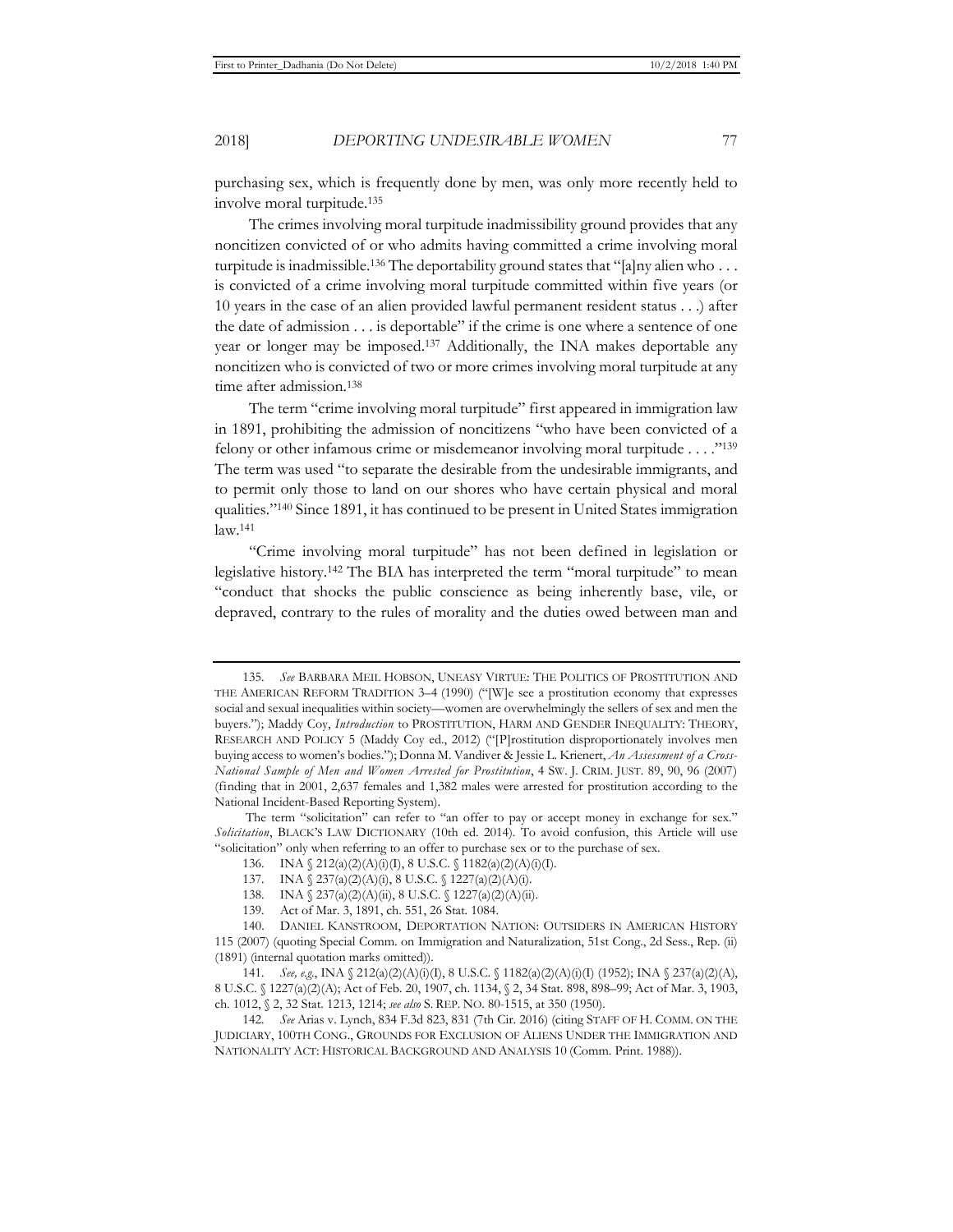purchasing sex, which is frequently done by men, was only more recently held to

The crimes involving moral turpitude inadmissibility ground provides that any noncitizen convicted of or who admits having committed a crime involving moral turpitude is inadmissible.<sup>136</sup> The deportability ground states that "[a]ny alien who  $\dots$ is convicted of a crime involving moral turpitude committed within five years (or 10 years in the case of an alien provided lawful permanent resident status . . .) after the date of admission . . . is deportable" if the crime is one where a sentence of one year or longer may be imposed.137 Additionally, the INA makes deportable any noncitizen who is convicted of two or more crimes involving moral turpitude at any time after admission.138

The term "crime involving moral turpitude" first appeared in immigration law in 1891, prohibiting the admission of noncitizens "who have been convicted of a felony or other infamous crime or misdemeanor involving moral turpitude . . . ."139 The term was used "to separate the desirable from the undesirable immigrants, and to permit only those to land on our shores who have certain physical and moral qualities."140 Since 1891, it has continued to be present in United States immigration law.141

"Crime involving moral turpitude" has not been defined in legislation or legislative history.142 The BIA has interpreted the term "moral turpitude" to mean "conduct that shocks the public conscience as being inherently base, vile, or depraved, contrary to the rules of morality and the duties owed between man and

involve moral turpitude.135

<sup>135</sup>*. See* BARBARA MEIL HOBSON, UNEASY VIRTUE: THE POLITICS OF PROSTITUTION AND THE AMERICAN REFORM TRADITION 3–4 (1990) ("[W]e see a prostitution economy that expresses social and sexual inequalities within society—women are overwhelmingly the sellers of sex and men the buyers."); Maddy Coy, *Introduction* to PROSTITUTION, HARM AND GENDER INEQUALITY: THEORY, RESEARCH AND POLICY 5 (Maddy Coy ed., 2012) ("[P]rostitution disproportionately involves men buying access to women's bodies."); Donna M. Vandiver & Jessie L. Krienert, *An Assessment of a Cross-National Sample of Men and Women Arrested for Prostitution*, 4 SW. J. CRIM. JUST. 89, 90, 96 (2007) (finding that in 2001, 2,637 females and 1,382 males were arrested for prostitution according to the National Incident-Based Reporting System).

The term "solicitation" can refer to "an offer to pay or accept money in exchange for sex." *Solicitation*, BLACK'S LAW DICTIONARY (10th ed. 2014). To avoid confusion, this Article will use "solicitation" only when referring to an offer to purchase sex or to the purchase of sex.

<sup>136.</sup> INA § 212(a)(2)(A)(i)(I), 8 U.S.C. § 1182(a)(2)(A)(i)(I).

<sup>137.</sup> INA § 237(a)(2)(A)(i), 8 U.S.C. § 1227(a)(2)(A)(i).

<sup>138.</sup> INA  $\{ 237(a)(2)(A)(ii), 8 U.S.C. \{ 1227(a)(2)(A)(ii). \}$ 

<sup>139.</sup> Act of Mar. 3, 1891, ch. 551, 26 Stat. 1084.

<sup>140.</sup> DANIEL KANSTROOM, DEPORTATION NATION: OUTSIDERS IN AMERICAN HISTORY 115 (2007) (quoting Special Comm. on Immigration and Naturalization, 51st Cong., 2d Sess., Rep. (ii) (1891) (internal quotation marks omitted)).

<sup>141</sup>*. See, e.g.*, INA § 212(a)(2)(A)(i)(I), 8 U.S.C. § 1182(a)(2)(A)(i)(I) (1952); INA § 237(a)(2)(A), 8 U.S.C. § 1227(a)(2)(A); Act of Feb. 20, 1907, ch. 1134, § 2, 34 Stat. 898, 898–99; Act of Mar. 3, 1903, ch. 1012, § 2, 32 Stat. 1213, 1214; *see also* S. REP. NO. 80-1515, at 350 (1950).

<sup>142</sup>*. See* Arias v. Lynch, 834 F.3d 823, 831 (7th Cir. 2016) (citing STAFF OF H. COMM. ON THE JUDICIARY, 100TH CONG., GROUNDS FOR EXCLUSION OF ALIENS UNDER THE IMMIGRATION AND NATIONALITY ACT: HISTORICAL BACKGROUND AND ANALYSIS 10 (Comm. Print. 1988)).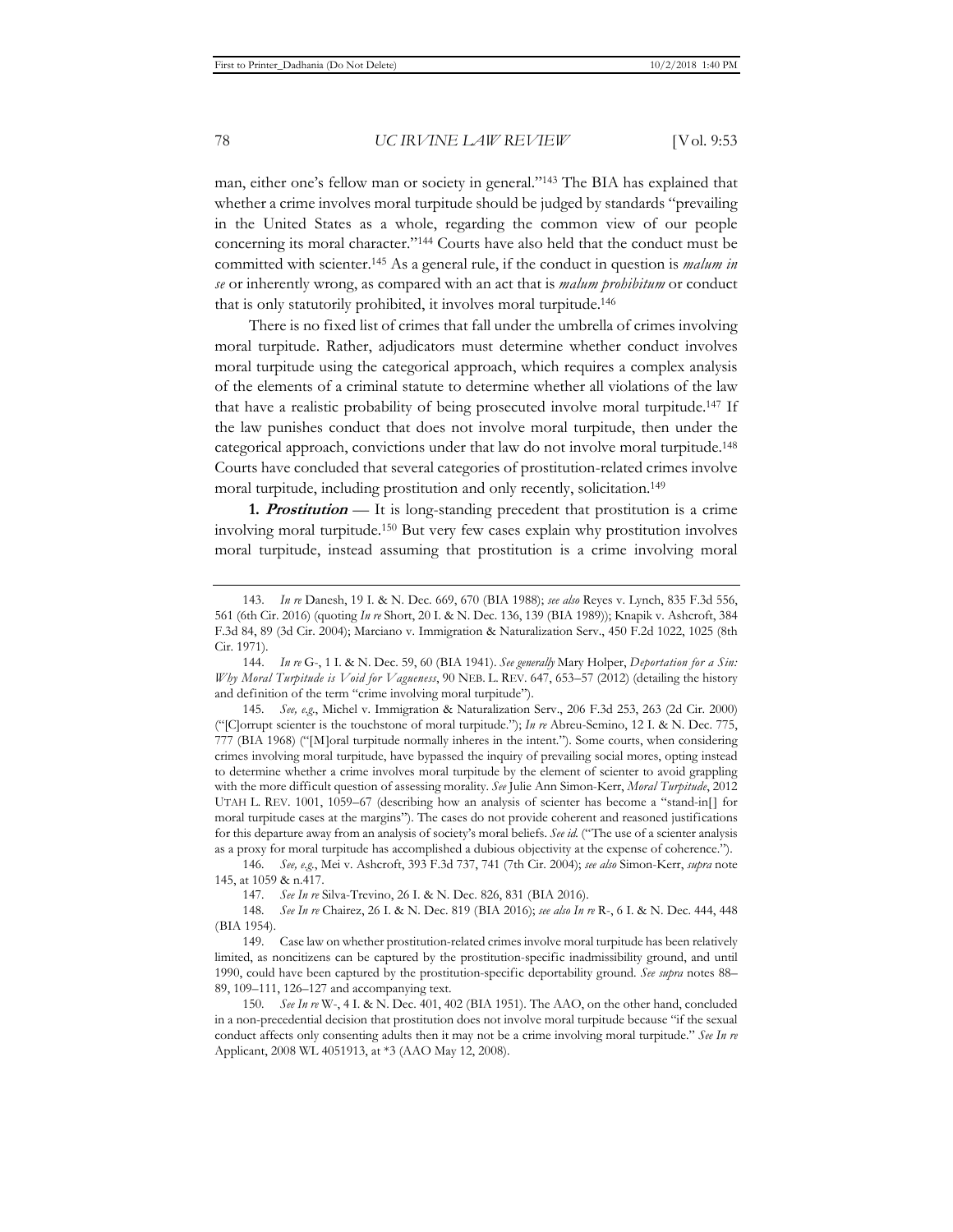man, either one's fellow man or society in general."143 The BIA has explained that whether a crime involves moral turpitude should be judged by standards "prevailing in the United States as a whole, regarding the common view of our people concerning its moral character."144 Courts have also held that the conduct must be committed with scienter.145 As a general rule, if the conduct in question is *malum in se* or inherently wrong, as compared with an act that is *malum prohibitum* or conduct that is only statutorily prohibited, it involves moral turpitude.146

There is no fixed list of crimes that fall under the umbrella of crimes involving moral turpitude. Rather, adjudicators must determine whether conduct involves moral turpitude using the categorical approach, which requires a complex analysis of the elements of a criminal statute to determine whether all violations of the law that have a realistic probability of being prosecuted involve moral turpitude.147 If the law punishes conduct that does not involve moral turpitude, then under the categorical approach, convictions under that law do not involve moral turpitude.148 Courts have concluded that several categories of prostitution-related crimes involve moral turpitude, including prostitution and only recently, solicitation.<sup>149</sup>

**1. Prostitution** *—* It is long-standing precedent that prostitution is a crime involving moral turpitude.150 But very few cases explain why prostitution involves moral turpitude, instead assuming that prostitution is a crime involving moral

146*. See, e.g.*, Mei v. Ashcroft, 393 F.3d 737, 741 (7th Cir. 2004); *see also* Simon-Kerr, *supra* note 145, at 1059 & n.417.

<sup>143.</sup> *In re* Danesh, 19 I. & N. Dec. 669, 670 (BIA 1988); *see also* Reyes v. Lynch, 835 F.3d 556, 561 (6th Cir. 2016) (quoting *In re* Short, 20 I. & N. Dec. 136, 139 (BIA 1989)); Knapik v. Ashcroft, 384 F.3d 84, 89 (3d Cir. 2004); Marciano v. Immigration & Naturalization Serv., 450 F.2d 1022, 1025 (8th Cir. 1971).

<sup>144.</sup> *In re* G-, 1 I. & N. Dec. 59, 60 (BIA 1941). *See generally* Mary Holper, *Deportation for a Sin: Why Moral Turpitude is Void for Vagueness*, 90 NEB. L. REV. 647, 653–57 (2012) (detailing the history and definition of the term "crime involving moral turpitude").

<sup>145</sup>*. See, e.g.*, Michel v. Immigration & Naturalization Serv., 206 F.3d 253, 263 (2d Cir. 2000) ("[C]orrupt scienter is the touchstone of moral turpitude."); *In re* Abreu-Semino, 12 I. & N. Dec. 775, 777 (BIA 1968) ("[M]oral turpitude normally inheres in the intent."). Some courts, when considering crimes involving moral turpitude, have bypassed the inquiry of prevailing social mores, opting instead to determine whether a crime involves moral turpitude by the element of scienter to avoid grappling with the more difficult question of assessing morality. *See* Julie Ann Simon-Kerr, *Moral Turpitude*, 2012 UTAH L. REV. 1001, 1059–67 (describing how an analysis of scienter has become a "stand-in[] for moral turpitude cases at the margins"). The cases do not provide coherent and reasoned justifications for this departure away from an analysis of society's moral beliefs. *See id.* ("The use of a scienter analysis as a proxy for moral turpitude has accomplished a dubious objectivity at the expense of coherence.").

<sup>147</sup>*. See In re* Silva-Trevino, 26 I. & N. Dec. 826, 831 (BIA 2016).

<sup>148</sup>*. See In re* Chairez, 26 I. & N. Dec. 819 (BIA 2016); *see also In re* R-, 6 I. & N. Dec. 444, 448 (BIA 1954).

<sup>149.</sup> Case law on whether prostitution-related crimes involve moral turpitude has been relatively limited, as noncitizens can be captured by the prostitution-specific inadmissibility ground, and until 1990, could have been captured by the prostitution-specific deportability ground. *See supra* notes 88– 89, 109–111, 126–127 and accompanying text.

<sup>150</sup>*. See In re* W-, 4 I. & N. Dec. 401, 402 (BIA 1951). The AAO, on the other hand, concluded in a non-precedential decision that prostitution does not involve moral turpitude because "if the sexual conduct affects only consenting adults then it may not be a crime involving moral turpitude." *See In re* Applicant, 2008 WL 4051913, at \*3 (AAO May 12, 2008).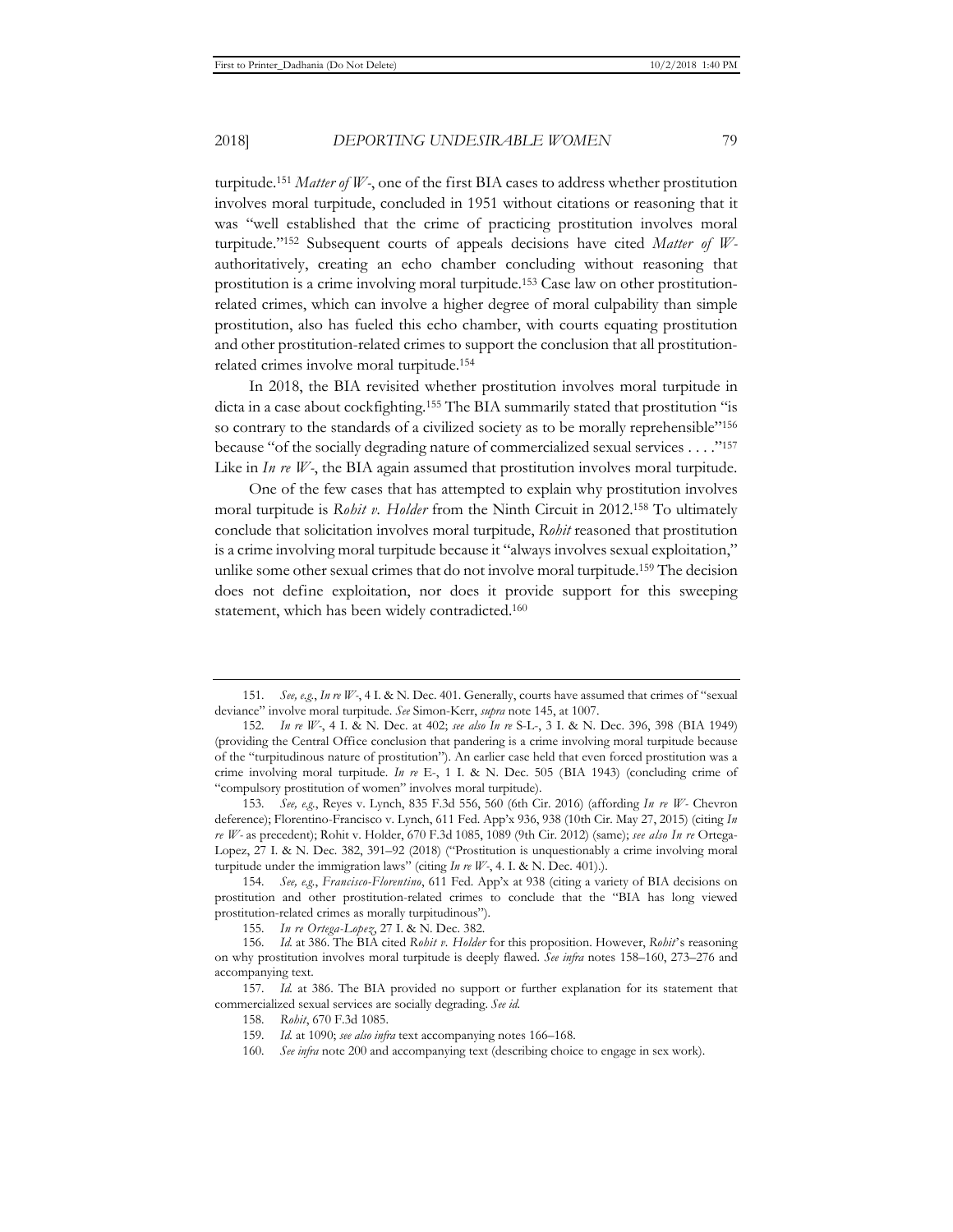turpitude.151 *Matter of W-*, one of the first BIA cases to address whether prostitution involves moral turpitude, concluded in 1951 without citations or reasoning that it was "well established that the crime of practicing prostitution involves moral turpitude."152 Subsequent courts of appeals decisions have cited *Matter of W*authoritatively, creating an echo chamber concluding without reasoning that prostitution is a crime involving moral turpitude.153 Case law on other prostitutionrelated crimes, which can involve a higher degree of moral culpability than simple prostitution, also has fueled this echo chamber, with courts equating prostitution and other prostitution-related crimes to support the conclusion that all prostitutionrelated crimes involve moral turpitude.154

In 2018, the BIA revisited whether prostitution involves moral turpitude in dicta in a case about cockfighting.155 The BIA summarily stated that prostitution "is so contrary to the standards of a civilized society as to be morally reprehensible"156 because "of the socially degrading nature of commercialized sexual services . . . ."157 Like in *In re W*-, the BIA again assumed that prostitution involves moral turpitude.

One of the few cases that has attempted to explain why prostitution involves moral turpitude is *Rohit v. Holder* from the Ninth Circuit in 2012.158 To ultimately conclude that solicitation involves moral turpitude, *Rohit* reasoned that prostitution is a crime involving moral turpitude because it "always involves sexual exploitation," unlike some other sexual crimes that do not involve moral turpitude.159 The decision does not define exploitation, nor does it provide support for this sweeping statement, which has been widely contradicted.160

<sup>151</sup>*. See, e.g.*, *In re W-*, 4 I. & N. Dec. 401. Generally, courts have assumed that crimes of "sexual deviance" involve moral turpitude. *See* Simon-Kerr, *supra* note 145, at 1007.

<sup>152</sup>*. In re W-*, 4 I. & N. Dec. at 402; *see also In re* S-L-, 3 I. & N. Dec. 396, 398 (BIA 1949) (providing the Central Office conclusion that pandering is a crime involving moral turpitude because of the "turpitudinous nature of prostitution"). An earlier case held that even forced prostitution was a crime involving moral turpitude. *In re* E-, 1 I. & N. Dec. 505 (BIA 1943) (concluding crime of "compulsory prostitution of women" involves moral turpitude).

<sup>153</sup>*. See, e.g.*, Reyes v. Lynch, 835 F.3d 556, 560 (6th Cir. 2016) (affording *In re W-* Chevron deference); Florentino-Francisco v. Lynch, 611 Fed. App'x 936, 938 (10th Cir. May 27, 2015) (citing *In re W-* as precedent); Rohit v. Holder, 670 F.3d 1085, 1089 (9th Cir. 2012) (same); *see also In re* Ortega-Lopez, 27 I. & N. Dec. 382, 391–92 (2018) ("Prostitution is unquestionably a crime involving moral turpitude under the immigration laws" (citing *In re W-*, 4. I. & N. Dec. 401).).

<sup>154</sup>*. See, e.g.*, *Francisco-Florentino*, 611 Fed. App'x at 938 (citing a variety of BIA decisions on prostitution and other prostitution-related crimes to conclude that the "BIA has long viewed prostitution-related crimes as morally turpitudinous").

<sup>155</sup>*. In re Ortega-Lopez*, 27 I. & N. Dec. 382.

<sup>156</sup>*. Id.* at 386. The BIA cited *Rohit v. Holder* for this proposition. However, *Rohit*'s reasoning on why prostitution involves moral turpitude is deeply flawed. *See infra* notes 158–160, 273–276 and accompanying text.

<sup>157</sup>*. Id.* at 386. The BIA provided no support or further explanation for its statement that commercialized sexual services are socially degrading. *See id.*

<sup>158</sup>*. Rohit*, 670 F.3d 1085.

<sup>159</sup>*. Id.* at 1090; *see also infra* text accompanying notes 166–168.

<sup>160</sup>*. See infra* note 200 and accompanying text (describing choice to engage in sex work).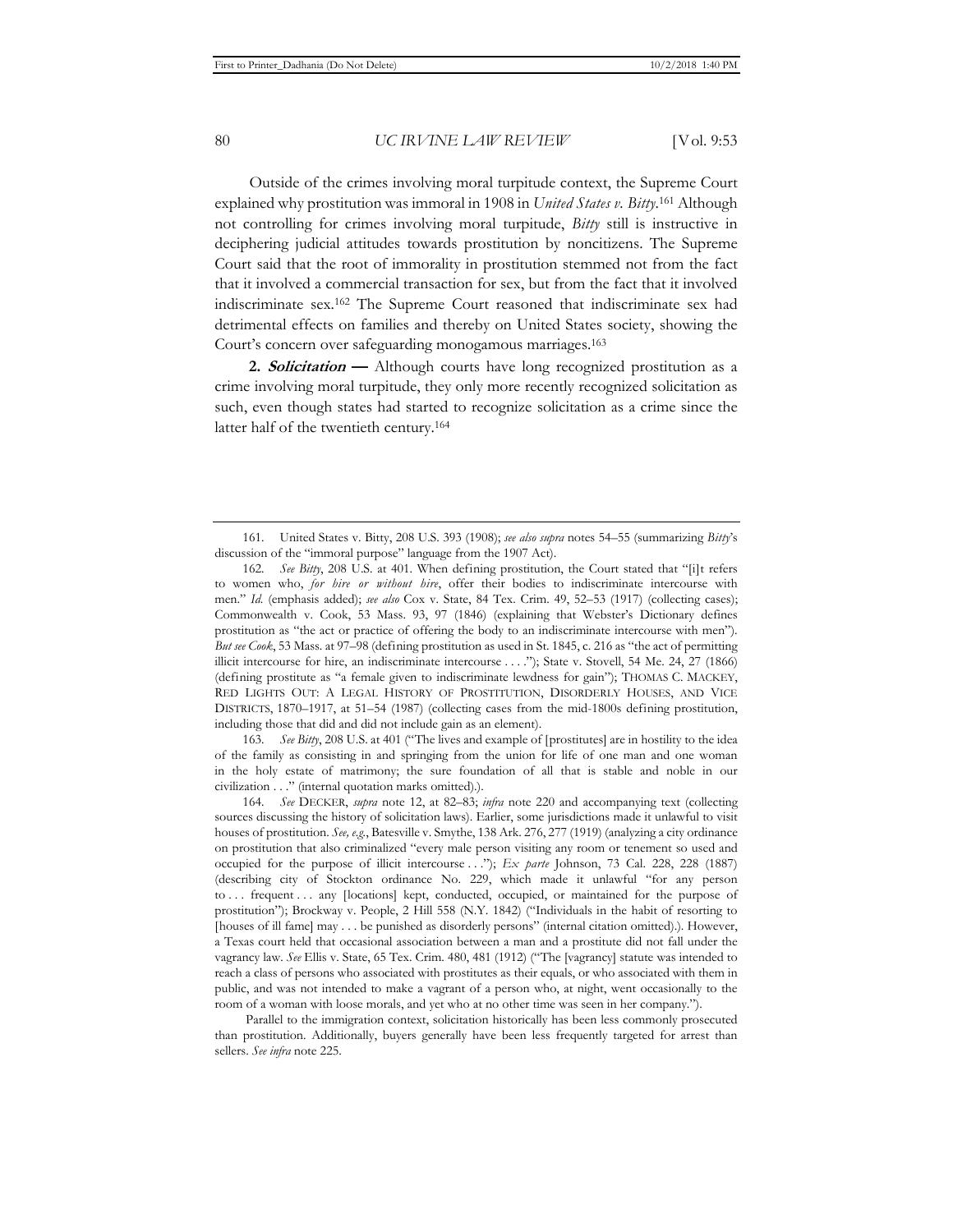Outside of the crimes involving moral turpitude context, the Supreme Court explained why prostitution was immoral in 1908 in *United States v. Bitty*. 161 Although not controlling for crimes involving moral turpitude, *Bitty* still is instructive in deciphering judicial attitudes towards prostitution by noncitizens. The Supreme Court said that the root of immorality in prostitution stemmed not from the fact that it involved a commercial transaction for sex, but from the fact that it involved indiscriminate sex.162 The Supreme Court reasoned that indiscriminate sex had detrimental effects on families and thereby on United States society, showing the Court's concern over safeguarding monogamous marriages.163

**2. Solicitation —** Although courts have long recognized prostitution as a crime involving moral turpitude, they only more recently recognized solicitation as such, even though states had started to recognize solicitation as a crime since the latter half of the twentieth century.164

163*. See Bitty*, 208 U.S. at 401 ("The lives and example of [prostitutes] are in hostility to the idea of the family as consisting in and springing from the union for life of one man and one woman in the holy estate of matrimony; the sure foundation of all that is stable and noble in our civilization . . ." (internal quotation marks omitted).).

164*. See* DECKER, *supra* note 12, at 82–83; *infra* note 220 and accompanying text (collecting sources discussing the history of solicitation laws). Earlier, some jurisdictions made it unlawful to visit houses of prostitution. *See, e.g.*, Batesville v. Smythe, 138 Ark. 276, 277 (1919) (analyzing a city ordinance on prostitution that also criminalized "every male person visiting any room or tenement so used and occupied for the purpose of illicit intercourse . . ."); *Ex parte* Johnson, 73 Cal. 228, 228 (1887) (describing city of Stockton ordinance No. 229, which made it unlawful "for any person to ... frequent ... any [locations] kept, conducted, occupied, or maintained for the purpose of prostitution"); Brockway v. People, 2 Hill 558 (N.Y. 1842) ("Individuals in the habit of resorting to [houses of ill fame] may . . . be punished as disorderly persons" (internal citation omitted).). However, a Texas court held that occasional association between a man and a prostitute did not fall under the vagrancy law. *See* Ellis v. State, 65 Tex. Crim. 480, 481 (1912) ("The [vagrancy] statute was intended to reach a class of persons who associated with prostitutes as their equals, or who associated with them in public, and was not intended to make a vagrant of a person who, at night, went occasionally to the room of a woman with loose morals, and yet who at no other time was seen in her company.").

 Parallel to the immigration context, solicitation historically has been less commonly prosecuted than prostitution. Additionally, buyers generally have been less frequently targeted for arrest than sellers. *See infra* note 225.

<sup>161.</sup> United States v. Bitty, 208 U.S. 393 (1908); *see also supra* notes 54–55 (summarizing *Bitty*'s discussion of the "immoral purpose" language from the 1907 Act).

<sup>162</sup>*. See Bitty*, 208 U.S. at 401. When defining prostitution, the Court stated that "[i]t refers to women who, *for hire or without hire*, offer their bodies to indiscriminate intercourse with men." *Id.* (emphasis added); *see also* Cox v. State, 84 Tex. Crim. 49, 52–53 (1917) (collecting cases); Commonwealth v. Cook, 53 Mass. 93, 97 (1846) (explaining that Webster's Dictionary defines prostitution as "the act or practice of offering the body to an indiscriminate intercourse with men"). *But see Cook*, 53 Mass. at 97–98 (defining prostitution as used in St. 1845, c. 216 as "the act of permitting illicit intercourse for hire, an indiscriminate intercourse . . . ."); State v. Stovell, 54 Me. 24, 27 (1866) (defining prostitute as "a female given to indiscriminate lewdness for gain"); THOMAS C. MACKEY, RED LIGHTS OUT: A LEGAL HISTORY OF PROSTITUTION, DISORDERLY HOUSES, AND VICE DISTRICTS, 1870–1917, at 51–54 (1987) (collecting cases from the mid-1800s defining prostitution, including those that did and did not include gain as an element).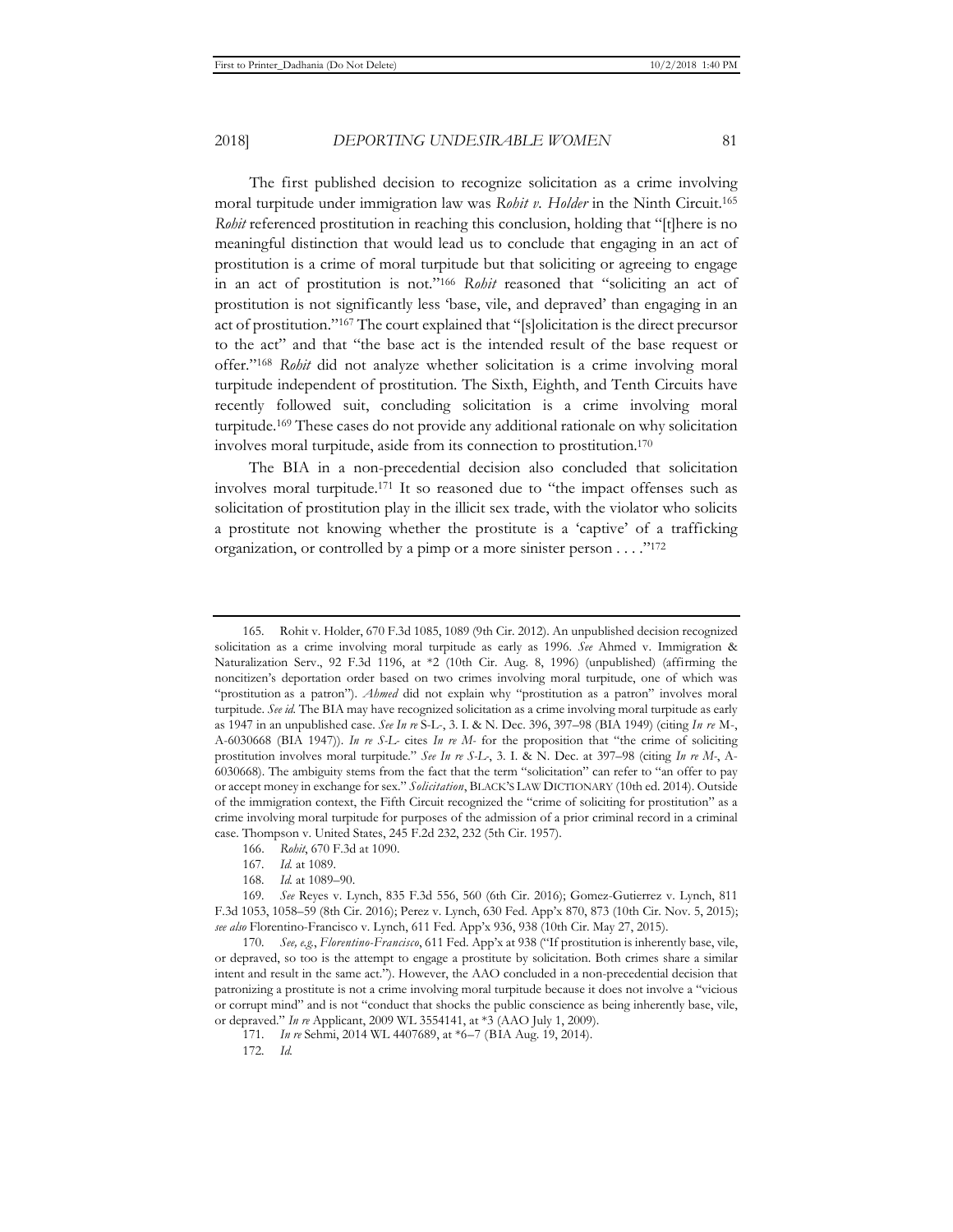The first published decision to recognize solicitation as a crime involving moral turpitude under immigration law was *Rohit v. Holder* in the Ninth Circuit.165 *Rohit* referenced prostitution in reaching this conclusion, holding that "[t]here is no meaningful distinction that would lead us to conclude that engaging in an act of prostitution is a crime of moral turpitude but that soliciting or agreeing to engage in an act of prostitution is not."166 *Rohit* reasoned that "soliciting an act of prostitution is not significantly less 'base, vile, and depraved' than engaging in an act of prostitution."167 The court explained that "[s]olicitation is the direct precursor to the act" and that "the base act is the intended result of the base request or offer."168 *Rohit* did not analyze whether solicitation is a crime involving moral turpitude independent of prostitution. The Sixth, Eighth, and Tenth Circuits have recently followed suit, concluding solicitation is a crime involving moral turpitude.169 These cases do not provide any additional rationale on why solicitation involves moral turpitude, aside from its connection to prostitution.170

The BIA in a non-precedential decision also concluded that solicitation involves moral turpitude.171 It so reasoned due to "the impact offenses such as solicitation of prostitution play in the illicit sex trade, with the violator who solicits a prostitute not knowing whether the prostitute is a 'captive' of a trafficking organization, or controlled by a pimp or a more sinister person . . . ."172

166. *Rohit*, 670 F.3d at 1090.

168*. Id.* at 1089–90.

<sup>165.</sup> Rohit v. Holder, 670 F.3d 1085, 1089 (9th Cir. 2012). An unpublished decision recognized solicitation as a crime involving moral turpitude as early as 1996. *See* Ahmed v. Immigration & Naturalization Serv., 92 F.3d 1196, at \*2 (10th Cir. Aug. 8, 1996) (unpublished) (affirming the noncitizen's deportation order based on two crimes involving moral turpitude, one of which was "prostitution as a patron"). *Ahmed* did not explain why "prostitution as a patron" involves moral turpitude. *See id.* The BIA may have recognized solicitation as a crime involving moral turpitude as early as 1947 in an unpublished case. *See In re* S-L-, 3. I. & N. Dec. 396, 397–98 (BIA 1949) (citing *In re* M-, A-6030668 (BIA 1947)). *In re S-L-* cites *In re M-* for the proposition that "the crime of soliciting prostitution involves moral turpitude." *See In re S-L-*, 3. I. & N. Dec. at 397–98 (citing *In re M-*, A-6030668). The ambiguity stems from the fact that the term "solicitation" can refer to "an offer to pay or accept money in exchange for sex." *Solicitation*, BLACK'S LAW DICTIONARY (10th ed. 2014). Outside of the immigration context, the Fifth Circuit recognized the "crime of soliciting for prostitution" as a crime involving moral turpitude for purposes of the admission of a prior criminal record in a criminal case. Thompson v. United States, 245 F.2d 232, 232 (5th Cir. 1957).

<sup>167</sup>*. Id.* at 1089.

<sup>169</sup>*. See* Reyes v. Lynch, 835 F.3d 556, 560 (6th Cir. 2016); Gomez-Gutierrez v. Lynch, 811 F.3d 1053, 1058–59 (8th Cir. 2016); Perez v. Lynch, 630 Fed. App'x 870, 873 (10th Cir. Nov. 5, 2015); *see also* Florentino-Francisco v. Lynch, 611 Fed. App'x 936, 938 (10th Cir. May 27, 2015).

<sup>170</sup>*. See, e.g.*, *Florentino-Francisco*, 611 Fed. App'x at 938 ("If prostitution is inherently base, vile, or depraved, so too is the attempt to engage a prostitute by solicitation. Both crimes share a similar intent and result in the same act."). However, the AAO concluded in a non-precedential decision that patronizing a prostitute is not a crime involving moral turpitude because it does not involve a "vicious or corrupt mind" and is not "conduct that shocks the public conscience as being inherently base, vile, or depraved." *In re* Applicant, 2009 WL 3554141, at \*3 (AAO July 1, 2009).

<sup>171</sup>*. In re* Sehmi, 2014 WL 4407689, at \*6–7 (BIA Aug. 19, 2014).

<sup>172</sup>*. Id.*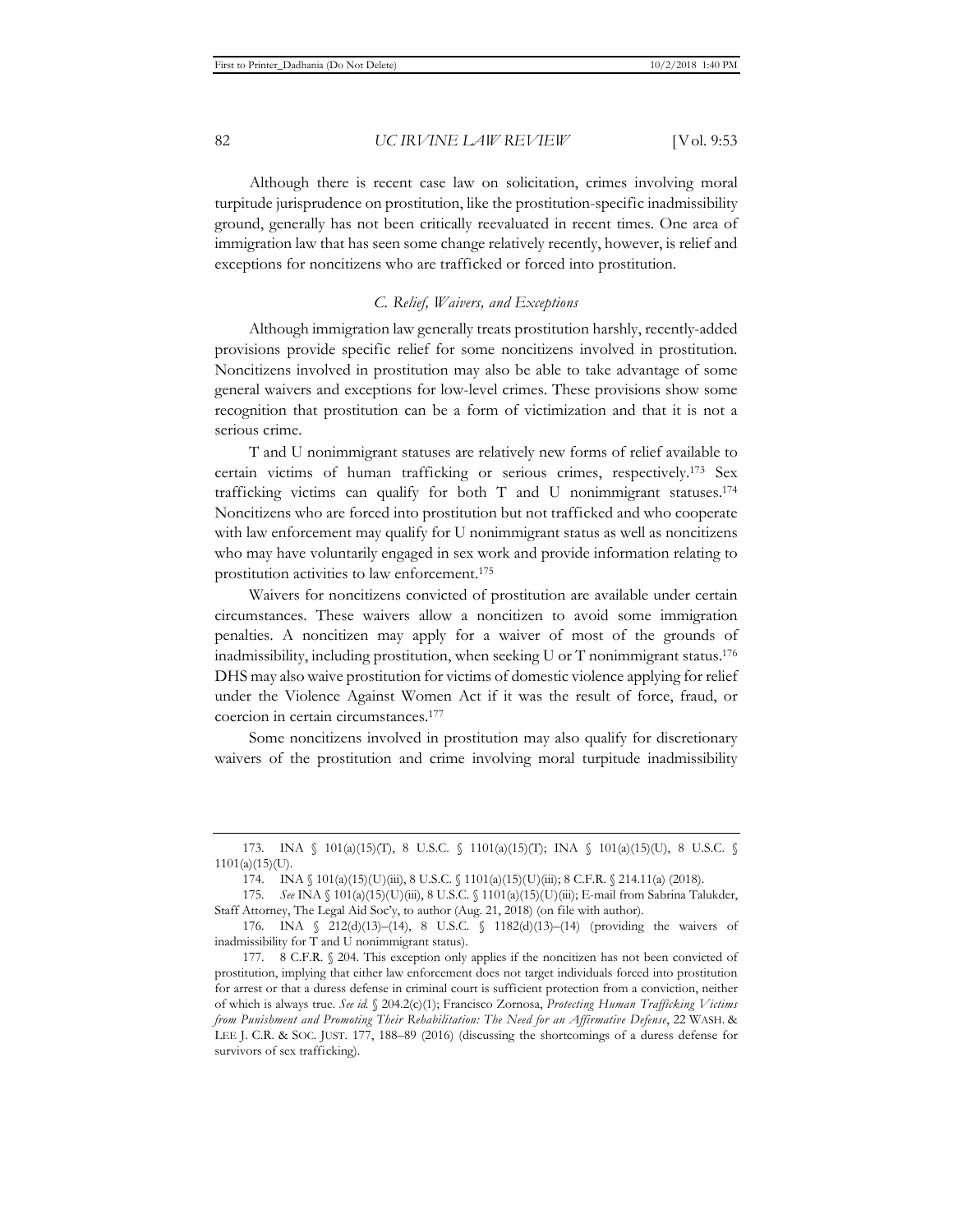Although there is recent case law on solicitation, crimes involving moral turpitude jurisprudence on prostitution, like the prostitution-specific inadmissibility ground, generally has not been critically reevaluated in recent times. One area of immigration law that has seen some change relatively recently, however, is relief and exceptions for noncitizens who are trafficked or forced into prostitution.

#### *C. Relief, Waivers, and Exceptions*

Although immigration law generally treats prostitution harshly, recently-added provisions provide specific relief for some noncitizens involved in prostitution. Noncitizens involved in prostitution may also be able to take advantage of some general waivers and exceptions for low-level crimes. These provisions show some recognition that prostitution can be a form of victimization and that it is not a serious crime.

T and U nonimmigrant statuses are relatively new forms of relief available to certain victims of human trafficking or serious crimes, respectively.173 Sex trafficking victims can qualify for both T and U nonimmigrant statuses.174 Noncitizens who are forced into prostitution but not trafficked and who cooperate with law enforcement may qualify for U nonimmigrant status as well as noncitizens who may have voluntarily engaged in sex work and provide information relating to prostitution activities to law enforcement.175

Waivers for noncitizens convicted of prostitution are available under certain circumstances. These waivers allow a noncitizen to avoid some immigration penalties. A noncitizen may apply for a waiver of most of the grounds of inadmissibility, including prostitution, when seeking U or T nonimmigrant status.176 DHS may also waive prostitution for victims of domestic violence applying for relief under the Violence Against Women Act if it was the result of force, fraud, or coercion in certain circumstances.177

Some noncitizens involved in prostitution may also qualify for discretionary waivers of the prostitution and crime involving moral turpitude inadmissibility

<sup>173.</sup> INA § 101(a)(15)(T), 8 U.S.C. § 1101(a)(15)(T); INA § 101(a)(15)(U), 8 U.S.C. §  $1101(a)(15)(U)$ .

<sup>174.</sup> INA § 101(a)(15)(U)(iii), 8 U.S.C. § 1101(a)(15)(U)(iii); 8 C.F.R. § 214.11(a) (2018).

<sup>175</sup>*. See* INA § 101(a)(15)(U)(iii), 8 U.S.C. § 1101(a)(15)(U)(iii); E-mail from Sabrina Talukder, Staff Attorney, The Legal Aid Soc'y, to author (Aug. 21, 2018) (on file with author).

<sup>176.</sup> INA § 212(d)(13)–(14), 8 U.S.C. § 1182(d)(13)–(14) (providing the waivers of inadmissibility for T and U nonimmigrant status).

<sup>177. 8</sup> C.F.R. § 204. This exception only applies if the noncitizen has not been convicted of prostitution, implying that either law enforcement does not target individuals forced into prostitution for arrest or that a duress defense in criminal court is sufficient protection from a conviction, neither of which is always true. *See id.* § 204.2(c)(1); Francisco Zornosa, *Protecting Human Trafficking Victims from Punishment and Promoting Their Rehabilitation: The Need for an Affirmative Defense*, 22 WASH. & LEE J. C.R. & SOC. JUST. 177, 188–89 (2016) (discussing the shortcomings of a duress defense for survivors of sex trafficking).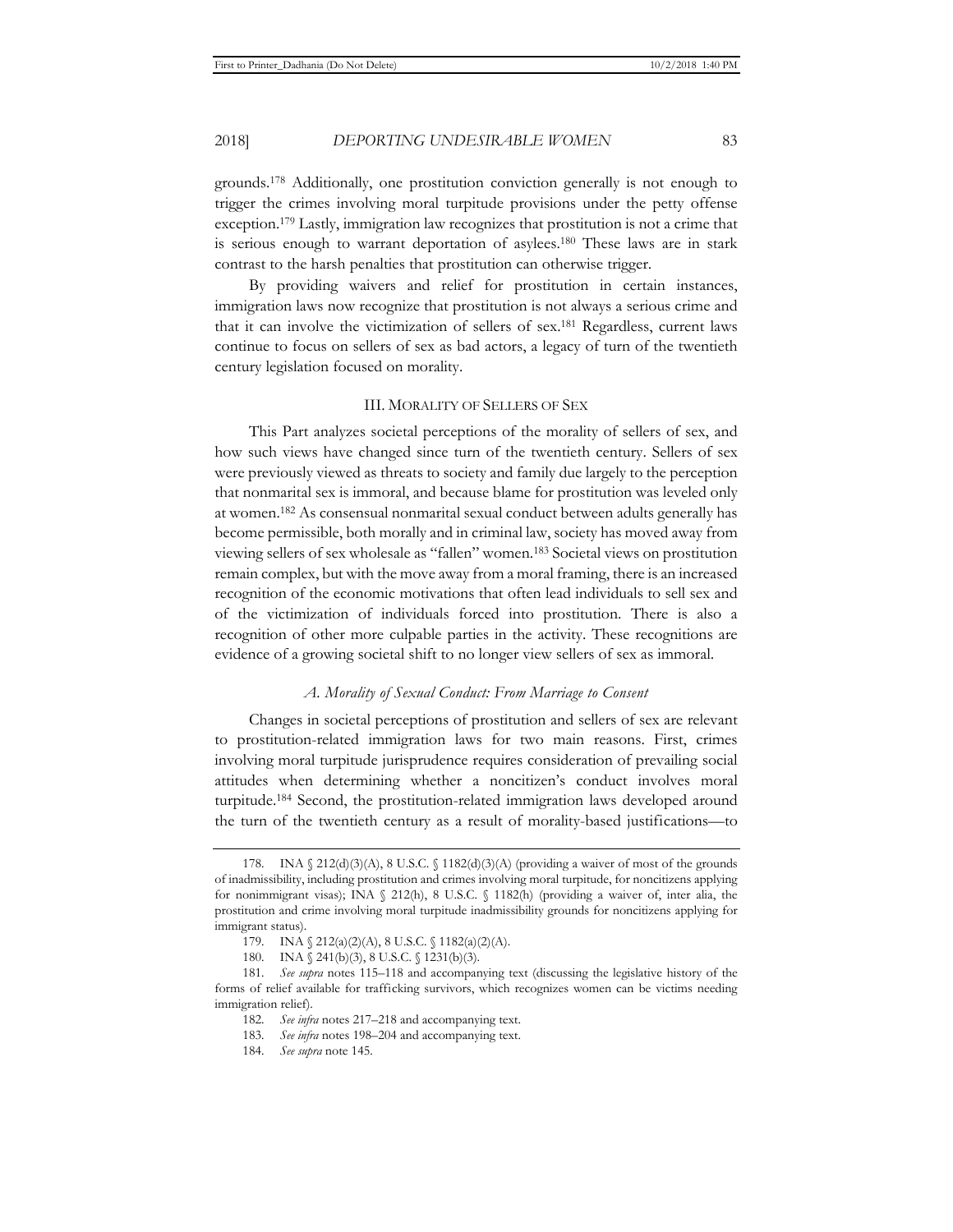grounds.178 Additionally, one prostitution conviction generally is not enough to trigger the crimes involving moral turpitude provisions under the petty offense exception.179 Lastly, immigration law recognizes that prostitution is not a crime that is serious enough to warrant deportation of asylees.180 These laws are in stark contrast to the harsh penalties that prostitution can otherwise trigger.

By providing waivers and relief for prostitution in certain instances, immigration laws now recognize that prostitution is not always a serious crime and that it can involve the victimization of sellers of sex.181 Regardless, current laws continue to focus on sellers of sex as bad actors, a legacy of turn of the twentieth century legislation focused on morality.

#### III. MORALITY OF SELLERS OF SEX

This Part analyzes societal perceptions of the morality of sellers of sex, and how such views have changed since turn of the twentieth century. Sellers of sex were previously viewed as threats to society and family due largely to the perception that nonmarital sex is immoral, and because blame for prostitution was leveled only at women.182 As consensual nonmarital sexual conduct between adults generally has become permissible, both morally and in criminal law, society has moved away from viewing sellers of sex wholesale as "fallen" women.183 Societal views on prostitution remain complex, but with the move away from a moral framing, there is an increased recognition of the economic motivations that often lead individuals to sell sex and of the victimization of individuals forced into prostitution. There is also a recognition of other more culpable parties in the activity. These recognitions are evidence of a growing societal shift to no longer view sellers of sex as immoral.

### *A. Morality of Sexual Conduct: From Marriage to Consent*

Changes in societal perceptions of prostitution and sellers of sex are relevant to prostitution-related immigration laws for two main reasons. First, crimes involving moral turpitude jurisprudence requires consideration of prevailing social attitudes when determining whether a noncitizen's conduct involves moral turpitude.184 Second, the prostitution-related immigration laws developed around the turn of the twentieth century as a result of morality-based justifications—to

<sup>178.</sup> INA § 212(d)(3)(A), 8 U.S.C. § 1182(d)(3)(A) (providing a waiver of most of the grounds of inadmissibility, including prostitution and crimes involving moral turpitude, for noncitizens applying for nonimmigrant visas); INA § 212(h), 8 U.S.C. § 1182(h) (providing a waiver of, inter alia, the prostitution and crime involving moral turpitude inadmissibility grounds for noncitizens applying for immigrant status).

<sup>179.</sup> INA § 212(a)(2)(A), 8 U.S.C. § 1182(a)(2)(A).

<sup>180.</sup> INA § 241(b)(3), 8 U.S.C. § 1231(b)(3).

<sup>181</sup>*. See supra* notes 115–118 and accompanying text (discussing the legislative history of the forms of relief available for trafficking survivors, which recognizes women can be victims needing immigration relief).

<sup>182</sup>*. See infra* notes 217–218 and accompanying text.

<sup>183</sup>*. See infra* notes 198–204 and accompanying text.

<sup>184</sup>*. See supra* note 145.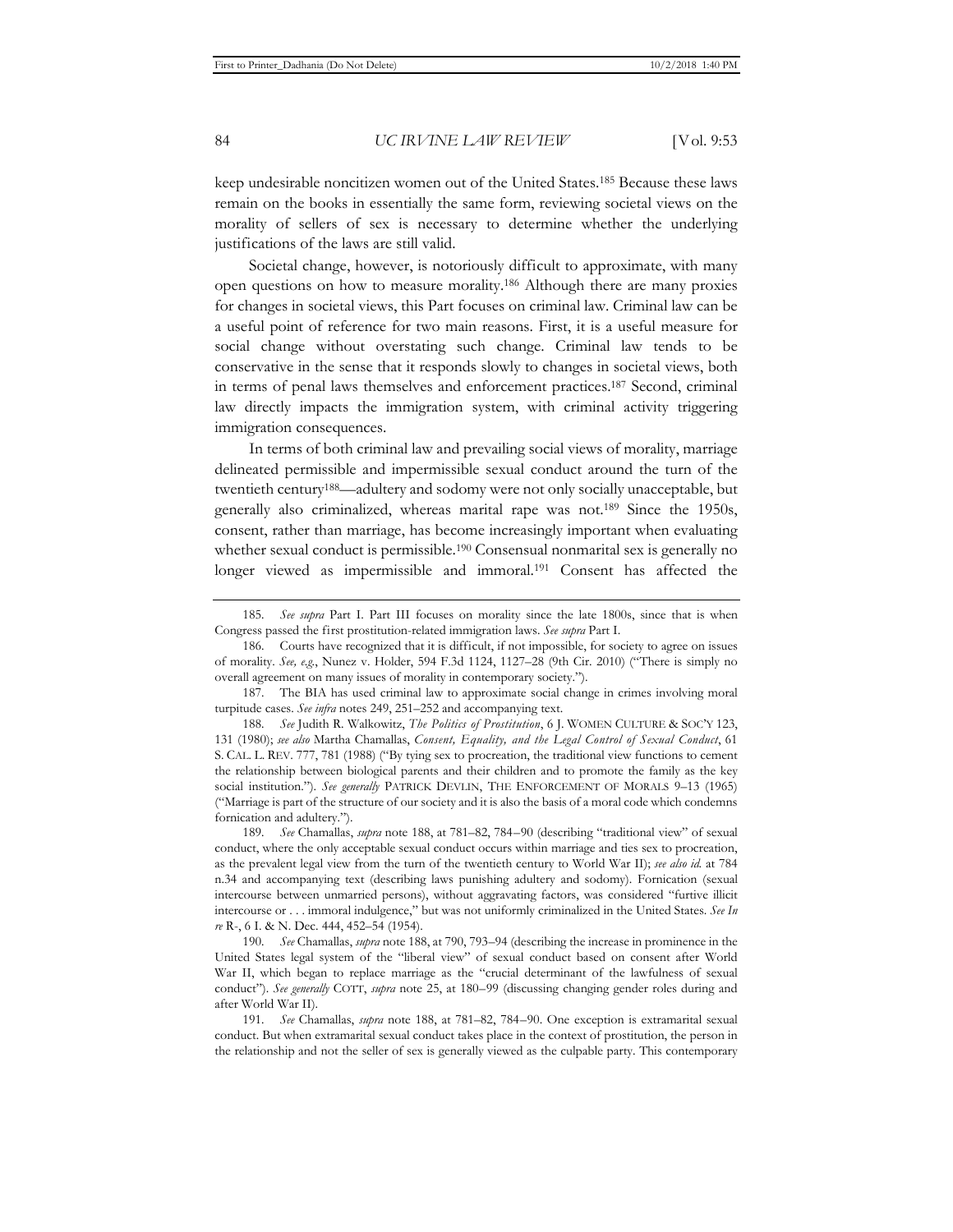keep undesirable noncitizen women out of the United States.185 Because these laws remain on the books in essentially the same form, reviewing societal views on the morality of sellers of sex is necessary to determine whether the underlying justifications of the laws are still valid.

Societal change, however, is notoriously difficult to approximate, with many open questions on how to measure morality.186 Although there are many proxies for changes in societal views, this Part focuses on criminal law. Criminal law can be a useful point of reference for two main reasons. First, it is a useful measure for social change without overstating such change. Criminal law tends to be conservative in the sense that it responds slowly to changes in societal views, both in terms of penal laws themselves and enforcement practices.187 Second, criminal law directly impacts the immigration system, with criminal activity triggering immigration consequences.

In terms of both criminal law and prevailing social views of morality, marriage delineated permissible and impermissible sexual conduct around the turn of the twentieth century188—adultery and sodomy were not only socially unacceptable, but generally also criminalized, whereas marital rape was not.189 Since the 1950s, consent, rather than marriage, has become increasingly important when evaluating whether sexual conduct is permissible.<sup>190</sup> Consensual nonmarital sex is generally no longer viewed as impermissible and immoral.191 Consent has affected the

187. The BIA has used criminal law to approximate social change in crimes involving moral turpitude cases. *See infra* notes 249, 251–252 and accompanying text.

190*. See* Chamallas, *supra* note 188, at 790, 793–94 (describing the increase in prominence in the United States legal system of the "liberal view" of sexual conduct based on consent after World War II, which began to replace marriage as the "crucial determinant of the lawfulness of sexual conduct"). *See generally* COTT, *supra* note 25, at 180–99 (discussing changing gender roles during and after World War II).

<sup>185</sup>*. See supra* Part I. Part III focuses on morality since the late 1800s, since that is when Congress passed the first prostitution-related immigration laws. *See supra* Part I.

<sup>186.</sup> Courts have recognized that it is difficult, if not impossible, for society to agree on issues of morality. *See, e.g.*, Nunez v. Holder, 594 F.3d 1124, 1127–28 (9th Cir. 2010) ("There is simply no overall agreement on many issues of morality in contemporary society.").

<sup>188</sup>*. See* Judith R. Walkowitz, *The Politics of Prostitution*, 6 J. WOMEN CULTURE & SOC'Y 123, 131 (1980); *see also* Martha Chamallas, *Consent, Equality, and the Legal Control of Sexual Conduct*, 61 S. CAL. L. REV. 777, 781 (1988) ("By tying sex to procreation, the traditional view functions to cement the relationship between biological parents and their children and to promote the family as the key social institution."). *See generally* PATRICK DEVLIN, THE ENFORCEMENT OF MORALS 9–13 (1965) ("Marriage is part of the structure of our society and it is also the basis of a moral code which condemns fornication and adultery.").

<sup>189</sup>*. See* Chamallas, *supra* note 188, at 781–82, 784–90 (describing "traditional view" of sexual conduct, where the only acceptable sexual conduct occurs within marriage and ties sex to procreation, as the prevalent legal view from the turn of the twentieth century to World War II); *see also id.* at 784 n.34 and accompanying text (describing laws punishing adultery and sodomy). Fornication (sexual intercourse between unmarried persons), without aggravating factors, was considered "furtive illicit intercourse or . . . immoral indulgence," but was not uniformly criminalized in the United States. *See In re* R-, 6 I. & N. Dec. 444, 452–54 (1954).

<sup>191</sup>*. See* Chamallas, *supra* note 188, at 781–82, 784–90. One exception is extramarital sexual conduct. But when extramarital sexual conduct takes place in the context of prostitution, the person in the relationship and not the seller of sex is generally viewed as the culpable party. This contemporary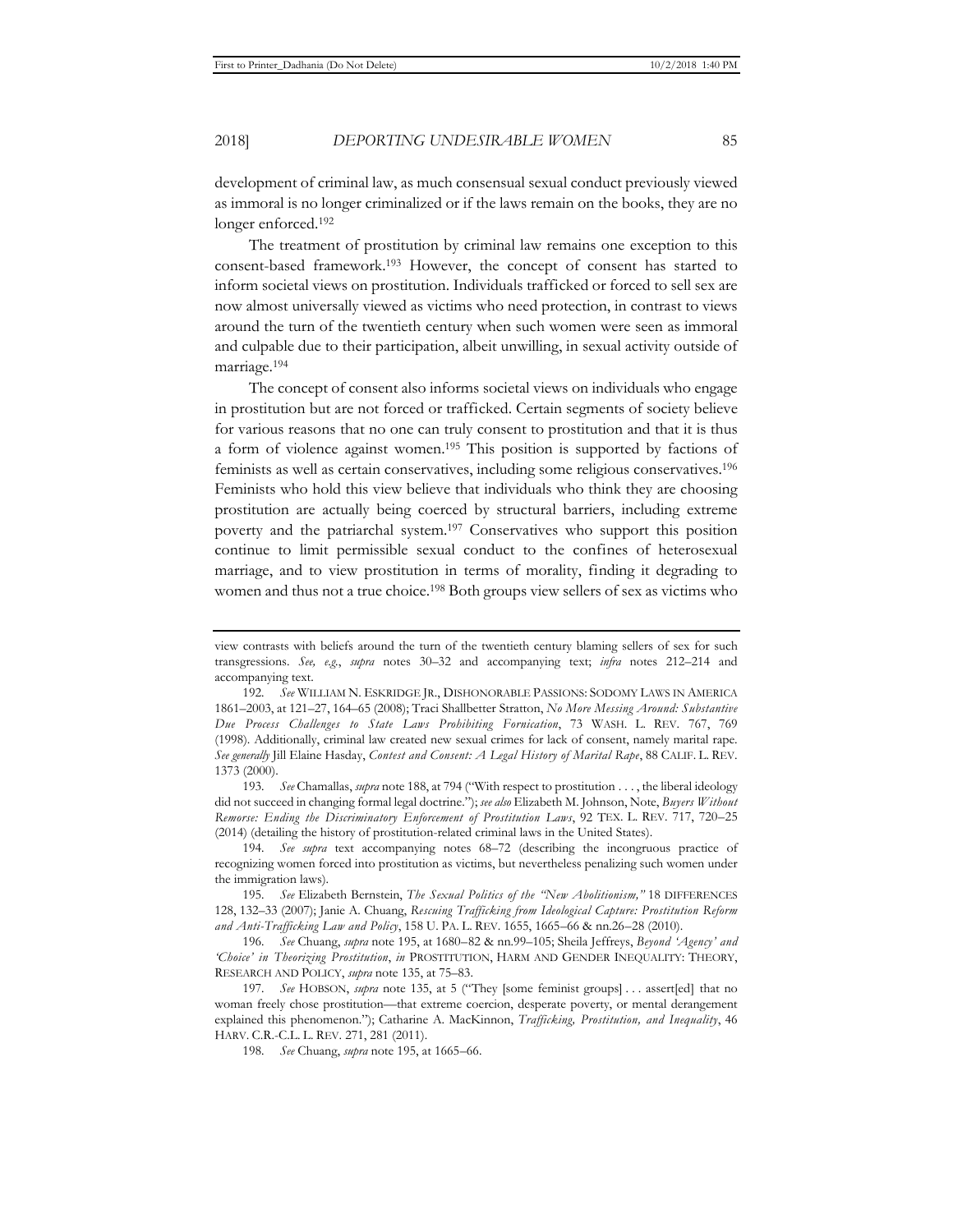development of criminal law, as much consensual sexual conduct previously viewed as immoral is no longer criminalized or if the laws remain on the books, they are no longer enforced.192

The treatment of prostitution by criminal law remains one exception to this consent-based framework.193 However, the concept of consent has started to inform societal views on prostitution. Individuals trafficked or forced to sell sex are now almost universally viewed as victims who need protection, in contrast to views around the turn of the twentieth century when such women were seen as immoral and culpable due to their participation, albeit unwilling, in sexual activity outside of marriage.194

The concept of consent also informs societal views on individuals who engage in prostitution but are not forced or trafficked. Certain segments of society believe for various reasons that no one can truly consent to prostitution and that it is thus a form of violence against women.195 This position is supported by factions of feminists as well as certain conservatives, including some religious conservatives.196 Feminists who hold this view believe that individuals who think they are choosing prostitution are actually being coerced by structural barriers, including extreme poverty and the patriarchal system.197 Conservatives who support this position continue to limit permissible sexual conduct to the confines of heterosexual marriage, and to view prostitution in terms of morality, finding it degrading to women and thus not a true choice.198 Both groups view sellers of sex as victims who

193*. See* Chamallas, *supra* note 188, at 794 ("With respect to prostitution . . . , the liberal ideology did not succeed in changing formal legal doctrine."); *see also* Elizabeth M. Johnson, Note, *Buyers Without Remorse: Ending the Discriminatory Enforcement of Prostitution Laws*, 92 TEX. L. REV. 717, 720–25 (2014) (detailing the history of prostitution-related criminal laws in the United States).

view contrasts with beliefs around the turn of the twentieth century blaming sellers of sex for such transgressions. *See, e.g.*, *supra* notes 30–32 and accompanying text; *infra* notes 212–214 and accompanying text.

<sup>192</sup>*. See* WILLIAM N. ESKRIDGE JR., DISHONORABLE PASSIONS: SODOMY LAWS IN AMERICA 1861–2003, at 121–27, 164–65 (2008); Traci Shallbetter Stratton, *No More Messing Around: Substantive Due Process Challenges to State Laws Prohibiting Fornication*, 73 WASH. L. REV. 767, 769 (1998). Additionally, criminal law created new sexual crimes for lack of consent, namely marital rape. *See generally* Jill Elaine Hasday, *Contest and Consent: A Legal History of Marital Rape*, 88 CALIF. L. REV. 1373 (2000).

<sup>194</sup>*. See supra* text accompanying notes 68–72 (describing the incongruous practice of recognizing women forced into prostitution as victims, but nevertheless penalizing such women under the immigration laws).

<sup>195</sup>*. See* Elizabeth Bernstein, *The Sexual Politics of the "New Abolitionism,"* 18 DIFFERENCES 128, 132–33 (2007); Janie A. Chuang, *Rescuing Trafficking from Ideological Capture: Prostitution Reform and Anti-Trafficking Law and Policy*, 158 U. PA. L. REV. 1655, 1665–66 & nn.26–28 (2010).

<sup>196</sup>*. See* Chuang, *supra* note 195, at 1680–82 & nn.99–105; Sheila Jeffreys, *Beyond 'Agency' and 'Choice' in Theorizing Prostitution*, *in* PROSTITUTION, HARM AND GENDER INEQUALITY: THEORY, RESEARCH AND POLICY, *supra* note 135, at 75–83.

<sup>197</sup>*. See* HOBSON, *supra* note 135, at 5 ("They [some feminist groups] . . . assert[ed] that no woman freely chose prostitution—that extreme coercion, desperate poverty, or mental derangement explained this phenomenon."); Catharine A. MacKinnon, *Trafficking, Prostitution, and Inequality*, 46 HARV. C.R.-C.L. L. REV. 271, 281 (2011).

<sup>198</sup>*. See* Chuang, *supra* note 195, at 1665–66.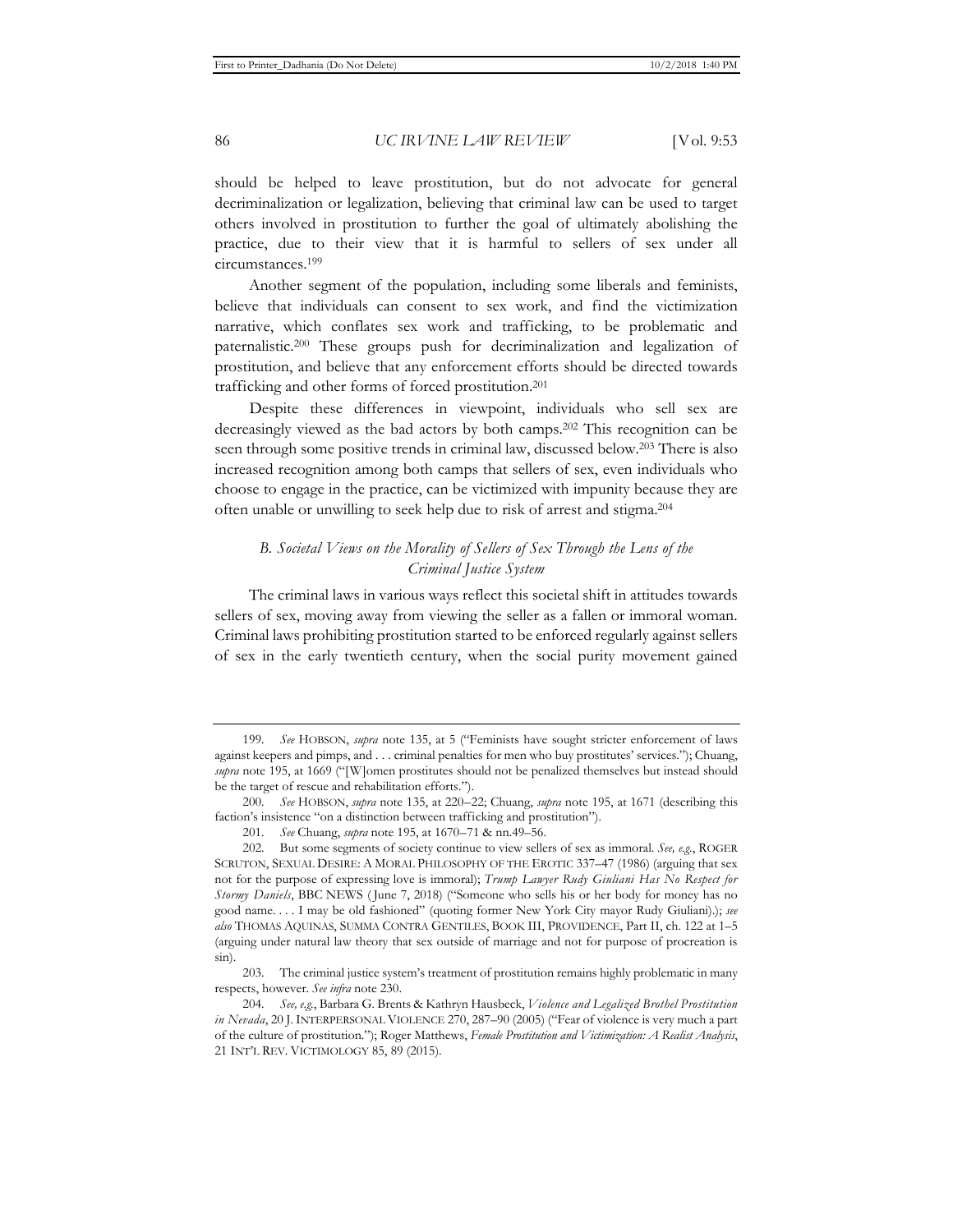should be helped to leave prostitution, but do not advocate for general decriminalization or legalization, believing that criminal law can be used to target others involved in prostitution to further the goal of ultimately abolishing the practice, due to their view that it is harmful to sellers of sex under all circumstances.199

Another segment of the population, including some liberals and feminists, believe that individuals can consent to sex work, and find the victimization narrative, which conflates sex work and trafficking, to be problematic and paternalistic.200 These groups push for decriminalization and legalization of prostitution, and believe that any enforcement efforts should be directed towards trafficking and other forms of forced prostitution.201

Despite these differences in viewpoint, individuals who sell sex are decreasingly viewed as the bad actors by both camps.202 This recognition can be seen through some positive trends in criminal law, discussed below.203 There is also increased recognition among both camps that sellers of sex, even individuals who choose to engage in the practice, can be victimized with impunity because they are often unable or unwilling to seek help due to risk of arrest and stigma.204

# *B. Societal Views on the Morality of Sellers of Sex Through the Lens of the Criminal Justice System*

The criminal laws in various ways reflect this societal shift in attitudes towards sellers of sex, moving away from viewing the seller as a fallen or immoral woman. Criminal laws prohibiting prostitution started to be enforced regularly against sellers of sex in the early twentieth century, when the social purity movement gained

<sup>199</sup>*. See* HOBSON, *supra* note 135, at 5 ("Feminists have sought stricter enforcement of laws against keepers and pimps, and . . . criminal penalties for men who buy prostitutes' services."); Chuang, *supra* note 195, at 1669 ("[W]omen prostitutes should not be penalized themselves but instead should be the target of rescue and rehabilitation efforts.").

<sup>200</sup>*. See* HOBSON, *supra* note 135, at 220–22; Chuang, *supra* note 195, at 1671 (describing this faction's insistence "on a distinction between trafficking and prostitution").

<sup>201</sup>*. See* Chuang, *supra* note 195, at 1670–71 & nn.49–56.

<sup>202.</sup> But some segments of society continue to view sellers of sex as immoral. *See, e.g.*, ROGER SCRUTON, SEXUAL DESIRE: A MORAL PHILOSOPHY OF THE EROTIC 337–47 (1986) (arguing that sex not for the purpose of expressing love is immoral); *Trump Lawyer Rudy Giuliani Has No Respect for Stormy Daniels*, BBC NEWS ( June 7, 2018) ("Someone who sells his or her body for money has no good name. . . . I may be old fashioned" (quoting former New York City mayor Rudy Giuliani).); *see also* THOMAS AQUINAS, SUMMA CONTRA GENTILES, BOOK III, PROVIDENCE, Part II, ch. 122 at 1–5 (arguing under natural law theory that sex outside of marriage and not for purpose of procreation is sin).

<sup>203.</sup> The criminal justice system's treatment of prostitution remains highly problematic in many respects, however. *See infra* note 230.

<sup>204</sup>*. See, e.g.*, Barbara G. Brents & Kathryn Hausbeck, *Violence and Legalized Brothel Prostitution in Nevada*, 20 J.INTERPERSONAL VIOLENCE 270, 287–90 (2005) ("Fear of violence is very much a part of the culture of prostitution."); Roger Matthews, *Female Prostitution and Victimization: A Realist Analysis*, 21 INT'L REV. VICTIMOLOGY 85, 89 (2015).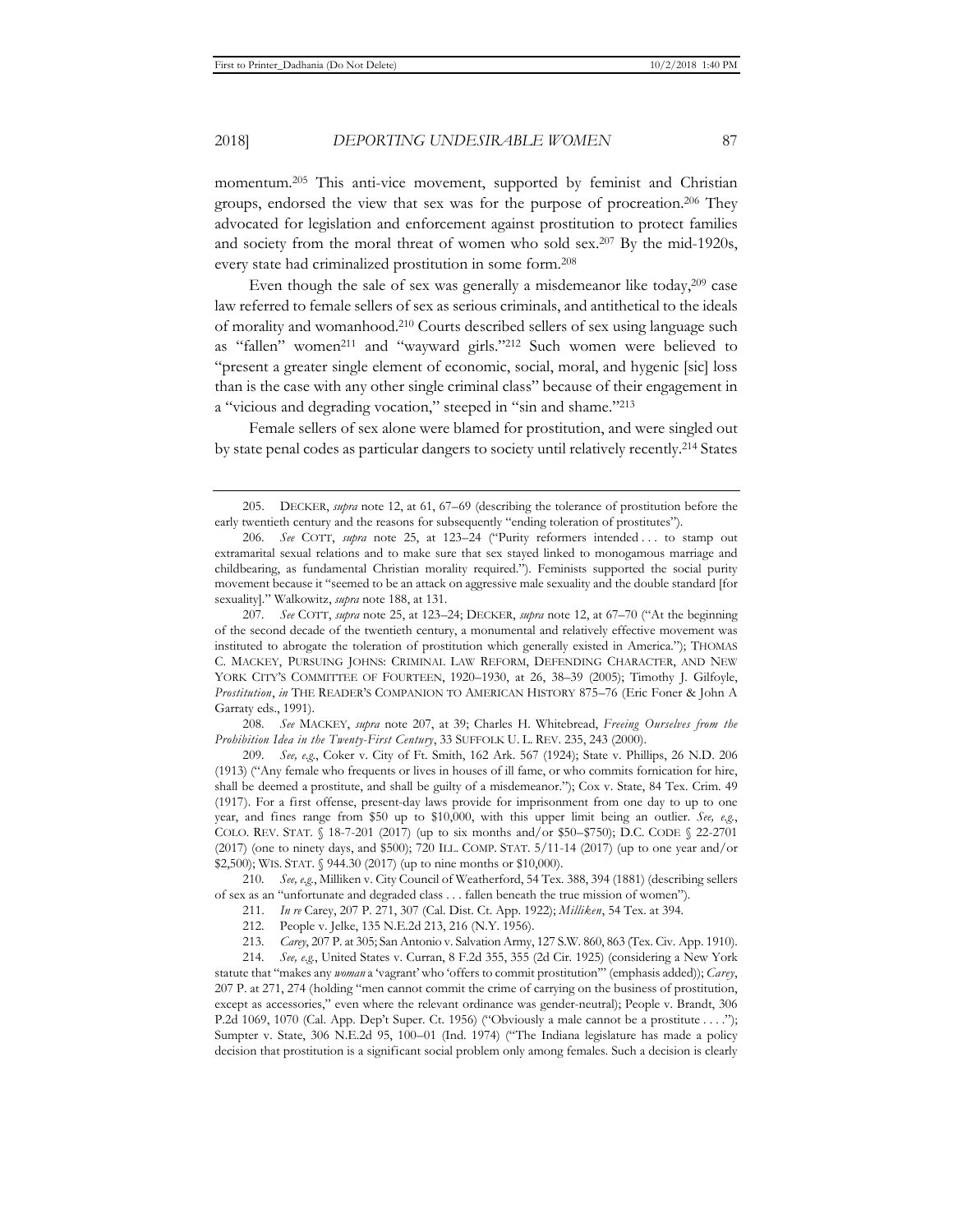momentum.205 This anti-vice movement, supported by feminist and Christian groups, endorsed the view that sex was for the purpose of procreation.206 They advocated for legislation and enforcement against prostitution to protect families and society from the moral threat of women who sold sex.207 By the mid-1920s, every state had criminalized prostitution in some form.208

Even though the sale of sex was generally a misdemeanor like today,<sup>209</sup> case law referred to female sellers of sex as serious criminals, and antithetical to the ideals of morality and womanhood.210 Courts described sellers of sex using language such as "fallen" women211 and "wayward girls."212 Such women were believed to "present a greater single element of economic, social, moral, and hygenic [sic] loss than is the case with any other single criminal class" because of their engagement in a "vicious and degrading vocation," steeped in "sin and shame."213

Female sellers of sex alone were blamed for prostitution, and were singled out by state penal codes as particular dangers to society until relatively recently.214 States

208*. See* MACKEY, *supra* note 207, at 39; Charles H. Whitebread, *Freeing Ourselves from the Prohibition Idea in the Twenty-First Century*, 33 SUFFOLK U. L. REV. 235, 243 (2000).

209*. See, e.g.*, Coker v. City of Ft. Smith, 162 Ark. 567 (1924); State v. Phillips, 26 N.D. 206 (1913) ("Any female who frequents or lives in houses of ill fame, or who commits fornication for hire, shall be deemed a prostitute, and shall be guilty of a misdemeanor."); Cox v. State, 84 Tex. Crim. 49 (1917). For a first offense, present-day laws provide for imprisonment from one day to up to one year, and fines range from \$50 up to \$10,000, with this upper limit being an outlier. *See, e.g.*, COLO. REV. STAT. § 18-7-201 (2017) (up to six months and/or \$50–\$750); D.C. CODE § 22-2701 (2017) (one to ninety days, and \$500); 720 ILL. COMP. STAT. 5/11-14 (2017) (up to one year and/or \$2,500); WIS. STAT. § 944.30 (2017) (up to nine months or \$10,000).

210*. See, e.g.*, Milliken v. City Council of Weatherford, 54 Tex. 388, 394 (1881) (describing sellers of sex as an "unfortunate and degraded class . . . fallen beneath the true mission of women").

214*. See, e.g.*, United States v. Curran, 8 F.2d 355, 355 (2d Cir. 1925) (considering a New York statute that "makes any *woman* a 'vagrant' who 'offers to commit prostitution'" (emphasis added)); *Carey*, 207 P. at 271, 274 (holding "men cannot commit the crime of carrying on the business of prostitution, except as accessories," even where the relevant ordinance was gender-neutral); People v. Brandt, 306 P.2d 1069, 1070 (Cal. App. Dep't Super. Ct. 1956) ("Obviously a male cannot be a prostitute . . . ."); Sumpter v. State, 306 N.E.2d 95, 100–01 (Ind. 1974) ("The Indiana legislature has made a policy decision that prostitution is a significant social problem only among females. Such a decision is clearly

<sup>205.</sup> DECKER, *supra* note 12, at 61, 67–69 (describing the tolerance of prostitution before the early twentieth century and the reasons for subsequently "ending toleration of prostitutes").

<sup>206</sup>*. See* COTT, *supra* note 25, at 123–24 ("Purity reformers intended . . . to stamp out extramarital sexual relations and to make sure that sex stayed linked to monogamous marriage and childbearing, as fundamental Christian morality required."). Feminists supported the social purity movement because it "seemed to be an attack on aggressive male sexuality and the double standard [for sexuality]." Walkowitz, *supra* note 188, at 131.

<sup>207</sup>*. See* COTT, *supra* note 25, at 123–24; DECKER, *supra* note 12, at 67–70 ("At the beginning of the second decade of the twentieth century, a monumental and relatively effective movement was instituted to abrogate the toleration of prostitution which generally existed in America."); THOMAS C. MACKEY, PURSUING JOHNS: CRIMINAL LAW REFORM, DEFENDING CHARACTER, AND NEW YORK CITY'S COMMITTEE OF FOURTEEN, 1920–1930, at 26, 38–39 (2005); Timothy J. Gilfoyle, *Prostitution*, *in* THE READER'S COMPANION TO AMERICAN HISTORY 875–76 (Eric Foner & John A Garraty eds., 1991).

<sup>211.</sup> *In re* Carey, 207 P. 271, 307 (Cal. Dist. Ct. App. 1922); *Milliken*, 54 Tex. at 394.

<sup>212.</sup> People v. Jelke, 135 N.E.2d 213, 216 (N.Y. 1956).

<sup>213</sup>*. Carey*, 207 P. at 305; San Antonio v. Salvation Army, 127 S.W. 860, 863 (Tex. Civ. App. 1910).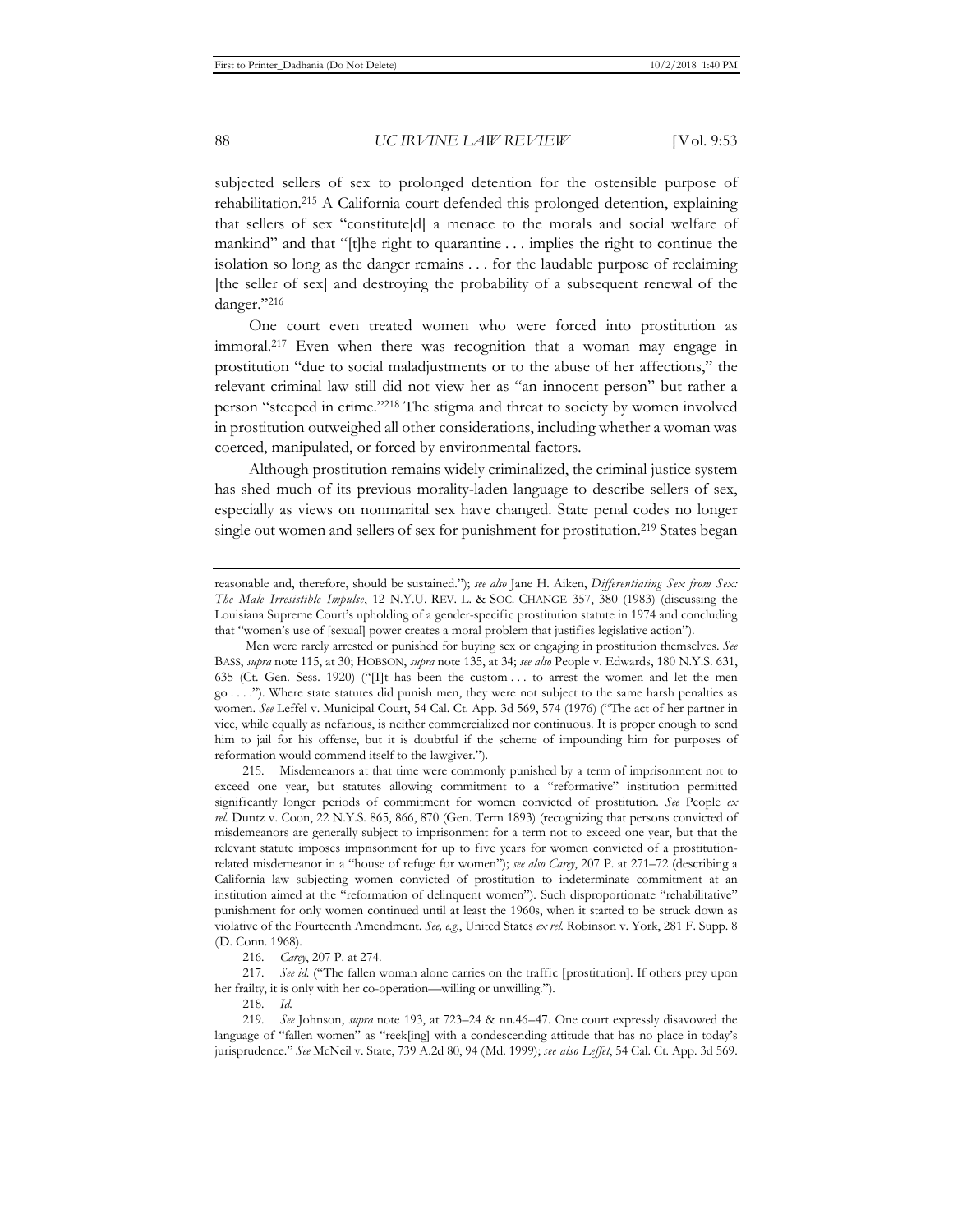subjected sellers of sex to prolonged detention for the ostensible purpose of rehabilitation.215 A California court defended this prolonged detention, explaining that sellers of sex "constitute[d] a menace to the morals and social welfare of mankind" and that "[t]he right to quarantine . . . implies the right to continue the isolation so long as the danger remains . . . for the laudable purpose of reclaiming [the seller of sex] and destroying the probability of a subsequent renewal of the danger."216

One court even treated women who were forced into prostitution as immoral.217 Even when there was recognition that a woman may engage in prostitution "due to social maladjustments or to the abuse of her affections," the relevant criminal law still did not view her as "an innocent person" but rather a person "steeped in crime."218 The stigma and threat to society by women involved in prostitution outweighed all other considerations, including whether a woman was coerced, manipulated, or forced by environmental factors.

Although prostitution remains widely criminalized, the criminal justice system has shed much of its previous morality-laden language to describe sellers of sex, especially as views on nonmarital sex have changed. State penal codes no longer single out women and sellers of sex for punishment for prostitution.<sup>219</sup> States began

215. Misdemeanors at that time were commonly punished by a term of imprisonment not to exceed one year, but statutes allowing commitment to a "reformative" institution permitted significantly longer periods of commitment for women convicted of prostitution. *See* People *ex rel.* Duntz v. Coon, 22 N.Y.S. 865, 866, 870 (Gen. Term 1893) (recognizing that persons convicted of misdemeanors are generally subject to imprisonment for a term not to exceed one year, but that the relevant statute imposes imprisonment for up to five years for women convicted of a prostitutionrelated misdemeanor in a "house of refuge for women"); *see also Carey*, 207 P. at 271–72 (describing a California law subjecting women convicted of prostitution to indeterminate commitment at an institution aimed at the "reformation of delinquent women"). Such disproportionate "rehabilitative" punishment for only women continued until at least the 1960s, when it started to be struck down as violative of the Fourteenth Amendment. *See, e.g.*, United States *ex rel.* Robinson v. York, 281 F. Supp. 8 (D. Conn. 1968).

216*. Carey*, 207 P. at 274.

217*. See id.* ("The fallen woman alone carries on the traffic [prostitution]. If others prey upon her frailty, it is only with her co-operation—willing or unwilling.").

218*. Id.*

219*. See* Johnson, *supra* note 193, at 723–24 & nn.46–47. One court expressly disavowed the language of "fallen women" as "reek[ing] with a condescending attitude that has no place in today's jurisprudence." *See* McNeil v. State, 739 A.2d 80, 94 (Md. 1999); *see also Leffel*, 54 Cal. Ct. App. 3d 569.

reasonable and, therefore, should be sustained."); *see also* Jane H. Aiken, *Differentiating Sex from Sex: The Male Irresistible Impulse*, 12 N.Y.U. REV. L. & SOC. CHANGE 357, 380 (1983) (discussing the Louisiana Supreme Court's upholding of a gender-specific prostitution statute in 1974 and concluding that "women's use of [sexual] power creates a moral problem that justifies legislative action").

Men were rarely arrested or punished for buying sex or engaging in prostitution themselves. *See* BASS, *supra* note 115, at 30; HOBSON, *supra* note 135, at 34; *see also* People v. Edwards, 180 N.Y.S. 631, 635 (Ct. Gen. Sess. 1920) ("[I]t has been the custom . . . to arrest the women and let the men go . . . ."). Where state statutes did punish men, they were not subject to the same harsh penalties as women. *See* Leffel v. Municipal Court, 54 Cal. Ct. App. 3d 569, 574 (1976) ("The act of her partner in vice, while equally as nefarious, is neither commercialized nor continuous. It is proper enough to send him to jail for his offense, but it is doubtful if the scheme of impounding him for purposes of reformation would commend itself to the lawgiver.").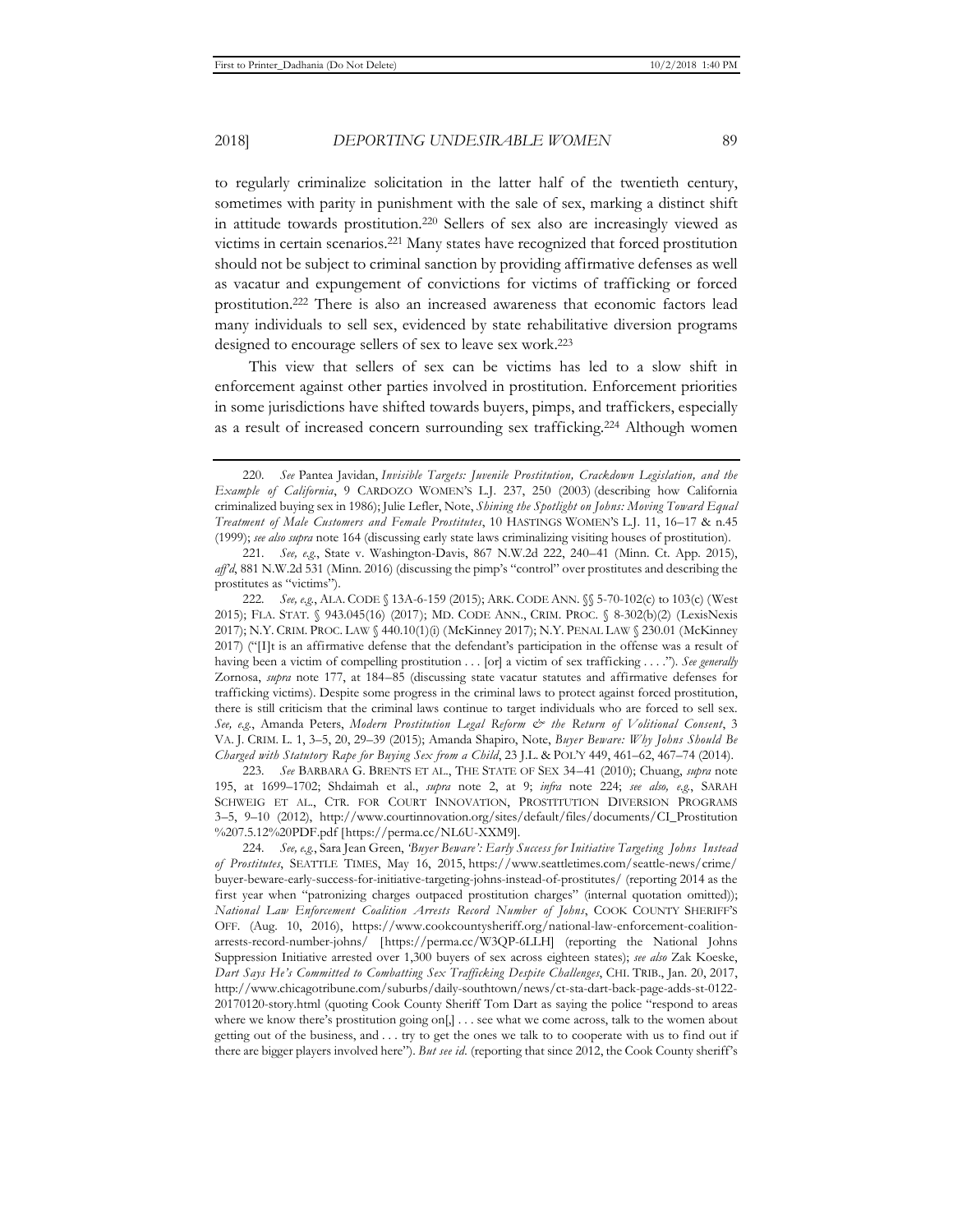to regularly criminalize solicitation in the latter half of the twentieth century, sometimes with parity in punishment with the sale of sex, marking a distinct shift in attitude towards prostitution.220 Sellers of sex also are increasingly viewed as victims in certain scenarios.221 Many states have recognized that forced prostitution should not be subject to criminal sanction by providing affirmative defenses as well as vacatur and expungement of convictions for victims of trafficking or forced prostitution.222 There is also an increased awareness that economic factors lead many individuals to sell sex, evidenced by state rehabilitative diversion programs designed to encourage sellers of sex to leave sex work.223

This view that sellers of sex can be victims has led to a slow shift in enforcement against other parties involved in prostitution. Enforcement priorities in some jurisdictions have shifted towards buyers, pimps, and traffickers, especially as a result of increased concern surrounding sex trafficking.224 Although women

223*. See* BARBARA G. BRENTS ET AL., THE STATE OF SEX 34–41 (2010); Chuang, *supra* note 195, at 1699–1702; Shdaimah et al., *supra* note 2, at 9; *infra* note 224; *see also, e.g.*, SARAH SCHWEIG ET AL., CTR. FOR COURT INNOVATION, PROSTITUTION DIVERSION PROGRAMS 3–5, 9–10 (2012), http://www.courtinnovation.org/sites/default/files/documents/CI\_Prostitution %207.5.12%20PDF.pdf [https://perma.cc/NL6U-XXM9].

224*. See, e.g.*, Sara Jean Green, *'Buyer Beware': Early Success for Initiative Targeting Johns Instead of Prostitutes*, SEATTLE TIMES, May 16, 2015, https://www.seattletimes.com/seattle-news/crime/ buyer-beware-early-success-for-initiative-targeting-johns-instead-of-prostitutes/ (reporting 2014 as the first year when "patronizing charges outpaced prostitution charges" (internal quotation omitted)); *National Law Enforcement Coalition Arrests Record Number of Johns*, COOK COUNTY SHERIFF'S OFF. (Aug. 10, 2016), https://www.cookcountysheriff.org/national-law-enforcement-coalitionarrests-record-number-johns/ [https://perma.cc/W3QP-6LLH] (reporting the National Johns Suppression Initiative arrested over 1,300 buyers of sex across eighteen states); *see also* Zak Koeske, *Dart Says He's Committed to Combatting Sex Trafficking Despite Challenges*, CHI. TRIB., Jan. 20, 2017, http://www.chicagotribune.com/suburbs/daily-southtown/news/ct-sta-dart-back-page-adds-st-0122- 20170120-story.html (quoting Cook County Sheriff Tom Dart as saying the police "respond to areas where we know there's prostitution going on[,] ... see what we come across, talk to the women about getting out of the business, and . . . try to get the ones we talk to to cooperate with us to find out if there are bigger players involved here"). *But see id.* (reporting that since 2012, the Cook County sheriff's

<sup>220</sup>*. See* Pantea Javidan, *Invisible Targets: Juvenile Prostitution, Crackdown Legislation, and the Example of California*, 9 CARDOZO WOMEN'S L.J. 237, 250 (2003) (describing how California criminalized buying sex in 1986); Julie Lefler, Note, *Shining the Spotlight on Johns: Moving Toward Equal Treatment of Male Customers and Female Prostitutes*, 10 HASTINGS WOMEN'S L.J. 11, 16–17 & n.45 (1999); *see also supra* note 164 (discussing early state laws criminalizing visiting houses of prostitution).

<sup>221</sup>*. See, e.g.*, State v. Washington-Davis, 867 N.W.2d 222, 240–41 (Minn. Ct. App. 2015), *aff'd*, 881 N.W.2d 531 (Minn. 2016) (discussing the pimp's "control" over prostitutes and describing the prostitutes as "victims").

<sup>222</sup>*. See, e.g.*, ALA. CODE § 13A-6-159 (2015); ARK. CODE ANN. §§ 5-70-102(c) to 103(c) (West 2015); FLA. STAT. § 943.045(16) (2017); MD. CODE ANN., CRIM. PROC. § 8-302(b)(2) (LexisNexis 2017); N.Y. CRIM. PROC. LAW § 440.10(1)(i) (McKinney 2017); N.Y. PENAL LAW § 230.01 (McKinney 2017) ("[I]t is an affirmative defense that the defendant's participation in the offense was a result of having been a victim of compelling prostitution . . . [or] a victim of sex trafficking . . . ."). *See generally* Zornosa, *supra* note 177, at 184–85 (discussing state vacatur statutes and affirmative defenses for trafficking victims). Despite some progress in the criminal laws to protect against forced prostitution, there is still criticism that the criminal laws continue to target individuals who are forced to sell sex. *See, e.g.*, Amanda Peters, *Modern Prostitution Legal Reform & the Return of Volitional Consent*, 3 VA. J. CRIM. L. 1, 3–5, 20, 29–39 (2015); Amanda Shapiro, Note, *Buyer Beware: Why Johns Should Be Charged with Statutory Rape for Buying Sex from a Child*, 23 J.L. & POL'Y 449, 461–62, 467–74 (2014).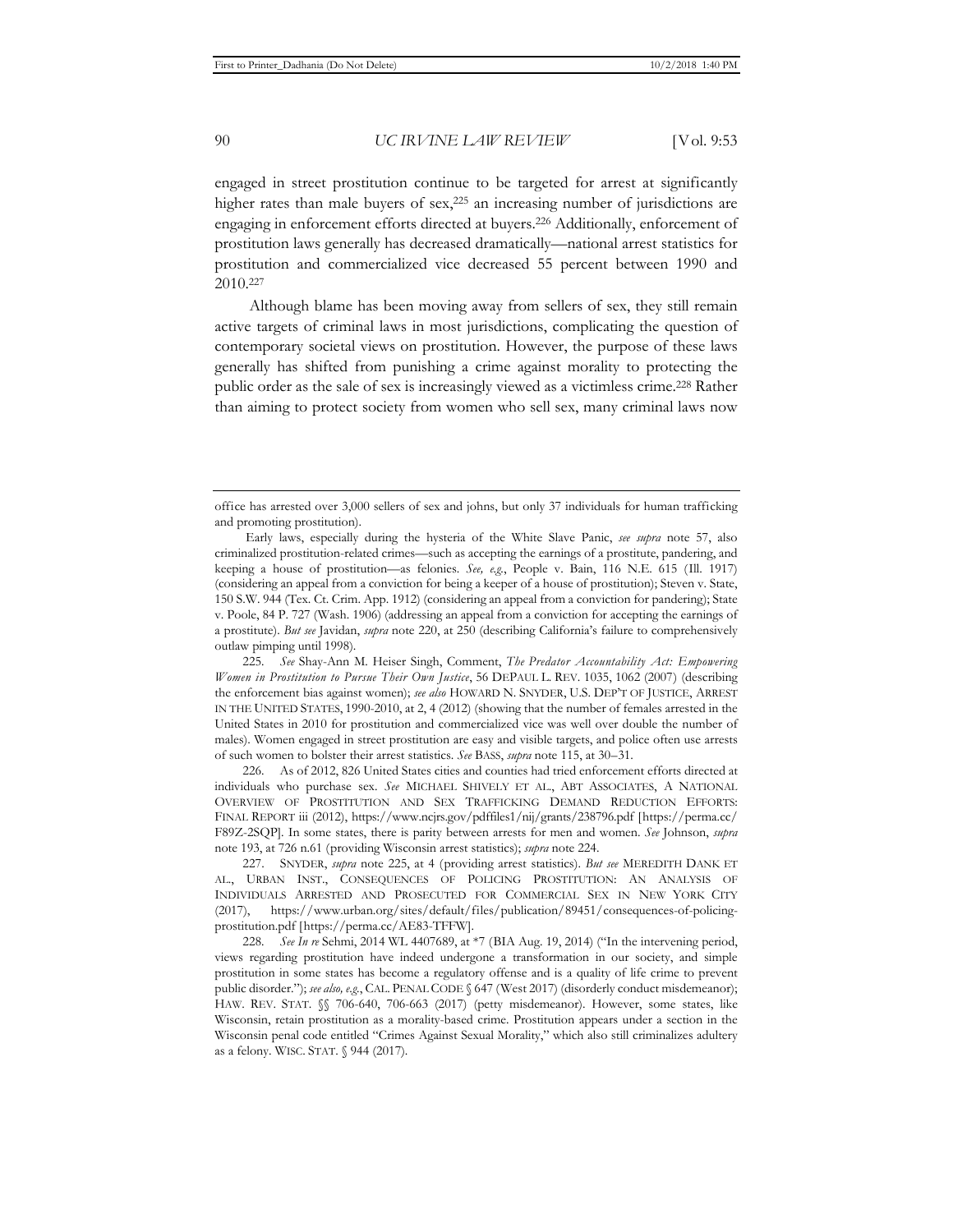engaged in street prostitution continue to be targeted for arrest at significantly higher rates than male buyers of sex,<sup>225</sup> an increasing number of jurisdictions are engaging in enforcement efforts directed at buyers.226 Additionally, enforcement of prostitution laws generally has decreased dramatically—national arrest statistics for prostitution and commercialized vice decreased 55 percent between 1990 and 2010.227

Although blame has been moving away from sellers of sex, they still remain active targets of criminal laws in most jurisdictions, complicating the question of contemporary societal views on prostitution. However, the purpose of these laws generally has shifted from punishing a crime against morality to protecting the public order as the sale of sex is increasingly viewed as a victimless crime.228 Rather than aiming to protect society from women who sell sex, many criminal laws now

226. As of 2012, 826 United States cities and counties had tried enforcement efforts directed at individuals who purchase sex. *See* MICHAEL SHIVELY ET AL., ABT ASSOCIATES, A NATIONAL OVERVIEW OF PROSTITUTION AND SEX TRAFFICKING DEMAND REDUCTION EFFORTS: FINAL REPORT iii (2012), https://www.ncjrs.gov/pdffiles1/nij/grants/238796.pdf [https://perma.cc/ F89Z-2SQP]. In some states, there is parity between arrests for men and women. *See* Johnson, *supra* note 193, at 726 n.61 (providing Wisconsin arrest statistics); *supra* note 224.

227. SNYDER, *supra* note 225, at 4 (providing arrest statistics). *But see* MEREDITH DANK ET AL., URBAN INST., CONSEQUENCES OF POLICING PROSTITUTION: AN ANALYSIS OF INDIVIDUALS ARRESTED AND PROSECUTED FOR COMMERCIAL SEX IN NEW YORK CITY (2017), https://www.urban.org/sites/default/files/publication/89451/consequences-of-policingprostitution.pdf [https://perma.cc/AE83-TFFW].

228*. See In re* Sehmi, 2014 WL 4407689, at \*7 (BIA Aug. 19, 2014) ("In the intervening period, views regarding prostitution have indeed undergone a transformation in our society, and simple prostitution in some states has become a regulatory offense and is a quality of life crime to prevent public disorder."); *see also, e.g.*, CAL. PENAL CODE § 647 (West 2017) (disorderly conduct misdemeanor); HAW. REV. STAT. §§ 706-640, 706-663 (2017) (petty misdemeanor). However, some states, like Wisconsin, retain prostitution as a morality-based crime. Prostitution appears under a section in the Wisconsin penal code entitled "Crimes Against Sexual Morality," which also still criminalizes adultery as a felony. WISC. STAT. § 944 (2017).

office has arrested over 3,000 sellers of sex and johns, but only 37 individuals for human trafficking and promoting prostitution).

Early laws, especially during the hysteria of the White Slave Panic, *see supra* note 57, also criminalized prostitution-related crimes—such as accepting the earnings of a prostitute, pandering, and keeping a house of prostitution—as felonies. *See, e.g.*, People v. Bain, 116 N.E. 615 (Ill. 1917) (considering an appeal from a conviction for being a keeper of a house of prostitution); Steven v. State, 150 S.W. 944 (Tex. Ct. Crim. App. 1912) (considering an appeal from a conviction for pandering); State v. Poole, 84 P. 727 (Wash. 1906) (addressing an appeal from a conviction for accepting the earnings of a prostitute). *But see* Javidan, *supra* note 220, at 250 (describing California's failure to comprehensively outlaw pimping until 1998).

<sup>225</sup>*. See* Shay-Ann M. Heiser Singh, Comment, *The Predator Accountability Act: Empowering Women in Prostitution to Pursue Their Own Justice*, 56 DEPAUL L. REV. 1035, 1062 (2007) (describing the enforcement bias against women); *see also* HOWARD N. SNYDER, U.S. DEP'T OF JUSTICE, ARREST IN THE UNITED STATES, 1990-2010, at 2, 4 (2012) (showing that the number of females arrested in the United States in 2010 for prostitution and commercialized vice was well over double the number of males). Women engaged in street prostitution are easy and visible targets, and police often use arrests of such women to bolster their arrest statistics. *See* BASS, *supra* note 115, at 30–31.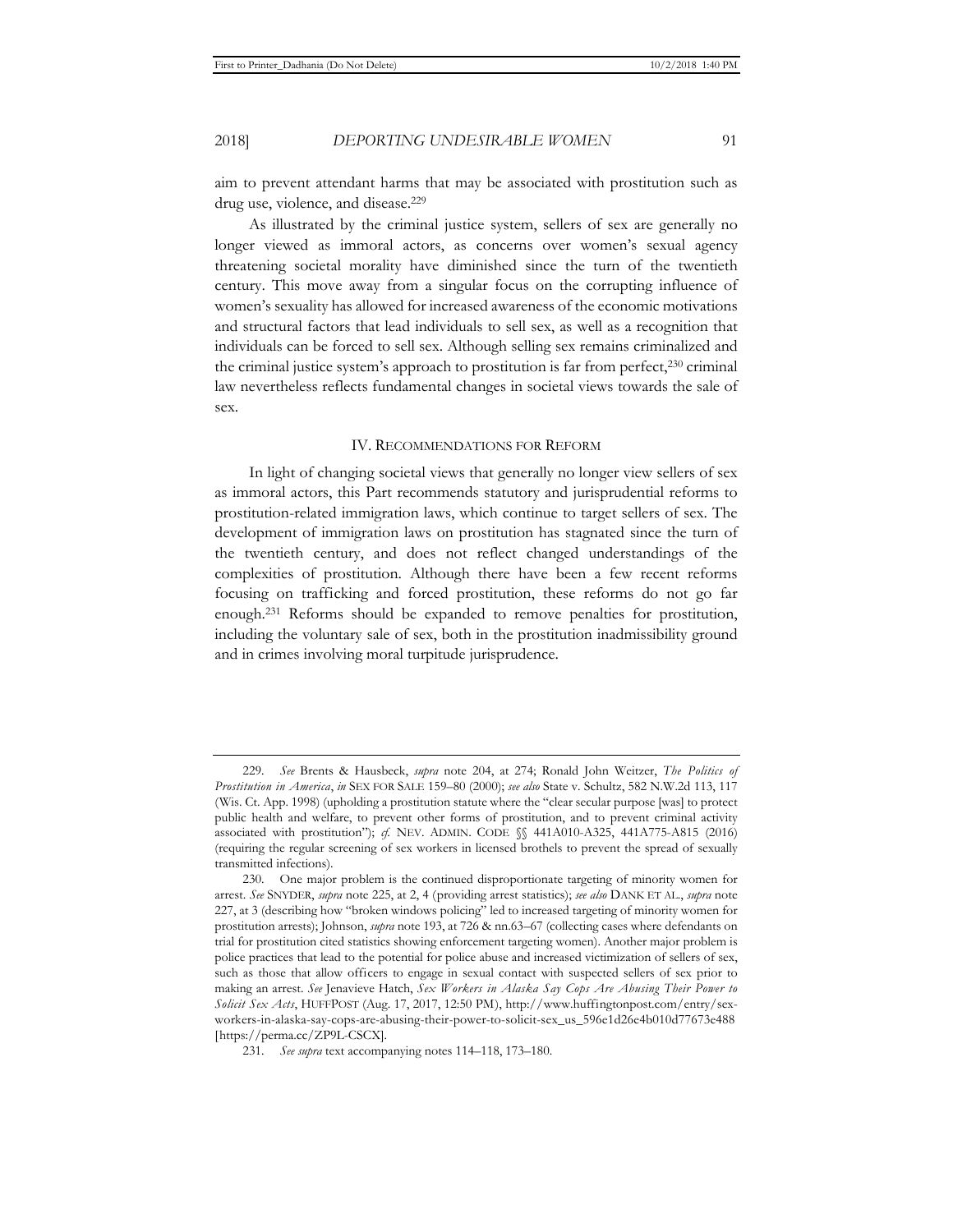aim to prevent attendant harms that may be associated with prostitution such as drug use, violence, and disease.229

As illustrated by the criminal justice system, sellers of sex are generally no longer viewed as immoral actors, as concerns over women's sexual agency threatening societal morality have diminished since the turn of the twentieth century. This move away from a singular focus on the corrupting influence of women's sexuality has allowed for increased awareness of the economic motivations and structural factors that lead individuals to sell sex, as well as a recognition that individuals can be forced to sell sex. Although selling sex remains criminalized and the criminal justice system's approach to prostitution is far from perfect,<sup>230</sup> criminal law nevertheless reflects fundamental changes in societal views towards the sale of sex.

#### IV. RECOMMENDATIONS FOR REFORM

In light of changing societal views that generally no longer view sellers of sex as immoral actors, this Part recommends statutory and jurisprudential reforms to prostitution-related immigration laws, which continue to target sellers of sex. The development of immigration laws on prostitution has stagnated since the turn of the twentieth century, and does not reflect changed understandings of the complexities of prostitution. Although there have been a few recent reforms focusing on trafficking and forced prostitution, these reforms do not go far enough.231 Reforms should be expanded to remove penalties for prostitution, including the voluntary sale of sex, both in the prostitution inadmissibility ground and in crimes involving moral turpitude jurisprudence.

<sup>229</sup>*. See* Brents & Hausbeck, *supra* note 204, at 274; Ronald John Weitzer, *The Politics of Prostitution in America*, *in* SEX FOR SALE 159–80 (2000); *see also* State v. Schultz, 582 N.W.2d 113, 117 (Wis. Ct. App. 1998) (upholding a prostitution statute where the "clear secular purpose [was] to protect public health and welfare, to prevent other forms of prostitution, and to prevent criminal activity associated with prostitution"); *cf.* NEV. ADMIN. CODE §§ 441A010-A325, 441A775-A815 (2016) (requiring the regular screening of sex workers in licensed brothels to prevent the spread of sexually transmitted infections).

<sup>230.</sup> One major problem is the continued disproportionate targeting of minority women for arrest. *See* SNYDER, *supra* note 225, at 2, 4 (providing arrest statistics); *see also* DANK ET AL., *supra* note 227, at 3 (describing how "broken windows policing" led to increased targeting of minority women for prostitution arrests); Johnson, *supra* note 193, at 726 & nn.63–67 (collecting cases where defendants on trial for prostitution cited statistics showing enforcement targeting women). Another major problem is police practices that lead to the potential for police abuse and increased victimization of sellers of sex, such as those that allow officers to engage in sexual contact with suspected sellers of sex prior to making an arrest. *See* Jenavieve Hatch, *Sex Workers in Alaska Say Cops Are Abusing Their Power to Solicit Sex Acts*, HUFFPOST (Aug. 17, 2017, 12:50 PM), http://www.huffingtonpost.com/entry/sexworkers-in-alaska-say-cops-are-abusing-their-power-to-solicit-sex\_us\_596e1d26e4b010d77673e488 [https://perma.cc/ZP9L-CSCX].

<sup>231</sup>*. See supra* text accompanying notes 114–118, 173–180.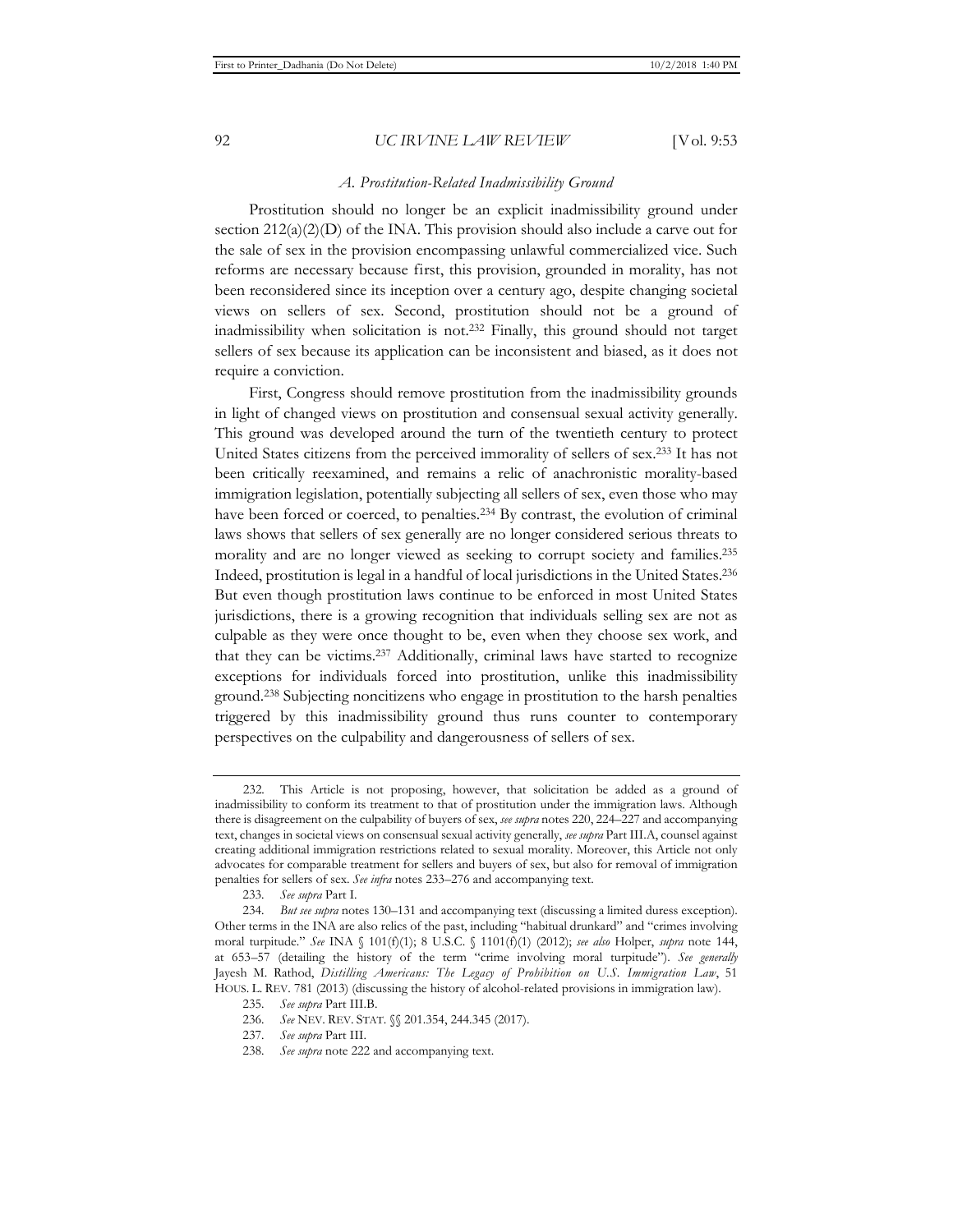#### *A. Prostitution-Related Inadmissibility Ground*

Prostitution should no longer be an explicit inadmissibility ground under section  $212(a)(2)(D)$  of the INA. This provision should also include a carve out for the sale of sex in the provision encompassing unlawful commercialized vice. Such reforms are necessary because first, this provision, grounded in morality, has not been reconsidered since its inception over a century ago, despite changing societal views on sellers of sex. Second, prostitution should not be a ground of inadmissibility when solicitation is not.232 Finally, this ground should not target sellers of sex because its application can be inconsistent and biased, as it does not require a conviction.

First, Congress should remove prostitution from the inadmissibility grounds in light of changed views on prostitution and consensual sexual activity generally. This ground was developed around the turn of the twentieth century to protect United States citizens from the perceived immorality of sellers of sex.233 It has not been critically reexamined, and remains a relic of anachronistic morality-based immigration legislation, potentially subjecting all sellers of sex, even those who may have been forced or coerced, to penalties.<sup>234</sup> By contrast, the evolution of criminal laws shows that sellers of sex generally are no longer considered serious threats to morality and are no longer viewed as seeking to corrupt society and families.235 Indeed, prostitution is legal in a handful of local jurisdictions in the United States.236 But even though prostitution laws continue to be enforced in most United States jurisdictions, there is a growing recognition that individuals selling sex are not as culpable as they were once thought to be, even when they choose sex work, and that they can be victims.237 Additionally, criminal laws have started to recognize exceptions for individuals forced into prostitution, unlike this inadmissibility ground.238 Subjecting noncitizens who engage in prostitution to the harsh penalties triggered by this inadmissibility ground thus runs counter to contemporary perspectives on the culpability and dangerousness of sellers of sex.

<sup>232</sup>*.* This Article is not proposing, however, that solicitation be added as a ground of inadmissibility to conform its treatment to that of prostitution under the immigration laws. Although there is disagreement on the culpability of buyers of sex, *see supra* notes 220, 224–227 and accompanying text, changes in societal views on consensual sexual activity generally, *see supra* Part III.A, counsel against creating additional immigration restrictions related to sexual morality. Moreover, this Article not only advocates for comparable treatment for sellers and buyers of sex, but also for removal of immigration penalties for sellers of sex. *See infra* notes 233–276 and accompanying text.

<sup>233</sup>*. See supra* Part I.

<sup>234</sup>*. But see supra* notes 130–131 and accompanying text (discussing a limited duress exception). Other terms in the INA are also relics of the past, including "habitual drunkard" and "crimes involving moral turpitude." *See* INA § 101(f)(1); 8 U.S.C. § 1101(f)(1) (2012); *see also* Holper, *supra* note 144, at 653–57 (detailing the history of the term "crime involving moral turpitude"). *See generally* Jayesh M. Rathod, *Distilling Americans: The Legacy of Prohibition on U.S. Immigration Law*, 51 HOUS. L. REV. 781 (2013) (discussing the history of alcohol-related provisions in immigration law).

<sup>235</sup>*. See supra* Part III.B.

<sup>236</sup>*. See* NEV. REV. STAT. §§ 201.354, 244.345 (2017).

<sup>237</sup>*. See supra* Part III.

<sup>238</sup>*. See supra* note 222 and accompanying text.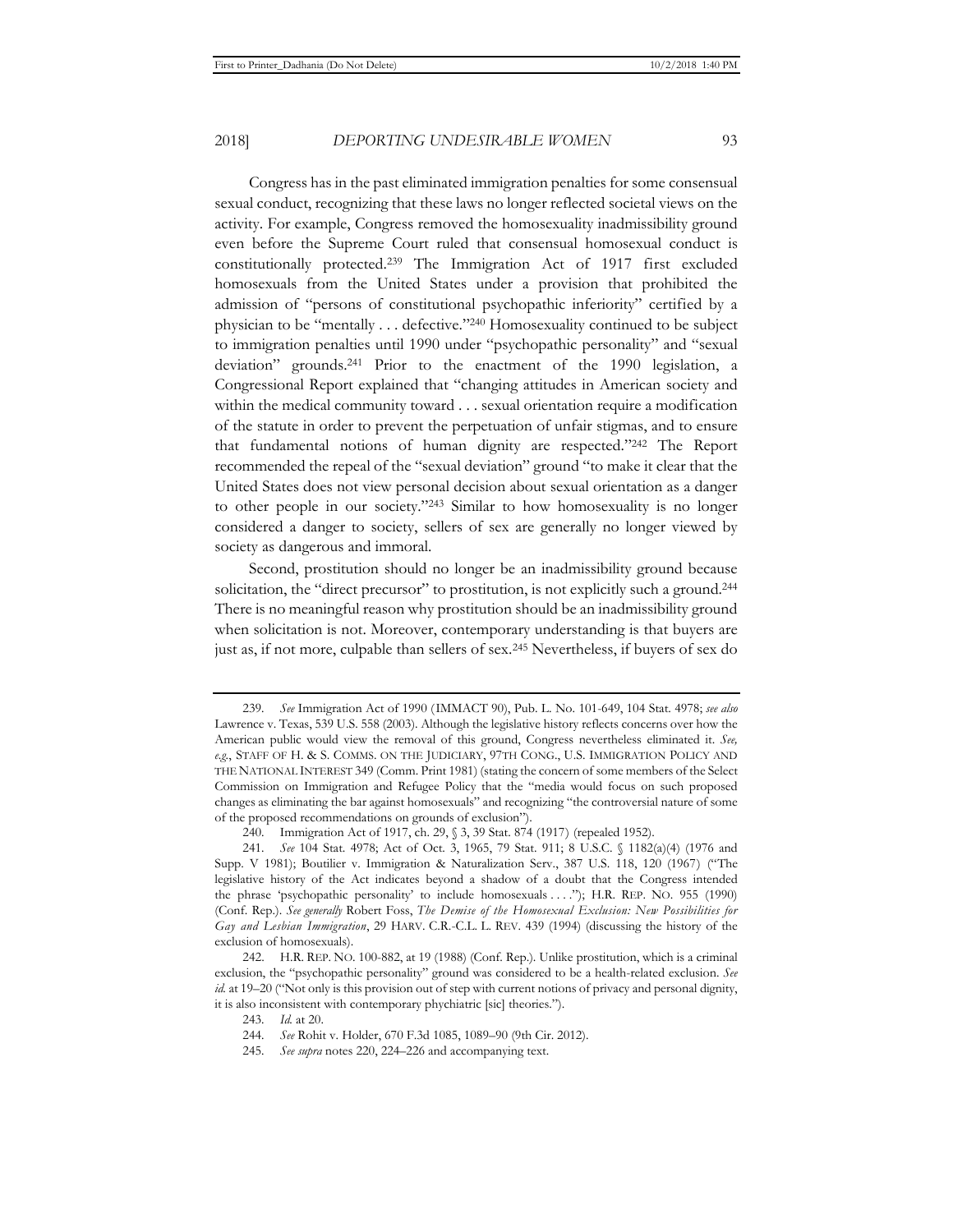Congress has in the past eliminated immigration penalties for some consensual sexual conduct, recognizing that these laws no longer reflected societal views on the activity. For example, Congress removed the homosexuality inadmissibility ground even before the Supreme Court ruled that consensual homosexual conduct is constitutionally protected.239 The Immigration Act of 1917 first excluded homosexuals from the United States under a provision that prohibited the admission of "persons of constitutional psychopathic inferiority" certified by a physician to be "mentally . . . defective."240 Homosexuality continued to be subject to immigration penalties until 1990 under "psychopathic personality" and "sexual deviation" grounds.241 Prior to the enactment of the 1990 legislation, a Congressional Report explained that "changing attitudes in American society and within the medical community toward . . . sexual orientation require a modification of the statute in order to prevent the perpetuation of unfair stigmas, and to ensure that fundamental notions of human dignity are respected."242 The Report recommended the repeal of the "sexual deviation" ground "to make it clear that the United States does not view personal decision about sexual orientation as a danger to other people in our society."243 Similar to how homosexuality is no longer considered a danger to society, sellers of sex are generally no longer viewed by society as dangerous and immoral.

Second, prostitution should no longer be an inadmissibility ground because solicitation, the "direct precursor" to prostitution, is not explicitly such a ground.244 There is no meaningful reason why prostitution should be an inadmissibility ground when solicitation is not. Moreover, contemporary understanding is that buyers are just as, if not more, culpable than sellers of sex.245 Nevertheless, if buyers of sex do

<sup>239</sup>*. See* Immigration Act of 1990 (IMMACT 90), Pub. L. No. 101-649, 104 Stat. 4978; *see also* Lawrence v. Texas, 539 U.S. 558 (2003). Although the legislative history reflects concerns over how the American public would view the removal of this ground, Congress nevertheless eliminated it. *See, e.g.*, STAFF OF H. & S. COMMS. ON THE JUDICIARY, 97TH CONG., U.S. IMMIGRATION POLICY AND THE NATIONAL INTEREST 349 (Comm. Print 1981) (stating the concern of some members of the Select Commission on Immigration and Refugee Policy that the "media would focus on such proposed changes as eliminating the bar against homosexuals" and recognizing "the controversial nature of some of the proposed recommendations on grounds of exclusion").

<sup>240.</sup> Immigration Act of 1917, ch. 29, § 3, 39 Stat. 874 (1917) (repealed 1952).

<sup>241</sup>*. See* 104 Stat. 4978; Act of Oct. 3, 1965, 79 Stat. 911; 8 U.S.C. § 1182(a)(4) (1976 and Supp. V 1981); Boutilier v. Immigration & Naturalization Serv., 387 U.S. 118, 120 (1967) ("The legislative history of the Act indicates beyond a shadow of a doubt that the Congress intended the phrase 'psychopathic personality' to include homosexuals . . . ."); H.R. REP. NO. 955 (1990) (Conf. Rep.). *See generally* Robert Foss, *The Demise of the Homosexual Exclusion: New Possibilities for Gay and Lesbian Immigration*, 29 HARV. C.R.-C.L. L. REV. 439 (1994) (discussing the history of the exclusion of homosexuals).

<sup>242.</sup> H.R. REP. NO. 100-882, at 19 (1988) (Conf. Rep.). Unlike prostitution, which is a criminal exclusion, the "psychopathic personality" ground was considered to be a health-related exclusion. *See id.* at 19–20 ("Not only is this provision out of step with current notions of privacy and personal dignity, it is also inconsistent with contemporary phychiatric [sic] theories.").

<sup>243</sup>*. Id.* at 20.

<sup>244</sup>*. See* Rohit v. Holder, 670 F.3d 1085, 1089–90 (9th Cir. 2012).

<sup>245</sup>*. See supra* notes 220, 224–226 and accompanying text.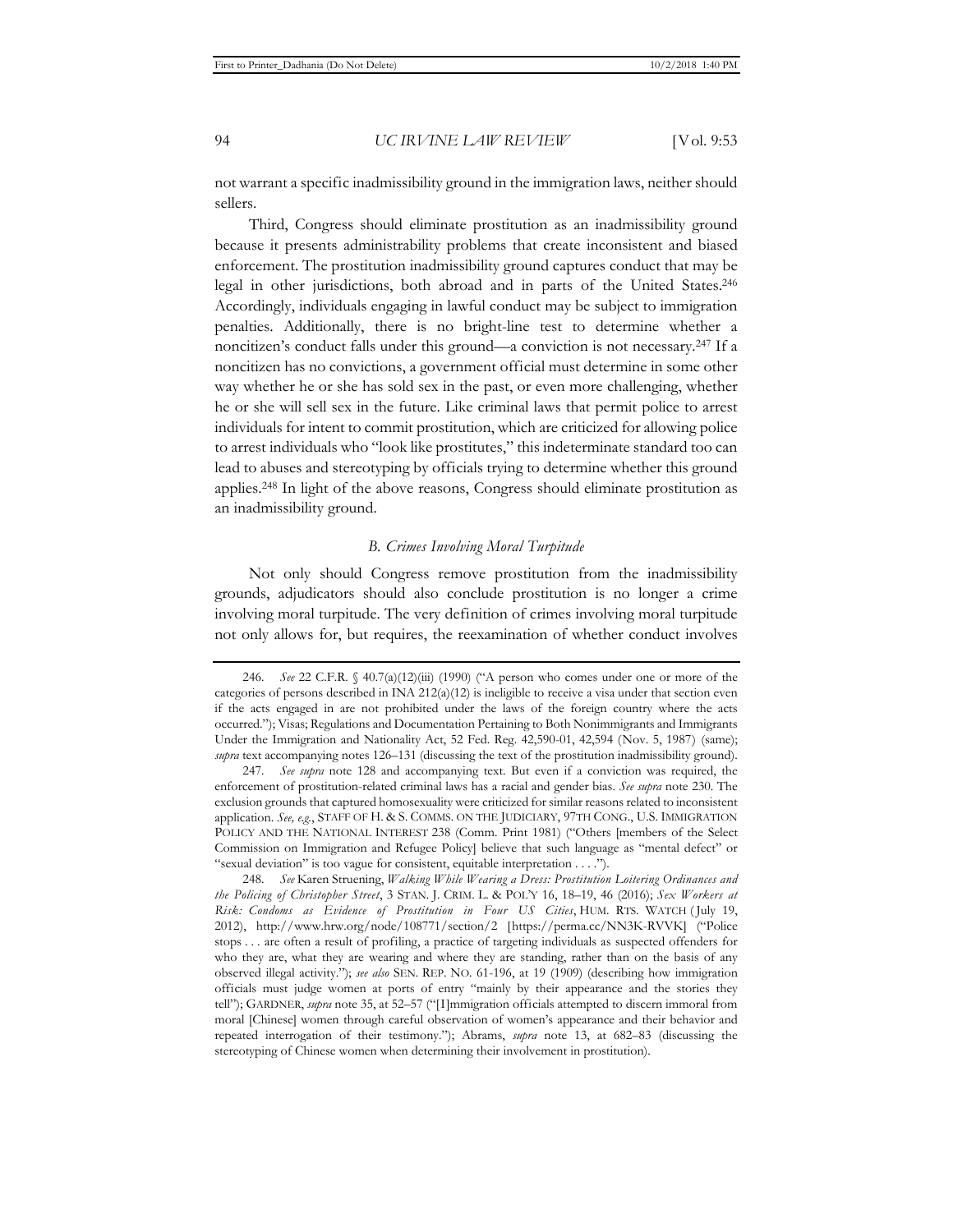not warrant a specific inadmissibility ground in the immigration laws, neither should sellers.

Third, Congress should eliminate prostitution as an inadmissibility ground because it presents administrability problems that create inconsistent and biased enforcement. The prostitution inadmissibility ground captures conduct that may be legal in other jurisdictions, both abroad and in parts of the United States.246 Accordingly, individuals engaging in lawful conduct may be subject to immigration penalties. Additionally, there is no bright-line test to determine whether a noncitizen's conduct falls under this ground—a conviction is not necessary.247 If a noncitizen has no convictions, a government official must determine in some other way whether he or she has sold sex in the past, or even more challenging, whether he or she will sell sex in the future. Like criminal laws that permit police to arrest individuals for intent to commit prostitution, which are criticized for allowing police to arrest individuals who "look like prostitutes," this indeterminate standard too can lead to abuses and stereotyping by officials trying to determine whether this ground applies.248 In light of the above reasons, Congress should eliminate prostitution as an inadmissibility ground.

#### *B. Crimes Involving Moral Turpitude*

Not only should Congress remove prostitution from the inadmissibility grounds, adjudicators should also conclude prostitution is no longer a crime involving moral turpitude. The very definition of crimes involving moral turpitude not only allows for, but requires, the reexamination of whether conduct involves

248*. See* Karen Struening, *Walking While Wearing a Dress: Prostitution Loitering Ordinances and the Policing of Christopher Street*, 3 STAN. J. CRIM. L. & POL'Y 16, 18–19, 46 (2016); *Sex Workers at Risk: Condoms as Evidence of Prostitution in Four US Cities*, HUM. RTS. WATCH ( July 19, 2012), http://www.hrw.org/node/108771/section/2 [https://perma.cc/NN3K-RVVK] ("Police stops . . . are often a result of profiling, a practice of targeting individuals as suspected offenders for who they are, what they are wearing and where they are standing, rather than on the basis of any observed illegal activity."); *see also* SEN. REP. NO. 61-196, at 19 (1909) (describing how immigration officials must judge women at ports of entry "mainly by their appearance and the stories they tell"); GARDNER, *supra* note 35, at 52–57 ("[I]mmigration officials attempted to discern immoral from moral [Chinese] women through careful observation of women's appearance and their behavior and repeated interrogation of their testimony."); Abrams, *supra* note 13, at 682–83 (discussing the stereotyping of Chinese women when determining their involvement in prostitution).

<sup>246</sup>*. See* 22 C.F.R. § 40.7(a)(12)(iii) (1990) ("A person who comes under one or more of the categories of persons described in INA  $212(a)(12)$  is ineligible to receive a visa under that section even if the acts engaged in are not prohibited under the laws of the foreign country where the acts occurred."); Visas; Regulations and Documentation Pertaining to Both Nonimmigrants and Immigrants Under the Immigration and Nationality Act, 52 Fed. Reg. 42,590-01, 42,594 (Nov. 5, 1987) (same); *supra* text accompanying notes 126–131 (discussing the text of the prostitution inadmissibility ground).

<sup>247</sup>*. See supra* note 128 and accompanying text. But even if a conviction was required, the enforcement of prostitution-related criminal laws has a racial and gender bias. *See supra* note 230. The exclusion grounds that captured homosexuality were criticized for similar reasons related to inconsistent application. *See, e.g.*, STAFF OF H. & S. COMMS. ON THE JUDICIARY, 97TH CONG., U.S. IMMIGRATION POLICY AND THE NATIONAL INTEREST 238 (Comm. Print 1981) ("Others [members of the Select Commission on Immigration and Refugee Policy] believe that such language as "mental defect" or "sexual deviation" is too vague for consistent, equitable interpretation . . . .").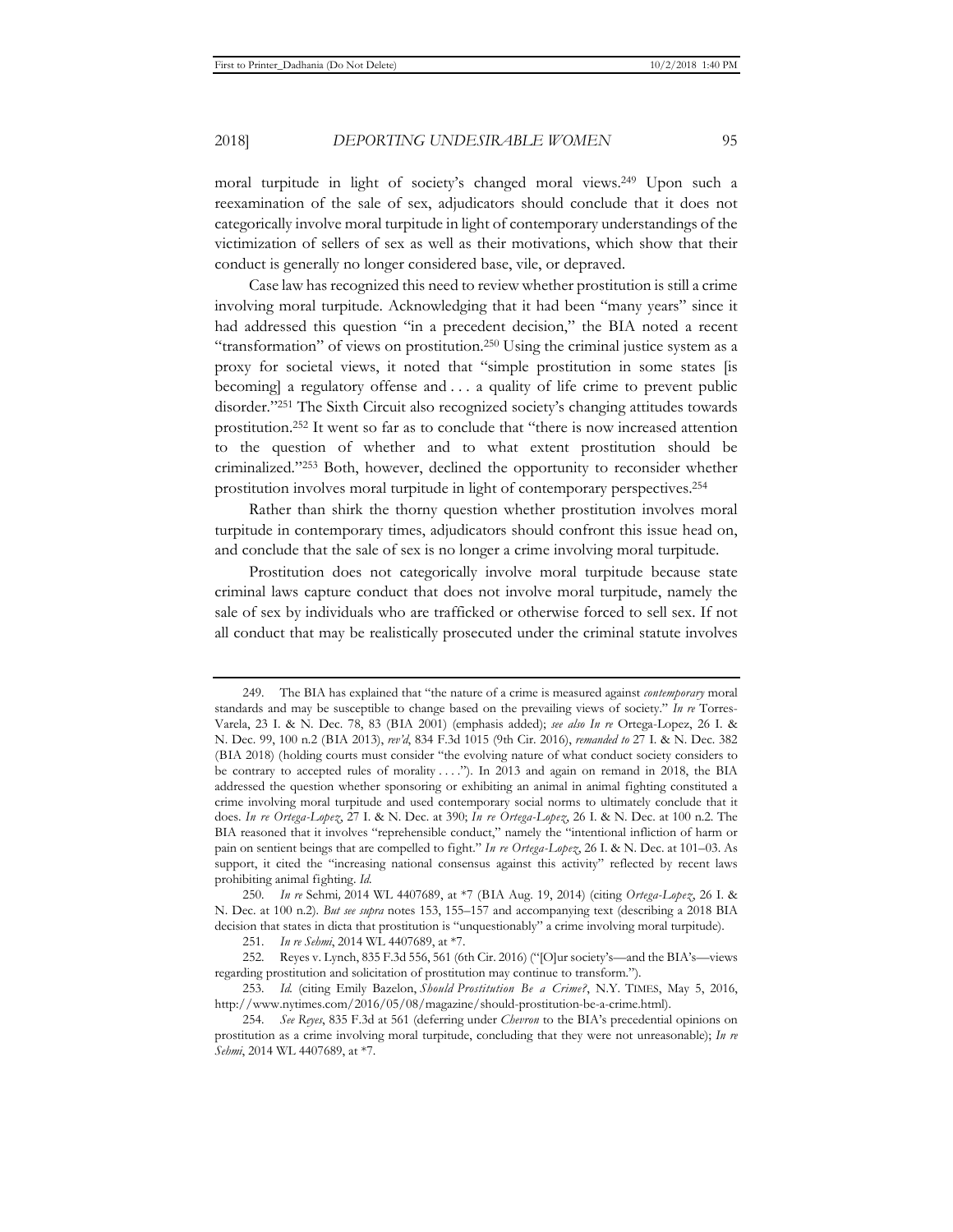moral turpitude in light of society's changed moral views.249 Upon such a reexamination of the sale of sex, adjudicators should conclude that it does not categorically involve moral turpitude in light of contemporary understandings of the victimization of sellers of sex as well as their motivations, which show that their conduct is generally no longer considered base, vile, or depraved.

Case law has recognized this need to review whether prostitution is still a crime involving moral turpitude. Acknowledging that it had been "many years" since it had addressed this question "in a precedent decision," the BIA noted a recent "transformation" of views on prostitution.250 Using the criminal justice system as a proxy for societal views, it noted that "simple prostitution in some states [is becoming] a regulatory offense and . . . a quality of life crime to prevent public disorder."251 The Sixth Circuit also recognized society's changing attitudes towards prostitution.252 It went so far as to conclude that "there is now increased attention to the question of whether and to what extent prostitution should be criminalized."253 Both, however, declined the opportunity to reconsider whether prostitution involves moral turpitude in light of contemporary perspectives.254

Rather than shirk the thorny question whether prostitution involves moral turpitude in contemporary times, adjudicators should confront this issue head on, and conclude that the sale of sex is no longer a crime involving moral turpitude.

Prostitution does not categorically involve moral turpitude because state criminal laws capture conduct that does not involve moral turpitude, namely the sale of sex by individuals who are trafficked or otherwise forced to sell sex. If not all conduct that may be realistically prosecuted under the criminal statute involves

<sup>249.</sup> The BIA has explained that "the nature of a crime is measured against *contemporary* moral standards and may be susceptible to change based on the prevailing views of society." *In re* Torres-Varela, 23 I. & N. Dec. 78, 83 (BIA 2001) (emphasis added); *see also In re* Ortega-Lopez, 26 I. & N. Dec. 99, 100 n.2 (BIA 2013), *rev'd*, 834 F.3d 1015 (9th Cir. 2016), *remanded to* 27 I. & N. Dec. 382 (BIA 2018) (holding courts must consider "the evolving nature of what conduct society considers to be contrary to accepted rules of morality . . . ."). In 2013 and again on remand in 2018, the BIA addressed the question whether sponsoring or exhibiting an animal in animal fighting constituted a crime involving moral turpitude and used contemporary social norms to ultimately conclude that it does. *In re Ortega-Lopez*, 27 I. & N. Dec. at 390; *In re Ortega-Lopez*, 26 I. & N. Dec. at 100 n.2. The BIA reasoned that it involves "reprehensible conduct," namely the "intentional infliction of harm or pain on sentient beings that are compelled to fight." *In re Ortega-Lopez*, 26 I. & N. Dec. at 101–03. As support, it cited the "increasing national consensus against this activity" reflected by recent laws prohibiting animal fighting. *Id.*

<sup>250</sup>*. In re* Sehmi*,* 2014 WL 4407689, at \*7 (BIA Aug. 19, 2014) (citing *Ortega-Lopez*, 26 I. & N. Dec. at 100 n.2). *But see supra* notes 153, 155–157 and accompanying text (describing a 2018 BIA decision that states in dicta that prostitution is "unquestionably" a crime involving moral turpitude).

<sup>251</sup>*. In re Sehmi*, 2014 WL 4407689, at \*7.

<sup>252.</sup> Reyes v. Lynch, 835 F.3d 556, 561 (6th Cir. 2016) ("[O]ur society's—and the BIA's—views regarding prostitution and solicitation of prostitution may continue to transform.").

<sup>253</sup>*. Id.* (citing Emily Bazelon, *Should Prostitution Be a Crime?*, N.Y. TIMES, May 5, 2016, http://www.nytimes.com/2016/05/08/magazine/should-prostitution-be-a-crime.html).

<sup>254</sup>*. See Reyes*, 835 F.3d at 561 (deferring under *Chevron* to the BIA's precedential opinions on prostitution as a crime involving moral turpitude, concluding that they were not unreasonable); *In re Sehmi*, 2014 WL 4407689, at \*7.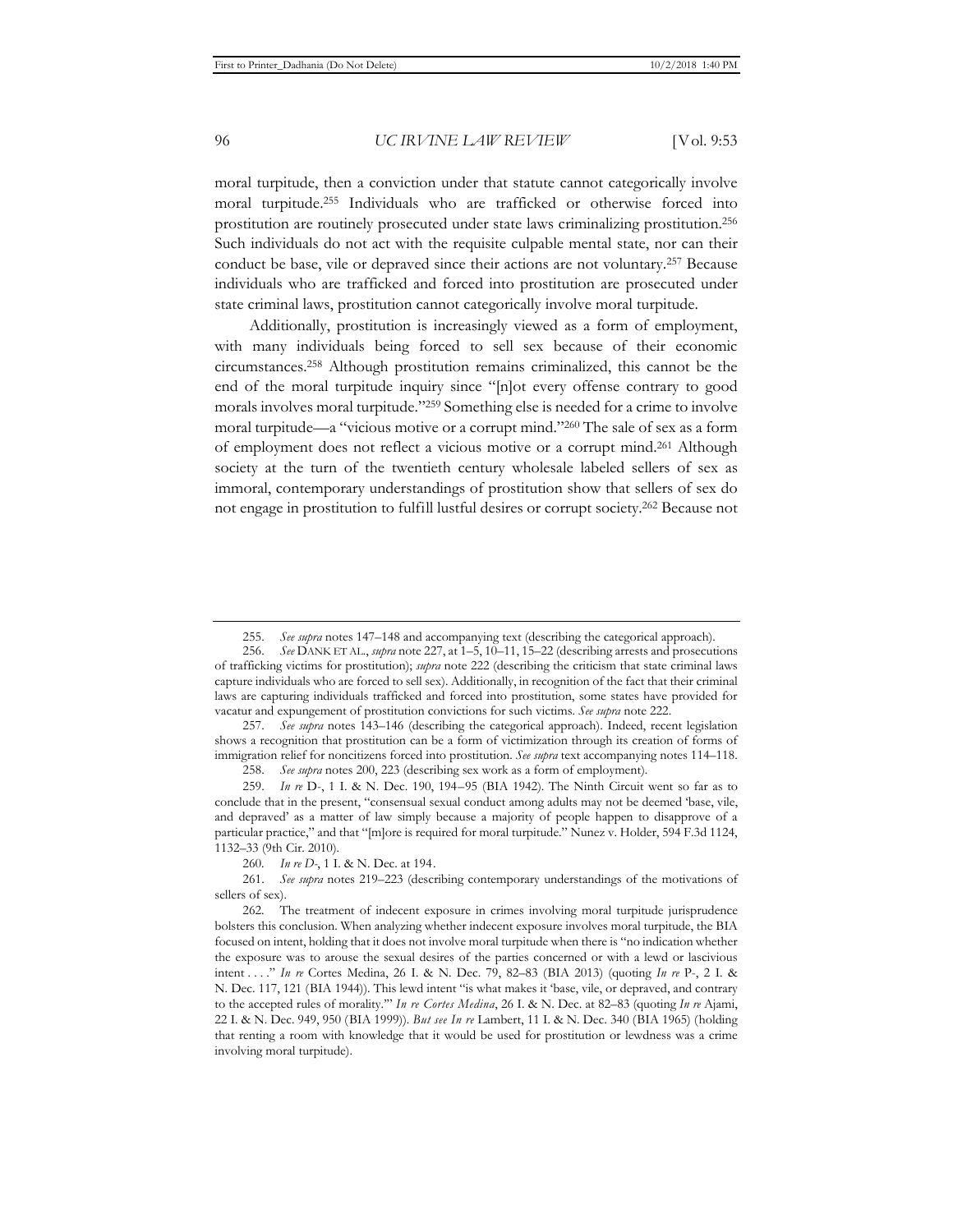moral turpitude, then a conviction under that statute cannot categorically involve moral turpitude.255 Individuals who are trafficked or otherwise forced into prostitution are routinely prosecuted under state laws criminalizing prostitution.256 Such individuals do not act with the requisite culpable mental state, nor can their conduct be base, vile or depraved since their actions are not voluntary.257 Because individuals who are trafficked and forced into prostitution are prosecuted under state criminal laws, prostitution cannot categorically involve moral turpitude.

Additionally, prostitution is increasingly viewed as a form of employment, with many individuals being forced to sell sex because of their economic circumstances.258 Although prostitution remains criminalized, this cannot be the end of the moral turpitude inquiry since "[n]ot every offense contrary to good morals involves moral turpitude."259 Something else is needed for a crime to involve moral turpitude—a "vicious motive or a corrupt mind."260 The sale of sex as a form of employment does not reflect a vicious motive or a corrupt mind.261 Although society at the turn of the twentieth century wholesale labeled sellers of sex as immoral, contemporary understandings of prostitution show that sellers of sex do not engage in prostitution to fulfill lustful desires or corrupt society.262 Because not

257. *See supra* notes 143–146 (describing the categorical approach). Indeed, recent legislation shows a recognition that prostitution can be a form of victimization through its creation of forms of immigration relief for noncitizens forced into prostitution. *See supra* text accompanying notes 114–118.

<sup>255.</sup> *See supra* notes 147–148 and accompanying text (describing the categorical approach).

<sup>256.</sup> *See* DANK ET AL., *supra* note 227, at 1–5, 10–11, 15–22 (describing arrests and prosecutions of trafficking victims for prostitution); *supra* note 222 (describing the criticism that state criminal laws capture individuals who are forced to sell sex). Additionally, in recognition of the fact that their criminal laws are capturing individuals trafficked and forced into prostitution, some states have provided for vacatur and expungement of prostitution convictions for such victims. *See supra* note 222.

<sup>258.</sup> *See supra* notes 200, 223 (describing sex work as a form of employment).

<sup>259.</sup> *In re* D-, 1 I. & N. Dec. 190, 194–95 (BIA 1942). The Ninth Circuit went so far as to conclude that in the present, "consensual sexual conduct among adults may not be deemed 'base, vile, and depraved' as a matter of law simply because a majority of people happen to disapprove of a particular practice," and that "[m]ore is required for moral turpitude." Nunez v. Holder, 594 F.3d 1124, 1132–33 (9th Cir. 2010).

<sup>260</sup>*. In re D-*, 1 I. & N. Dec. at 194.

<sup>261.</sup> *See supra* notes 219–223 (describing contemporary understandings of the motivations of sellers of sex).

<sup>262.</sup> The treatment of indecent exposure in crimes involving moral turpitude jurisprudence bolsters this conclusion. When analyzing whether indecent exposure involves moral turpitude, the BIA focused on intent, holding that it does not involve moral turpitude when there is "no indication whether the exposure was to arouse the sexual desires of the parties concerned or with a lewd or lascivious intent . . . ." *In re* Cortes Medina, 26 I. & N. Dec. 79, 82–83 (BIA 2013) (quoting *In re* P-, 2 I. & N. Dec. 117, 121 (BIA 1944)). This lewd intent "is what makes it 'base, vile, or depraved, and contrary to the accepted rules of morality.'" *In re Cortes Medina*, 26 I. & N. Dec. at 82–83 (quoting *In re* Ajami, 22 I. & N. Dec. 949, 950 (BIA 1999)). *But see In re* Lambert, 11 I. & N. Dec. 340 (BIA 1965) (holding that renting a room with knowledge that it would be used for prostitution or lewdness was a crime involving moral turpitude).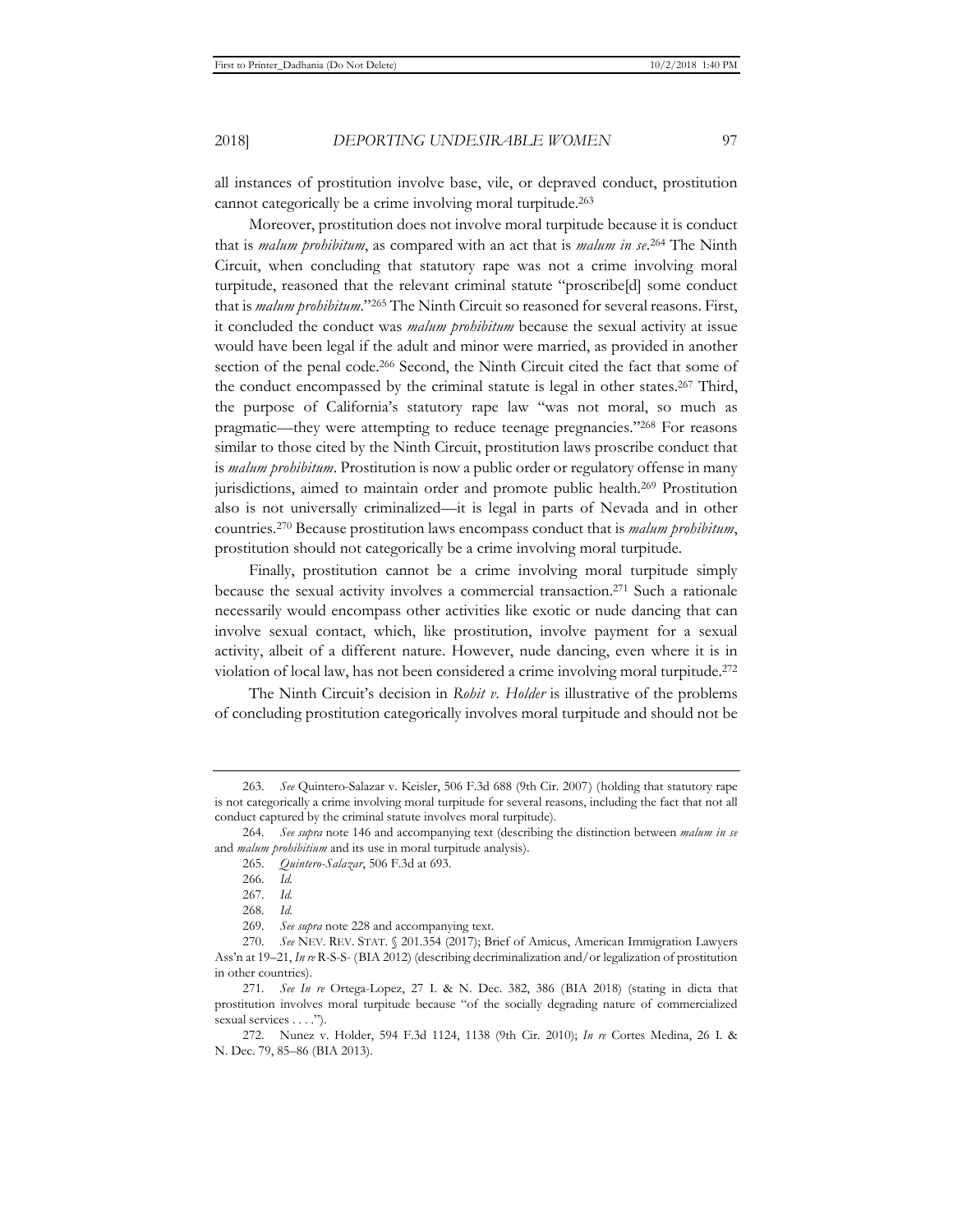all instances of prostitution involve base, vile, or depraved conduct, prostitution cannot categorically be a crime involving moral turpitude.<sup>263</sup>

Moreover, prostitution does not involve moral turpitude because it is conduct that is *malum prohibitum*, as compared with an act that is *malum in se*. 264 The Ninth Circuit, when concluding that statutory rape was not a crime involving moral turpitude, reasoned that the relevant criminal statute "proscribe[d] some conduct that is *malum prohibitum*."265 The Ninth Circuit so reasoned for several reasons. First, it concluded the conduct was *malum prohibitum* because the sexual activity at issue would have been legal if the adult and minor were married, as provided in another section of the penal code.<sup>266</sup> Second, the Ninth Circuit cited the fact that some of the conduct encompassed by the criminal statute is legal in other states.267 Third, the purpose of California's statutory rape law "was not moral, so much as pragmatic—they were attempting to reduce teenage pregnancies."268 For reasons similar to those cited by the Ninth Circuit, prostitution laws proscribe conduct that is *malum prohibitum*. Prostitution is now a public order or regulatory offense in many jurisdictions, aimed to maintain order and promote public health.269 Prostitution also is not universally criminalized—it is legal in parts of Nevada and in other countries.270 Because prostitution laws encompass conduct that is *malum prohibitum*, prostitution should not categorically be a crime involving moral turpitude.

Finally, prostitution cannot be a crime involving moral turpitude simply because the sexual activity involves a commercial transaction.271 Such a rationale necessarily would encompass other activities like exotic or nude dancing that can involve sexual contact, which, like prostitution, involve payment for a sexual activity, albeit of a different nature. However, nude dancing, even where it is in violation of local law, has not been considered a crime involving moral turpitude.272

The Ninth Circuit's decision in *Rohit v. Holder* is illustrative of the problems of concluding prostitution categorically involves moral turpitude and should not be

<sup>263</sup>*. See* Quintero-Salazar v. Keisler, 506 F.3d 688 (9th Cir. 2007) (holding that statutory rape is not categorically a crime involving moral turpitude for several reasons, including the fact that not all conduct captured by the criminal statute involves moral turpitude).

<sup>264</sup>*. See supra* note 146 and accompanying text (describing the distinction between *malum in se* and *malum prohibitium* and its use in moral turpitude analysis).

<sup>265</sup>*. Quintero-Salazar*, 506 F.3d at 693.

<sup>266</sup>*. Id.*

<sup>267</sup>*. Id.* 

<sup>268</sup>*. Id.* 

<sup>269</sup>*. See supra* note 228 and accompanying text.

<sup>270</sup>*. See* NEV. REV. STAT. § 201.354 (2017); Brief of Amicus, American Immigration Lawyers Ass'n at 19–21, *In re* R-S-S- (BIA 2012) (describing decriminalization and/or legalization of prostitution in other countries).

<sup>271</sup>*. See In re* Ortega-Lopez, 27 I. & N. Dec. 382, 386 (BIA 2018) (stating in dicta that prostitution involves moral turpitude because "of the socially degrading nature of commercialized sexual services . . . .").

<sup>272.</sup> Nunez v. Holder, 594 F.3d 1124, 1138 (9th Cir. 2010); *In re* Cortes Medina, 26 I. & N. Dec. 79, 85–86 (BIA 2013).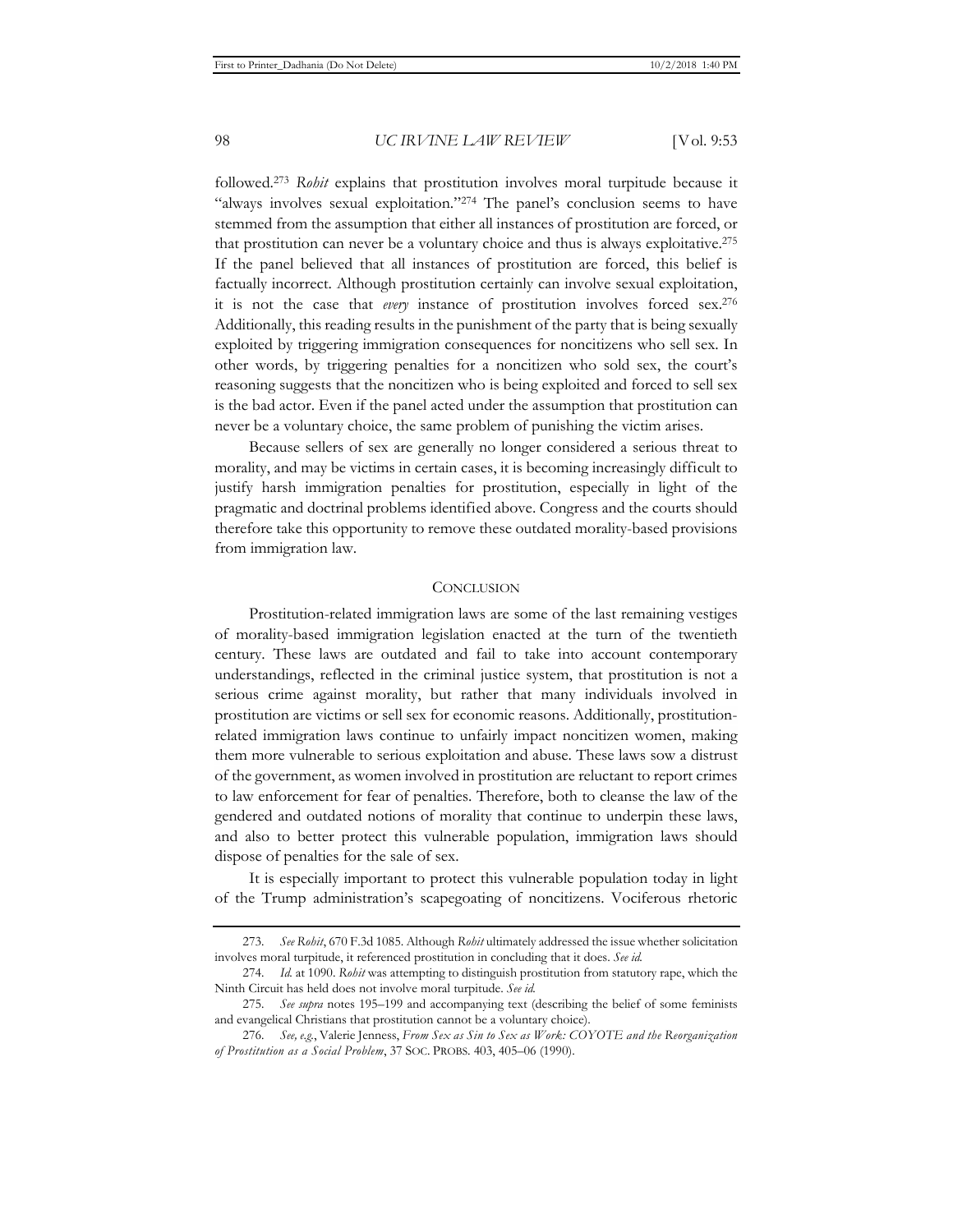followed.273 *Rohit* explains that prostitution involves moral turpitude because it "always involves sexual exploitation."274 The panel's conclusion seems to have stemmed from the assumption that either all instances of prostitution are forced, or that prostitution can never be a voluntary choice and thus is always exploitative.275 If the panel believed that all instances of prostitution are forced, this belief is factually incorrect. Although prostitution certainly can involve sexual exploitation, it is not the case that *every* instance of prostitution involves forced sex.276 Additionally, this reading results in the punishment of the party that is being sexually exploited by triggering immigration consequences for noncitizens who sell sex. In other words, by triggering penalties for a noncitizen who sold sex, the court's reasoning suggests that the noncitizen who is being exploited and forced to sell sex is the bad actor. Even if the panel acted under the assumption that prostitution can never be a voluntary choice, the same problem of punishing the victim arises.

Because sellers of sex are generally no longer considered a serious threat to morality, and may be victims in certain cases, it is becoming increasingly difficult to justify harsh immigration penalties for prostitution, especially in light of the pragmatic and doctrinal problems identified above. Congress and the courts should therefore take this opportunity to remove these outdated morality-based provisions from immigration law.

#### **CONCLUSION**

Prostitution-related immigration laws are some of the last remaining vestiges of morality-based immigration legislation enacted at the turn of the twentieth century. These laws are outdated and fail to take into account contemporary understandings, reflected in the criminal justice system, that prostitution is not a serious crime against morality, but rather that many individuals involved in prostitution are victims or sell sex for economic reasons. Additionally, prostitutionrelated immigration laws continue to unfairly impact noncitizen women, making them more vulnerable to serious exploitation and abuse. These laws sow a distrust of the government, as women involved in prostitution are reluctant to report crimes to law enforcement for fear of penalties. Therefore, both to cleanse the law of the gendered and outdated notions of morality that continue to underpin these laws, and also to better protect this vulnerable population, immigration laws should dispose of penalties for the sale of sex.

It is especially important to protect this vulnerable population today in light of the Trump administration's scapegoating of noncitizens. Vociferous rhetoric

<sup>273</sup>*. See Rohit*, 670 F.3d 1085. Although *Rohit* ultimately addressed the issue whether solicitation involves moral turpitude, it referenced prostitution in concluding that it does. *See id.*

<sup>274</sup>*. Id.* at 1090. *Rohit* was attempting to distinguish prostitution from statutory rape, which the Ninth Circuit has held does not involve moral turpitude. *See id.*

<sup>275</sup>*. See supra* notes 195–199 and accompanying text (describing the belief of some feminists and evangelical Christians that prostitution cannot be a voluntary choice).

<sup>276</sup>*. See, e.g.*, Valerie Jenness, *From Sex as Sin to Sex as Work: COYOTE and the Reorganization of Prostitution as a Social Problem*, 37 SOC. PROBS. 403, 405–06 (1990).